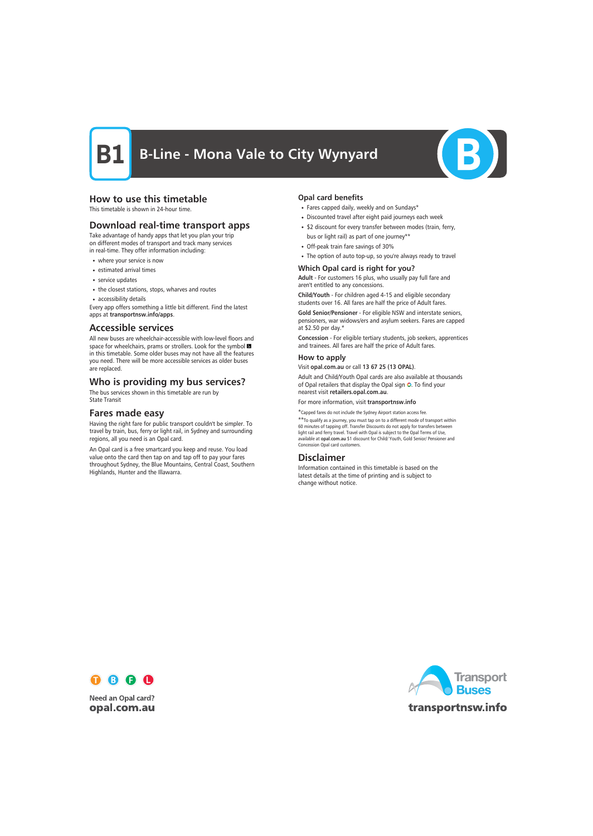## **B-Line - Mona Vale to City Wynyard**



### How to use this timetable

This timetable is shown in 24-hour time.

### Download real-time transport apps

Take advantage of handy apps that let you plan your trip on different modes of transport and track many services in real-time. They offer information including:

- where your service is now
- estimated arrival times
- service updates
- the closest stations, stops, wharves and routes
- accessibility details

Every app offers something a little bit different. Find the latest apps at transportnsw.info/apps.

#### Accessible services

All new buses are wheelchair-accessible with low-level floors and space for wheelchairs, prams or strollers. Look for the symbol in this timetable. Some older buses may not have all the features you need. There will be more accessible services as older buses are replaced.

### Who is providing my bus services?

The bus services shown in this timetable are run by State Transit

#### Fares made easy

Having the right fare for public transport couldn't be simpler. To travel by train, bus, ferry or light rail, in Sydney and surrounding regions, all you need is an Opal card.

An Opal card is a free smartcard you keep and reuse. You load value onto the card then tap on and tap off to pay your fares throughout Sydney, the Blue Mountains, Central Coast, Southern Highlands, Hunter and the Illawarra.

#### Opal card benefits

- Fares capped daily, weekly and on Sundays\*
- Discounted travel after eight paid journeys each week
- \$2 discount for every transfer between modes (train, ferry, bus or light rail) as part of one journey\*\*
- Off-peak train fare savings of 30%
- The option of auto top-up, so you're always ready to travel

#### Which Opal card is right for you?

Adult - For customers 16 plus, who usually pay full fare and aren't entitled to any concessions.

Child/Youth - For children aged 4-15 and eligible secondary students over 16. All fares are half the price of Adult fares.

Gold Senior/Pensioner - For eligible NSW and interstate seniors, pensioners, war widows/ers and asylum seekers. Fares are capped at \$2.50 per day.\*

Concession - For eligible tertiary students, job seekers, apprentices and trainees. All fares are half the price of Adult fares.

#### How to apply

Visit opal.com.au or call 13 67 25 (13 OPAL).

Adult and Child/Youth Opal cards are also available at thousands of Opal retailers that display the Opal sign O. To find your nearest visit retailers.opal.com.au.

For more information, visit transportnsw.info

\*Capped fares do not include the Sydney Airport station access fee. \*\*To qualify as a journey, you must tap on to a different mode of transport within

60 minutes of tapping off. Transfer Discounts do not apply for transfers between light rail and ferry travel. Travel with Opal is subject to the Opal Terms of Use, available at opal.com.au \$1 discount for Child/ Youth, Gold Senior/ Pensioner and Concession Opal card customers.

#### Disclaimer

Information contained in this timetable is based on the latest details at the time of printing and is subject to change without notice.



**Need an Opal card?** opal.com.au

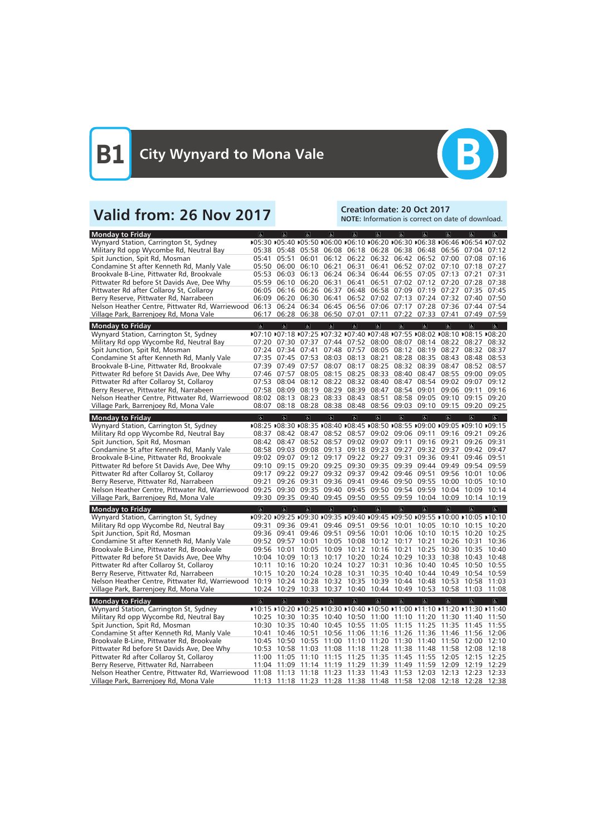

# Valid from: 26 Nov 2017<br>
Valid from: 26 Nov 2017

NOTE: Information is correct on date of download.

| <b>Monday to Friday</b>                         | $\sigma$                | $ \mathbf{r} $          | $\overline{\mathbf{r}}$                         | $\overline{6}$    | $\mathbf{g}$   | $\overline{\mathbb{G}}$ | $\sigma$                            | $\sigma$       | $\overline{a}$                                              | $\sigma$                                                                     | $\overline{a}$          |
|-------------------------------------------------|-------------------------|-------------------------|-------------------------------------------------|-------------------|----------------|-------------------------|-------------------------------------|----------------|-------------------------------------------------------------|------------------------------------------------------------------------------|-------------------------|
| Wynyard Station, Carrington St, Sydney          |                         |                         |                                                 |                   |                |                         |                                     |                |                                                             | ▶05:30 ▶05:40 ▶05:50 ▶06:00 ▶06:10 ▶06:20 ▶06:30 ▶06:38 ▶06:46 ▶06:54 ▶07:02 |                         |
| Military Rd opp Wycombe Rd, Neutral Bay         |                         |                         |                                                 |                   |                |                         |                                     |                | 05:38 05:48 05:58 06:08 06:18 06:28 06:38 06:48 06:56 07:04 |                                                                              | 07:12                   |
| Spit Junction, Spit Rd, Mosman                  | 05:41                   | 05:51                   | 06:01                                           |                   |                |                         |                                     |                | 06:12 06:22 06:32 06:42 06:52 07:00 07:08                   |                                                                              | 07:16                   |
| Condamine St after Kenneth Rd, Manly Vale       | 05:50                   | 06:00                   | 06:10                                           | 06:21             | 06:31          | 06:41                   | 06:52                               |                | 07:02 07:10                                                 | 07:18                                                                        | 07:27                   |
| Brookvale B-Line, Pittwater Rd, Brookvale       | 05:53                   | 06:03                   | 06:13                                           | 06:24             | 06:34          | 06:44                   | 06:55                               | 07:05          | 07:13                                                       | 07:21                                                                        | 07:31                   |
| Pittwater Rd before St Davids Ave, Dee Why      | 05:59                   | 06:10                   | 06:20                                           | 06:31             | 06:41          | 06:51                   | 07:02                               |                | 07:12 07:20 07:28                                           |                                                                              | 07:38                   |
| Pittwater Rd after Collaroy St, Collaroy        |                         | 06:05 06:16             | 06:26                                           | 06:37             | 06:48          | 06:58                   | 07:09                               | 07:19          | 07:27                                                       | 07:35                                                                        | 07:45                   |
| Berry Reserve, Pittwater Rd, Narrabeen          | 06:09                   | 06:20                   | 06:30                                           | 06:41             |                |                         | 06:52 07:02 07:13                   | 07:24          | 07:32                                                       | 07:40                                                                        | 07:50                   |
| Nelson Heather Centre, Pittwater Rd, Warriewood | 06:13                   | 06:24                   | 06:34                                           |                   |                |                         | 06:45 06:56 07:06 07:17             | 07:28          | 07:36                                                       | 07:44                                                                        | 07:54                   |
| Village Park, Barrenjoey Rd, Mona Vale          | 06:17                   |                         | 06:28 06:38 06:50 07:01 07:11 07:22 07:33 07:41 |                   |                |                         |                                     |                |                                                             | 07:49                                                                        | 07:59                   |
|                                                 |                         |                         |                                                 |                   |                |                         |                                     |                |                                                             |                                                                              |                         |
| <b>Monday to Friday</b>                         | $\overline{6}$          | $\overline{a}$          | $\mathbf{P}$                                    | $\mathbb{P}$      | $\mathbf{r}$   | $\overline{6}$          | $\sigma$                            | $\overline{6}$ | $\overline{a}$                                              | $\sigma$                                                                     | $\mathbf{P}$            |
| Wynyard Station, Carrington St, Sydney          |                         |                         |                                                 |                   |                |                         |                                     |                |                                                             | ▶07:10 ▶07:18 ▶07:25 ▶07:32 ▶07:40 ▶07:48 ▶07:55 ▶08:02 ▶08:10 ▶08:15 ▶08:20 |                         |
| Military Rd opp Wycombe Rd, Neutral Bay         | 07:20                   | 07:30                   | 07:37                                           | 07:44             | 07:52          | 08:00                   | 08:07                               | 08:14          | 08:22                                                       | 08:27                                                                        | 08:32                   |
| Spit Junction, Spit Rd, Mosman                  |                         | 07:24 07:34 07:41       |                                                 |                   | 07:48 07:57    | 08:05                   | 08:12                               | 08:19          | 08:27                                                       | 08:32                                                                        | 08:37                   |
| Condamine St after Kenneth Rd, Manly Vale       | 07:35                   |                         | 07:45 07:53                                     | 08:03             | 08:13          | 08:21                   | 08:28                               | 08:35          | 08:43                                                       | 08:48                                                                        | 08:53                   |
| Brookvale B-Line, Pittwater Rd, Brookvale       | 07:39                   | 07:49                   | 07:57                                           | 08:07             | 08:17          | 08:25                   | 08:32                               | 08:39          | 08:47                                                       | 08:52                                                                        | 08:57                   |
| Pittwater Rd before St Davids Ave, Dee Why      | 07:46                   | 07:57                   | 08:05                                           |                   | 08:15 08:25    |                         | 08:33 08:40                         | 08:47          | 08:55                                                       | 09:00                                                                        | 09:05                   |
| Pittwater Rd after Collaroy St, Collaroy        | 07:53                   | 08:04                   | 08:12                                           | 08:22             |                | 08:32 08:40             | 08:47                               | 08:54          | 09:02                                                       | 09:07                                                                        | 09:12                   |
| Berry Reserve, Pittwater Rd, Narrabeen          | 07:58                   | 08:09                   |                                                 | 08:19 08:29       | 08:39          | 08:47                   | 08:54                               | 09:01          |                                                             | 09:06 09:11                                                                  | 09:16                   |
| Nelson Heather Centre, Pittwater Rd, Warriewood |                         | 08:02 08:13             | 08:23                                           | 08:33             | 08:43          | 08:51                   | 08:58                               | 09:05          | 09:10                                                       | 09:15                                                                        | 09:20                   |
| Village Park, Barrenjoey Rd, Mona Vale          | 08:07                   |                         | 08:18 08:28 08:38 08:48 08:56 09:03             |                   |                |                         |                                     | 09:10          | 09:15                                                       | 09:20                                                                        | 09:25                   |
|                                                 |                         |                         |                                                 |                   |                |                         |                                     |                |                                                             |                                                                              |                         |
| <b>Monday to Friday</b>                         | $\overline{\mathbf{g}}$ | $\overline{\mathbf{a}}$ | $\overline{\mathbf{g}}$                         | $\overline{a}$    | $\overline{d}$ | $\overline{6}$          | $\overline{6}$                      | $\overline{6}$ | $\overline{\alpha}$                                         | $\overline{d}$                                                               | $\overline{d}$          |
| Wynyard Station, Carrington St, Sydney          |                         |                         |                                                 |                   |                |                         |                                     |                |                                                             | ▶08:25 ▶08:30 ▶08:35 ▶08:40 ▶08:45 ▶08:50 ▶08:55 ▶09:00 ▶09:05 ▶09:10 ▶09:15 |                         |
| Military Rd opp Wycombe Rd, Neutral Bay         | 08:37                   | 08:42                   | 08:47                                           | 08:52             | 08:57          |                         | 09:02 09:06                         | 09:11          | 09:16                                                       | 09:21                                                                        | 09:26                   |
| Spit Junction, Spit Rd, Mosman                  |                         | 08:42 08:47             |                                                 | 08:52 08:57       |                |                         | 09:02 09:07 09:11                   | 09:16          | 09:21                                                       | 09:26                                                                        | 09:31                   |
| Condamine St after Kenneth Rd, Manly Vale       | 08:58                   | 09:03                   | 09:08                                           | 09:13             | 09:18          |                         | 09:23 09:27                         | 09:32          | 09:37                                                       | 09:42                                                                        | 09:47                   |
| Brookvale B-Line, Pittwater Rd, Brookvale       | 09:02                   | 09:07                   | 09:12                                           | 09:17             |                | 09:22 09:27             | 09:31                               | 09:36          | 09:41                                                       | 09:46                                                                        | 09:51                   |
| Pittwater Rd before St Davids Ave, Dee Why      |                         |                         | 09:10 09:15 09:20 09:25 09:30 09:35 09:39       |                   |                |                         |                                     | 09:44          | 09:49                                                       | 09:54                                                                        | 09:59                   |
| Pittwater Rd after Collaroy St, Collaroy        | 09:17                   | 09:22                   | 09:27                                           |                   |                |                         | 09:32 09:37 09:42 09:46             | 09:51          | 09:56                                                       | 10:01                                                                        | 10:06                   |
| Berry Reserve, Pittwater Rd, Narrabeen          | 09:21                   | 09:26                   | 09:31                                           |                   | 09:36 09:41    |                         | 09:46 09:50                         | 09:55          | 10:00                                                       | 10:05                                                                        | 10:10                   |
| Nelson Heather Centre, Pittwater Rd, Warriewood | 09:25                   | 09:30                   | 09:35                                           | 09:40             |                |                         | 09:45 09:50 09:54                   | 09:59          | 10:04                                                       | 10:09                                                                        | 10:14                   |
| Village Park, Barrenjoey Rd, Mona Vale          | 09:30                   | 09:35                   |                                                 | 09:40 09:45 09:50 |                | 09:55                   | 09:59                               | 10:04          | 10:09                                                       | 10:14                                                                        | 10:19                   |
|                                                 |                         | $\overline{6}$          | $\overline{\mathbf{r}}$                         | $\overline{a}$    | $\overline{d}$ | $\overline{b}$          |                                     | $\overline{a}$ | $\alpha$                                                    | $\overline{a}$                                                               | $\overline{\mathbb{C}}$ |
| <b>Monday to Friday</b>                         | $\overline{a}$          |                         |                                                 |                   |                |                         | $\overline{b}$                      |                |                                                             |                                                                              |                         |
| Wynyard Station, Carrington St, Sydney          |                         |                         |                                                 |                   |                |                         |                                     |                |                                                             | ▶09:20 ▶09:25 ▶09:30 ▶09:35 ▶09:40 ▶09:45 ▶09:50 ▶09:55 ▶10:00 ▶10:05 ▶10:10 |                         |
| Military Rd opp Wycombe Rd, Neutral Bay         | 09:31                   | 09:36                   | 09:41                                           |                   | 09:46 09:51    | 09:56                   | 10:01                               | 10:05          | 10:10                                                       | 10:15                                                                        | 10:20                   |
| Spit Junction, Spit Rd, Mosman                  | 09:36                   | 09:41                   | 09:46                                           | 09:51             | 09:56          | 10:01                   | 10:06                               | 10:10          | 10:15                                                       | 10:20                                                                        | 10:25                   |
| Condamine St after Kenneth Rd, Manly Vale       |                         | 09:52 09:57             |                                                 |                   |                |                         | 10:01 10:05 10:08 10:12 10:17 10:21 |                | 10:26 10:31                                                 |                                                                              | 10:36                   |
| Brookvale B-Line, Pittwater Rd, Brookvale       |                         |                         |                                                 |                   |                |                         |                                     |                |                                                             | 09:56 10:01 10:05 10:09 10:12 10:16 10:21 10:25 10:30 10:35 10:40            |                         |
| Pittwater Rd before St Davids Ave, Dee Why      |                         |                         | 10:04 10:09 10:13                               |                   |                |                         |                                     |                | 10:17 10:20 10:24 10:29 10:33 10:38 10:43                   |                                                                              | 10:48                   |
| Pittwater Rd after Collaroy St, Collaroy        |                         |                         |                                                 |                   |                |                         |                                     |                |                                                             | 10:11 10:16 10:20 10:24 10:27 10:31 10:36 10:40 10:45 10:50 10:55            |                         |
| Berry Reserve, Pittwater Rd, Narrabeen          |                         |                         |                                                 |                   |                |                         |                                     |                |                                                             | 10:15 10:20 10:24 10:28 10:31 10:35 10:40 10:44 10:49 10:54 10:59            |                         |
| Nelson Heather Centre, Pittwater Rd, Warriewood |                         |                         |                                                 |                   |                |                         |                                     |                | 10:19 10:24 10:28 10:32 10:35 10:39 10:44 10:48 10:53 10:58 |                                                                              | 11:03                   |
| Village Park, Barrenjoey Rd, Mona Vale          |                         |                         |                                                 |                   |                |                         |                                     |                | 10:24 10:29 10:33 10:37 10:40 10:44 10:49 10:53 10:58 11:03 |                                                                              | 11:08                   |
|                                                 | $\overline{6}$          | $\sigma$                | $\sigma$                                        | $\overline{a}$    | $\mathbf{P}$   |                         | $\overline{6}$                      |                | $\sigma$                                                    |                                                                              |                         |
| <b>Monday to Friday</b>                         |                         |                         |                                                 |                   |                | 6 <sup>1</sup>          |                                     | $\sigma$       |                                                             | $\sigma$                                                                     | $\mathbf{P}$            |
| Wynyard Station, Carrington St, Sydney          |                         |                         |                                                 |                   |                |                         |                                     |                |                                                             | ▶10:15 ▶10:20 ▶10:25 ▶10:30 ▶10:40 ▶10:50 ▶11:00 ▶11:10 ▶11:20 ▶11:30 ▶11:40 |                         |
| Military Rd opp Wycombe Rd, Neutral Bay         |                         |                         |                                                 |                   |                |                         |                                     |                |                                                             | 10:25 10:30 10:35 10:40 10:50 11:00 11:10 11:20 11:30 11:40 11:50            |                         |
| Spit Junction, Spit Rd, Mosman                  |                         |                         |                                                 |                   |                |                         |                                     |                |                                                             | 10:30 10:35 10:40 10:45 10:55 11:05 11:15 11:25 11:35 11:45 11:55            |                         |
| Condamine St after Kenneth Rd, Manly Vale       | 10:41                   |                         | 10:46 10:51                                     |                   |                |                         |                                     |                |                                                             | 10:56 11:06 11:16 11:26 11:36 11:46 11:56 12:06                              |                         |
| Brookvale B-Line, Pittwater Rd, Brookvale       |                         |                         |                                                 |                   |                |                         |                                     |                |                                                             | 10:45 10:50 10:55 11:00 11:10 11:20 11:30 11:40 11:50 12:00 12:10            |                         |
| Pittwater Rd before St Davids Ave, Dee Why      |                         |                         | 10:53 10:58 11:03 11:08 11:18 11:28 11:38 11:48 |                   |                |                         |                                     |                |                                                             | 11:58 12:08 12:18                                                            |                         |
| Pittwater Rd after Collaroy St, Collaroy        |                         |                         |                                                 |                   |                |                         |                                     |                |                                                             | 11:00 11:05 11:10 11:15 11:25 11:35 11:45 11:55 12:05 12:15 12:25            |                         |
| Berry Reserve, Pittwater Rd, Narrabeen          |                         |                         |                                                 |                   |                |                         |                                     |                |                                                             | 11:04 11:09 11:14 11:19 11:29 11:39 11:49 11:59 12:09 12:19 12:29            |                         |
| Nelson Heather Centre, Pittwater Rd, Warriewood |                         |                         |                                                 |                   |                |                         |                                     |                |                                                             | 11:08 11:13 11:18 11:23 11:33 11:43 11:53 12:03 12:13 12:23 12:33            |                         |
| Village Park, Barrenjoey Rd, Mona Vale          |                         |                         |                                                 |                   |                |                         |                                     |                |                                                             | 11:13 11:18 11:23 11:28 11:38 11:48 11:58 12:08 12:18 12:28 12:38            |                         |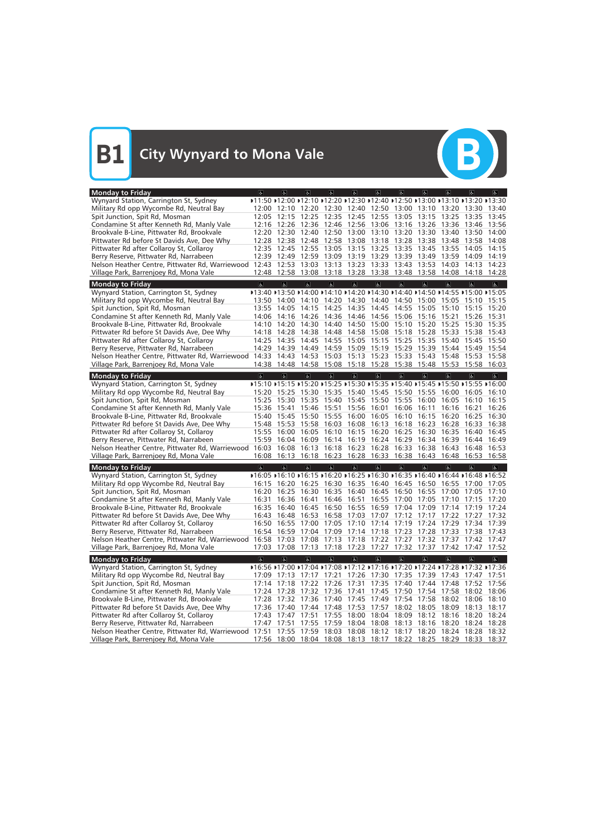

| <b>Monday to Friday</b>                                           | $\sigma$                | $ \mathbf{f} $           | d                                                                                        | d                                  | $\sigma$                            | $\sigma$                | 6 <sup>1</sup>          | $\sigma$                                                                                                 | $\overline{a}$          | $\overline{a}$          | $\sigma$                |
|-------------------------------------------------------------------|-------------------------|--------------------------|------------------------------------------------------------------------------------------|------------------------------------|-------------------------------------|-------------------------|-------------------------|----------------------------------------------------------------------------------------------------------|-------------------------|-------------------------|-------------------------|
| Wynyard Station, Carrington St, Sydney                            |                         |                          | ▶11:50 ▶12:00 ▶12:10 ▶12:20 ▶12:30 ▶12:40 ▶12:50 ▶13:00 ▶13:10 ▶13:20 ▶13:30             |                                    |                                     |                         |                         |                                                                                                          |                         |                         |                         |
| Military Rd opp Wycombe Rd, Neutral Bay                           | 12:00                   | 12:10                    | 12:20                                                                                    | 12:30                              | 12:40                               |                         |                         | 12:50 13:00 13:10 13:20                                                                                  |                         | 13:30                   | 13:40                   |
| Spit Junction, Spit Rd, Mosman                                    | 12:05                   | 12:15                    | 12:25                                                                                    | 12:35                              | 12:45                               | 12:55                   | 13:05                   | 13:15                                                                                                    | 13:25                   | 13:35                   | 13:45                   |
| Condamine St after Kenneth Rd, Manly Vale                         | 12:16                   |                          | 12:26 12:36                                                                              | 12:46                              | 12:56 13:06                         |                         | 13:16                   | 13:26                                                                                                    | 13:36                   | 13:46                   | 13:56                   |
| Brookvale B-Line, Pittwater Rd, Brookvale                         | 12:20                   | 12:30                    | 12:40                                                                                    |                                    | 12:50 13:00 13:10                   |                         | 13:20                   | 13:30                                                                                                    | 13:40                   | 13:50                   | 14:00                   |
| Pittwater Rd before St Davids Ave, Dee Why                        | 12:28                   |                          | 12:38 12:48                                                                              |                                    | 12:58 13:08 13:18 13:28             |                         |                         | 13:38                                                                                                    | 13:48                   | 13:58                   | 14:08                   |
| Pittwater Rd after Collaroy St, Collaroy                          |                         | 12:35 12:45 12:55        |                                                                                          | 13:05                              | 13:15 13:25 13:35 13:45             |                         |                         |                                                                                                          | 13:55                   | 14:05                   | 14:15                   |
| Berry Reserve, Pittwater Rd, Narrabeen                            | 12:39                   | 12:49                    | 12:59                                                                                    | 13:09                              | 13:19 13:29 13:39                   |                         |                         | 13:49                                                                                                    | 13:59                   | 14:09                   | 14:19                   |
| Nelson Heather Centre, Pittwater Rd, Warriewood                   | 12:43                   | 12:53                    | 13:03 13:13                                                                              |                                    | 13:23 13:33 13:43                   |                         |                         | 13:53                                                                                                    | 14:03                   | 14:13                   | 14:23                   |
| Village Park, Barrenjoey Rd, Mona Vale                            | 12:48                   | 12:58                    |                                                                                          |                                    | 13:08 13:18 13:28 13:38 13:48       |                         |                         | 13:58                                                                                                    | 14:08                   | 14:18                   | 14:28                   |
| <b>Monday to Friday</b>                                           | $\overline{\mathbf{c}}$ | $\overline{\infty}$      | $\overline{\mathbf{c}}$                                                                  | $\overline{\mathbf{c}}$            | $\overline{6}$                      | $\overline{6}$          | $\overline{\mathbf{c}}$ | $\overline{\mathbf{c}}$                                                                                  | $\overline{\mathbf{c}}$ | $\overline{a}$          | $\overline{\mathbb{C}}$ |
| Wynyard Station, Carrington St, Sydney                            |                         |                          | ▶13:40 ▶13:50 ▶14:00 ▶14:10 ▶14:20 ▶14:30 ▶14:40 ▶14:50 ▶14:55 ▶15:00 ▶15:05             |                                    |                                     |                         |                         |                                                                                                          |                         |                         |                         |
| Military Rd opp Wycombe Rd, Neutral Bay                           | 13:50                   | 14:00                    | 14:10 14:20                                                                              |                                    | 14:30                               |                         |                         | 14:40 14:50 15:00                                                                                        | 15:05                   | 15:10                   | 15:15                   |
| Spit Junction, Spit Rd, Mosman                                    | 13:55                   | 14:05                    | 14:15                                                                                    | 14:25                              | 14:35                               | 14:45                   | 14:55                   | 15:05                                                                                                    | 15:10                   | 15:15                   | 15:20                   |
| Condamine St after Kenneth Rd, Manly Vale                         | 14:06                   | 14:16                    | 14:26                                                                                    | 14:36                              | 14:46                               | 14:56                   | 15:06                   | 15:16                                                                                                    | 15:21                   | 15:26                   | 15:31                   |
| Brookvale B-Line, Pittwater Rd, Brookvale                         | 14:10                   | 14:20                    | 14:30                                                                                    | 14:40                              | 14:50                               |                         | 15:00 15:10             | 15:20                                                                                                    | 15:25                   | 15:30                   | 15:35                   |
| Pittwater Rd before St Davids Ave, Dee Why                        | 14:18                   | 14:28                    | 14:38                                                                                    | 14:48                              | 14:58                               | 15:08                   | 15:18                   | 15:28                                                                                                    | 15:33                   | 15:38                   | 15:43                   |
| Pittwater Rd after Collaroy St, Collaroy                          | 14:25                   | 14:35                    | 14:45                                                                                    | 14:55                              | 15:05                               | 15:15                   | 15:25                   | 15:35                                                                                                    | 15:40                   | 15:45                   | 15:50                   |
| Berry Reserve, Pittwater Rd, Narrabeen                            | 14:29                   | 14:39                    | 14:49                                                                                    | 14:59                              | 15:09                               | 15:19                   | 15:29                   | 15:39                                                                                                    | 15:44                   | 15:49                   | 15:54                   |
| Nelson Heather Centre, Pittwater Rd, Warriewood 14:33             |                         | 14:43                    | 14:53                                                                                    | 15:03                              | 15:13                               | 15:23                   | 15:33                   | 15:43                                                                                                    | 15:48                   | 15:53                   | 15:58                   |
| Village Park, Barrenjoey Rd, Mona Vale                            | 14:38                   | 14:48                    | 14:58 15:08 15:18 15:28 15:38 15:48                                                      |                                    |                                     |                         |                         |                                                                                                          | 15:53                   | 15:58                   | 16:03                   |
| <b>Monday to Friday</b>                                           | $\overline{a}$          | $\overline{a}$           | $\overline{a}$                                                                           | $\left\vert \mathbf{g}\right\vert$ | $\vert \mathbf{F} \vert$            | $\overline{a}$          | $\sigma$                | $\sigma$                                                                                                 | $\sigma$                | $\sigma$                | $\vert$                 |
| Wynyard Station, Carrington St, Sydney                            |                         |                          | ▶15:10 ▶15:15 ▶15:20 ▶15:25 ▶15:30 ▶15:35 ▶15:40 ▶15:45 ▶15:50 ▶15:55 ▶16:00             |                                    |                                     |                         |                         |                                                                                                          |                         |                         |                         |
| Military Rd opp Wycombe Rd, Neutral Bay                           | 15:20                   | 15:25                    | 15:30                                                                                    | 15:35                              | 15:40                               | 15:45                   | 15:50                   | 15:55                                                                                                    | 16:00                   | 16:05                   | 16:10                   |
| Spit Junction, Spit Rd, Mosman                                    |                         | 15:25 15:30              |                                                                                          |                                    | 15:35 15:40 15:45 15:50 15:55       |                         |                         | 16:00                                                                                                    | 16:05                   | 16:10                   | 16:15                   |
| Condamine St after Kenneth Rd, Manly Vale                         | 15:36                   | 15:41                    | 15:46                                                                                    | 15:51                              | 15:56                               | 16:01                   | 16:06                   | 16:11                                                                                                    | 16:16                   | 16:21                   | 16:26                   |
| Brookvale B-Line, Pittwater Rd, Brookvale                         | 15:40                   | 15:45                    | 15:50                                                                                    | 15:55                              | 16:00                               | 16:05                   | 16:10                   | 16:15                                                                                                    | 16:20                   | 16:25                   | 16:30                   |
| Pittwater Rd before St Davids Ave, Dee Why                        | 15:48                   | 15:53                    | 15:58                                                                                    | 16:03                              | 16:08                               | 16:13                   | 16:18                   | 16:23                                                                                                    | 16:28                   | 16:33                   | 16:38                   |
| Pittwater Rd after Collaroy St, Collaroy                          | 15:55                   | 16:00                    | 16:05                                                                                    | 16:10                              | 16:15                               | 16:20                   | 16:25                   | 16:30                                                                                                    | 16:35                   | 16:40                   | 16:45                   |
| Berry Reserve, Pittwater Rd, Narrabeen                            | 15:59                   | 16:04                    | 16:09                                                                                    | 16:14                              | 16:19                               | 16:24                   | 16:29                   | 16:34                                                                                                    | 16:39                   | 16:44                   | 16:49                   |
| Nelson Heather Centre, Pittwater Rd, Warriewood 16:03             |                         | 16:08                    | 16:13                                                                                    |                                    | 16:18 16:23                         | 16:28                   | 16:33                   | 16:38                                                                                                    | 16:43                   | 16:48                   | 16:53                   |
| Village Park, Barrenjoey Rd, Mona Vale                            | 16:08                   | 16:13                    |                                                                                          |                                    | 16:18 16:23 16:28 16:33 16:38 16:43 |                         |                         |                                                                                                          | 16:48                   | 16:53                   | 16:58                   |
| <b>Monday to Friday</b>                                           | $\overline{a}$          | $\vert \mathbf{F} \vert$ | $\alpha$                                                                                 | $\overline{a}$                     | a                                   | $\sigma$                | $\sigma$                | $\sigma$                                                                                                 | $\overline{a}$          | $\overline{a}$          | d                       |
| Wynyard Station, Carrington St, Sydney                            |                         |                          | ▶16:05 ▶16:10 ▶16:15 ▶16:20 ▶16:25 ▶16:30 ▶16:35 ▶16:40 ▶16:44 ▶16:48 ▶16:52             |                                    |                                     |                         |                         |                                                                                                          |                         |                         |                         |
| Military Rd opp Wycombe Rd, Neutral Bay                           | 16:15                   | 16:20                    | 16:25                                                                                    | 16:30                              | 16:35                               | 16:40                   | 16:45                   | 16:50                                                                                                    | 16:55                   | 17:00                   | 17:05                   |
| Spit Junction, Spit Rd, Mosman                                    | 16:20                   | 16:25                    | 16:30                                                                                    | 16:35                              | 16:40                               | 16:45                   | 16:50                   | 16:55                                                                                                    | 17:00                   | 17:05                   | 17:10                   |
| Condamine St after Kenneth Rd, Manly Vale                         | 16:31                   |                          | 16:36 16:41                                                                              | 16:46                              | 16:51                               |                         |                         | 16:55 17:00 17:05 17:10                                                                                  |                         | 17:15                   | 17:20                   |
| Brookvale B-Line, Pittwater Rd, Brookvale                         |                         |                          | 16:35 16:40 16:45 16:50 16:55 16:59 17:04 17:09 17:14 17:19 17:24                        |                                    |                                     |                         |                         |                                                                                                          |                         |                         |                         |
| Pittwater Rd before St Davids Ave, Dee Why                        |                         |                          | 16:43 16:48 16:53 16:58 17:03 17:07 17:12 17:17 17:22 17:27 17:32                        |                                    |                                     |                         |                         |                                                                                                          |                         |                         |                         |
| Pittwater Rd after Collaroy St, Collaroy                          |                         |                          | 16:50 16:55 17:00 17:05 17:10 17:14 17:19 17:24 17:29 17:34 17:39                        |                                    |                                     |                         |                         |                                                                                                          |                         |                         |                         |
| Berry Reserve, Pittwater Rd, Narrabeen                            |                         |                          | 16:54 16:59 17:04 17:09 17:14 17:18 17:23 17:28 17:33 17:38 17:43                        |                                    |                                     |                         |                         |                                                                                                          |                         |                         |                         |
| Nelson Heather Centre, Pittwater Rd, Warriewood                   |                         |                          | 16:58 17:03 17:08 17:13 17:18 17:22 17:27 17:32 17:37 17:42 17:47                        |                                    |                                     |                         |                         |                                                                                                          |                         |                         |                         |
| Village Park, Barrenjoey Rd, Mona Vale                            |                         |                          | 17:03  17:08  17:13  17:18  17:23  17:27  17:32  17:37  17:42  17:47                     |                                    |                                     |                         |                         |                                                                                                          |                         |                         | 17:52                   |
|                                                                   |                         |                          |                                                                                          |                                    |                                     |                         |                         |                                                                                                          |                         |                         |                         |
| <b>Monday to Friday</b><br>Wynyard Station, Carrington St, Sydney | $\overline{\infty}$     | $\overline{\mathbf{c}}$  | $\alpha$<br>▶16:56 ▶17:00 ▶17:04 ▶17:08 ▶17:12 ▶17:16 ▶17:20 ▶17:24 ▶17:28 ▶17:32 ▶17:36 | $\sigma$                           | $\mathbf{P}$                        | $\overline{\mathbb{G}}$ | $\overline{6}$          | $\overline{\mathbf{e}}$                                                                                  | $\overline{\mathbf{c}}$ | $\overline{\mathbf{r}}$ | $\overline{\mathbf{e}}$ |
|                                                                   |                         |                          |                                                                                          |                                    |                                     |                         |                         | 17:26 17:30 17:35 17:39 17:43 17:47 17:51                                                                |                         |                         |                         |
| Military Rd opp Wycombe Rd, Neutral Bay                           |                         |                          | 17:09 17:13 17:17 17:21<br>17:14 17:18 17:22 17:26 17:31 17:35 17:40 17:44 17:48         |                                    |                                     |                         |                         |                                                                                                          |                         |                         |                         |
| Spit Junction, Spit Rd, Mosman                                    |                         |                          |                                                                                          |                                    |                                     |                         |                         |                                                                                                          |                         | 17:52                   | 17:56                   |
| Condamine St after Kenneth Rd, Manly Vale                         |                         |                          | 17:24 17:28 17:32 17:36 17:41 17:45 17:50 17:54 17:58 18:02 18:06                        |                                    |                                     |                         |                         |                                                                                                          |                         |                         |                         |
| Brookvale B-Line, Pittwater Rd, Brookvale                         |                         |                          | 17:28 17:32 17:36 17:40 17:45 17:49 17:54 17:58 18:02 18:06 18:10                        |                                    |                                     |                         |                         |                                                                                                          |                         |                         |                         |
| Pittwater Rd before St Davids Ave, Dee Why                        |                         |                          | 17:36 17:40 17:44 17:48 17:53 17:57 18:02 18:05 18:09                                    |                                    |                                     |                         |                         |                                                                                                          |                         | 18:13 18:17             |                         |
| Pittwater Rd after Collaroy St, Collaroy                          |                         | 17:43 17:47 17:51        |                                                                                          |                                    |                                     |                         |                         | 17:55 18:00 18:04 18:09 18:12 18:16 18:20 18:24                                                          |                         |                         |                         |
| Berry Reserve, Pittwater Rd, Narrabeen                            | 17:47                   | 17:51                    |                                                                                          |                                    |                                     |                         |                         | 17:55 17:59 18:04 18:08 18:13 18:16 18:20 18:24 18:28<br>18:03 18:08 18:12 18:17 18:20 18:24 18:28 18:32 |                         |                         |                         |
| Nelson Heather Centre, Pittwater Rd, Warriewood                   | 17:51<br>17:56          | 17:55                    | 17:59<br>18:00 18:04 18:08 18:13 18:17 18:22 18:25 18:29                                 |                                    |                                     |                         |                         |                                                                                                          |                         | 18:33 18:37             |                         |
| Village Park, Barrenjoey Rd, Mona Vale                            |                         |                          |                                                                                          |                                    |                                     |                         |                         |                                                                                                          |                         |                         |                         |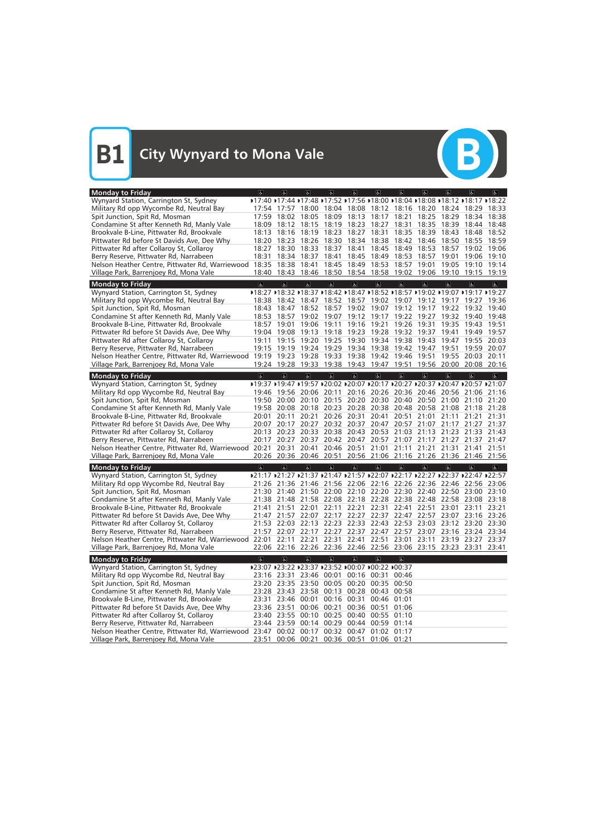

| <b>Monday to Friday</b>                                                                                           | $\sigma$                | $\sigma$                | $\vert$                                                                      | $\sigma$                | $\sigma$                | $\sigma$                            | $\sigma$                | $\sigma$            | $\sigma$                | $\left  \mathbf{F} \right $ | $ \mathbf{e} $          |
|-------------------------------------------------------------------------------------------------------------------|-------------------------|-------------------------|------------------------------------------------------------------------------|-------------------------|-------------------------|-------------------------------------|-------------------------|---------------------|-------------------------|-----------------------------|-------------------------|
| Wynyard Station, Carrington St, Sydney                                                                            |                         |                         | D17:40 D17:44 D17:48 D17:52 D17:56 D18:00 D18:04 D18:08 D18:12 D18:17 D18:22 |                         |                         |                                     |                         |                     |                         |                             |                         |
| Military Rd opp Wycombe Rd, Neutral Bay                                                                           | 17:54                   | 17:57                   | 18:00                                                                        |                         |                         | 18:04 18:08 18:12 18:16             |                         | 18:20               | 18:24                   | 18:29                       | 18:33                   |
| Spit Junction, Spit Rd, Mosman                                                                                    | 17:59                   | 18:02                   | 18:05                                                                        | 18:09                   | 18:13                   | 18:17 18:21                         |                         | 18:25               | 18:29                   | 18:34                       | 18:38                   |
| Condamine St after Kenneth Rd, Manly Vale                                                                         | 18:09                   | 18:12                   | 18:15                                                                        | 18:19                   | 18:23                   | 18:27                               | 18:31                   | 18:35               | 18:39                   | 18:44                       | 18:48                   |
| Brookvale B-Line, Pittwater Rd, Brookvale                                                                         | 18:13                   | 18:16                   | 18:19                                                                        | 18:23                   |                         | 18:27 18:31                         | 18:35                   | 18:39               | 18:43                   | 18:48                       | 18:52                   |
| Pittwater Rd before St Davids Ave, Dee Why                                                                        | 18:20                   | 18:23                   | 18:26                                                                        | 18:30                   |                         | 18:34 18:38                         |                         | 18:42 18:46         | 18:50                   | 18:55                       | 18:59                   |
| Pittwater Rd after Collaroy St, Collaroy                                                                          | 18:27                   | 18:30                   | 18:33                                                                        | 18:37                   | 18:41                   | 18:45                               | 18:49                   | 18:53               | 18:57                   | 19:02                       | 19:06                   |
| Berry Reserve, Pittwater Rd, Narrabeen                                                                            | 18:31                   | 18:34                   | 18:37                                                                        | 18:41                   | 18:45                   | 18:49                               | 18:53                   | 18:57               | 19:01                   | 19:06                       | 19:10                   |
| Nelson Heather Centre, Pittwater Rd, Warriewood 18:35                                                             |                         | 18:38                   | 18:41                                                                        | 18:45                   | 18:49                   | 18:53                               | 18:57                   | 19:01               | 19:05                   | 19:10                       | 19:14                   |
| Village Park, Barrenjoey Rd, Mona Vale                                                                            | 18:40                   | 18:43                   | 18:46                                                                        | 18:50                   |                         | 18:54 18:58 19:02                   |                         | 19:06               | 19:10                   | 19:15                       | 19:19                   |
| <b>Monday to Friday</b>                                                                                           | $\overline{\infty}$     | $\overline{\infty}$     | $\overline{\mathbf{c}}$                                                      | $\overline{\mathbf{e}}$ | $\overline{6}$          | $\overline{6}$                      | $\overline{\mathbf{c}}$ | $\overline{\infty}$ | $\overline{\infty}$     | $\overline{a}$              | $\overline{\mathbf{g}}$ |
| Wynyard Station, Carrington St, Sydney                                                                            |                         |                         | D18:27 D18:32 D18:37 D18:42 D18:47 D18:52 D18:57 D19:02 D19:07 D19:17 D19:27 |                         |                         |                                     |                         |                     |                         |                             |                         |
| Military Rd opp Wycombe Rd, Neutral Bay                                                                           | 18:38                   | 18:42                   | 18:47                                                                        |                         |                         | 18:52 18:57 19:02 19:07 19:12 19:17 |                         |                     |                         | 19:27                       | 19:36                   |
| Spit Junction, Spit Rd, Mosman                                                                                    | 18:43                   | 18:47                   | 18:52                                                                        | 18:57                   |                         | 19:02 19:07 19:12 19:17             |                         |                     | 19:22                   |                             | 19:32 19:40             |
| Condamine St after Kenneth Rd, Manly Vale                                                                         | 18:53                   | 18:57                   | 19:02                                                                        | 19:07                   |                         | 19:12 19:17 19:22                   |                         | 19:27               | 19:32                   | 19:40                       | 19:48                   |
| Brookvale B-Line, Pittwater Rd, Brookvale                                                                         | 18:57                   | 19:01                   | 19:06                                                                        | 19:11                   |                         | 19:16 19:21                         | 19:26                   | 19:31               | 19:35                   | 19:43                       | 19:51                   |
| Pittwater Rd before St Davids Ave, Dee Why                                                                        | 19:04                   | 19:08                   | 19:13                                                                        | 19:18                   | 19:23                   | 19:28                               | 19:32                   | 19:37               | 19:41                   | 19:49                       | 19:57                   |
| Pittwater Rd after Collaroy St, Collaroy                                                                          | 19:11                   | 19:15                   | 19:20                                                                        | 19:25                   |                         | 19:30 19:34 19:38                   |                         | 19:43               | 19:47                   | 19:55                       | 20:03                   |
| Berry Reserve, Pittwater Rd, Narrabeen                                                                            | 19:15                   | 19:19                   | 19:24                                                                        | 19:29                   |                         | 19:34 19:38                         | 19:42                   | 19:47               | 19:51                   | 19:59                       | 20:07                   |
| Nelson Heather Centre, Pittwater Rd, Warriewood 19:19                                                             |                         | 19:23                   | 19:28                                                                        | 19:33                   |                         | 19:38 19:42 19:46                   |                         | 19:51               | 19:55                   | 20:03                       | 20:11                   |
| Village Park, Barrenjoey Rd, Mona Vale                                                                            |                         |                         | 19:24 19:28 19:33                                                            |                         |                         | 19:38 19:43 19:47 19:51             |                         |                     | 19:56 20:00 20:08 20:16 |                             |                         |
|                                                                                                                   |                         |                         |                                                                              |                         |                         |                                     |                         |                     |                         |                             |                         |
| <b>Monday to Friday</b>                                                                                           | $\overline{a}$          | $\overline{a}$          | $\overline{a}$                                                               | $\overline{d}$          | $\sigma$                | $\overline{6}$                      | $\sigma$                | $\overline{a}$      | $\overline{a}$          | $\overline{a}$              | $\overline{\mathbf{r}}$ |
| Wynyard Station, Carrington St, Sydney                                                                            |                         |                         | D19:37 D19:47 D19:57 D20:02 D20:07 D20:17 D20:27 D20:37 D20:47 D20:57 D21:07 |                         |                         |                                     |                         |                     |                         |                             |                         |
| Military Rd opp Wycombe Rd, Neutral Bay                                                                           | 19:46                   |                         | 19:56 20:06                                                                  | 20:11                   |                         | 20:16 20:26 20:36 20:46             |                         |                     | 20:56                   | 21:06                       | 21:16                   |
| Spit Junction, Spit Rd, Mosman                                                                                    | 19:50                   |                         | 20:00 20:10                                                                  |                         |                         | 20:15 20:20 20:30 20:40 20:50       |                         |                     | 21:00                   | 21:10                       | 21:20                   |
| Condamine St after Kenneth Rd, Manly Vale                                                                         | 19:58                   | 20:08                   | 20:18                                                                        |                         |                         | 20:23 20:28 20:38                   | 20:48                   | 20:58               | 21:08                   | 21:18                       | 21:28                   |
| Brookvale B-Line, Pittwater Rd, Brookvale                                                                         | 20:01                   | 20:11                   | 20:21                                                                        | 20:26                   | 20:31                   | 20:41                               | 20:51                   | 21:01               | 21:11                   | 21:21                       | 21:31                   |
| Pittwater Rd before St Davids Ave, Dee Why                                                                        | 20:07                   | 20:17                   | 20:27                                                                        |                         |                         | 20:32 20:37 20:47                   | 20:57                   | 21:07               | 21:17                   | 21:27                       | 21:37                   |
| Pittwater Rd after Collaroy St, Collaroy                                                                          | 20:13                   | 20:23                   | 20:33                                                                        |                         |                         | 20:38 20:43 20:53 21:03             |                         | 21:13               |                         | 21:23 21:33                 | 21:43                   |
| Berry Reserve, Pittwater Rd, Narrabeen                                                                            | 20:17                   | 20:27                   | 20:37                                                                        |                         |                         | 20:42 20:47 20:57                   | 21:07                   | 21:17               | 21:27                   | 21:37                       | 21:47                   |
| Nelson Heather Centre, Pittwater Rd, Warriewood 20:21                                                             |                         | 20:31                   | 20:41                                                                        |                         | 20:46 20:51             | 21:01                               | 21:11                   | 21:21               | 21:31                   | 21:41                       | 21:51                   |
| Village Park, Barrenjoey Rd, Mona Vale                                                                            |                         |                         | 20:26 20:36 20:46 20:51 20:56 21:06 21:16 21:26 21:36 21:46 21:56            |                         |                         |                                     |                         |                     |                         |                             |                         |
| <b>Monday to Friday</b>                                                                                           | $\overline{\mathbf{a}}$ | $\overline{a}$          | $\overline{a}$                                                               | d                       | $\sigma$                | a                                   | $\sigma$                | $\sigma$            | $\overline{a}$          | $\overline{a}$              | $\sigma$                |
| Wynyard Station, Carrington St, Sydney                                                                            |                         |                         | D21:17 D21:27 D21:37 D21:47 D21:57 D22:07 D22:17 D22:27 D22:37 D22:47 D22:57 |                         |                         |                                     |                         |                     |                         |                             |                         |
| Military Rd opp Wycombe Rd, Neutral Bay                                                                           | 21:26                   | 21:36                   | 21:46                                                                        | 21:56                   | 22:06                   | 22:16                               | 22:26                   | 22:36               | 22:46                   | 22:56                       | 23:06                   |
| Spit Junction, Spit Rd, Mosman                                                                                    | 21:30                   | 21:40                   | 21:50                                                                        | 22:00                   |                         | 22:10 22:20                         | 22:30                   | 22:40               | 22:50                   | 23:00                       | 23:10                   |
| Condamine St after Kenneth Rd, Manly Vale                                                                         | 21:38                   |                         | 21:48 21:58 22:08 22:18 22:28 22:38 22:48 22:58 23:08                        |                         |                         |                                     |                         |                     |                         |                             | 23:18                   |
| Brookvale B-Line, Pittwater Rd, Brookvale                                                                         |                         |                         | 21:41 21:51 22:01 22:11 22:21 22:31 22:41 22:51 23:01 23:11 23:21            |                         |                         |                                     |                         |                     |                         |                             |                         |
| Pittwater Rd before St Davids Ave, Dee Why                                                                        |                         |                         | 21:47 21:57 22:07 22:17 22:27 22:37 22:47 22:57 23:07 23:16 23:26            |                         |                         |                                     |                         |                     |                         |                             |                         |
| Pittwater Rd after Collaroy St, Collaroy                                                                          |                         |                         | 21:53 22:03 22:13 22:23 22:33 22:43 22:53 23:03 23:12 23:20 23:30            |                         |                         |                                     |                         |                     |                         |                             |                         |
| Berry Reserve, Pittwater Rd, Narrabeen                                                                            |                         |                         | 21:57 22:07 22:17 22:27 22:37 22:47 22:57 23:07 23:16 23:24 23:34            |                         |                         |                                     |                         |                     |                         |                             |                         |
| Nelson Heather Centre, Pittwater Rd, Warriewood 22:01 22:11 22:21 22:31 22:41 22:51 23:01 23:11 23:19 23:27 23:37 |                         |                         |                                                                              |                         |                         |                                     |                         |                     |                         |                             |                         |
| Village Park, Barrenjoey Rd, Mona Vale                                                                            |                         |                         | 22:06 22:16 22:26 22:36 22:46 22:56 23:06 23:15 23:23 23:31                  |                         |                         |                                     |                         |                     |                         |                             | 23:41                   |
| <b>Monday to Friday</b>                                                                                           | $\overline{\infty}$     | $\overline{\mathbf{c}}$ | $\overline{\mathbf{c}}$                                                      | $\overline{\infty}$     | $\overline{\mathbf{e}}$ | $\overline{6}$                      | $\overline{\mathbf{c}}$ |                     |                         |                             |                         |
| Wynyard Station, Carrington St, Sydney                                                                            |                         |                         | ▶23:07 ▶23:22 ▶23:37 ▶23:52 ▶00:07 ▶00:22 ▶00:37                             |                         |                         |                                     |                         |                     |                         |                             |                         |
| Military Rd opp Wycombe Rd, Neutral Bay                                                                           |                         |                         | 23:16 23:31 23:46 00:01 00:16 00:31 00:46                                    |                         |                         |                                     |                         |                     |                         |                             |                         |
| Spit Junction, Spit Rd, Mosman                                                                                    |                         |                         | 23:20 23:35 23:50 00:05 00:20 00:35 00:50                                    |                         |                         |                                     |                         |                     |                         |                             |                         |
| Condamine St after Kenneth Rd, Manly Vale                                                                         |                         |                         | 23:28 23:43 23:58 00:13 00:28 00:43 00:58                                    |                         |                         |                                     |                         |                     |                         |                             |                         |
| Brookvale B-Line, Pittwater Rd, Brookvale                                                                         |                         | 23:31 23:46 00:01       |                                                                              |                         |                         | 00:16 00:31 00:46 01:01             |                         |                     |                         |                             |                         |
| Pittwater Rd before St Davids Ave, Dee Why                                                                        |                         | 23:36 23:51             |                                                                              |                         |                         | 00:06 00:21 00:36 00:51 01:06       |                         |                     |                         |                             |                         |
| Pittwater Rd after Collaroy St, Collaroy                                                                          |                         |                         | 23:40 23:55 00:10 00:25 00:40 00:55 01:10                                    |                         |                         |                                     |                         |                     |                         |                             |                         |
| Berry Reserve, Pittwater Rd, Narrabeen                                                                            |                         |                         | 23:44 23:59 00:14 00:29 00:44 00:59 01:14                                    |                         |                         |                                     |                         |                     |                         |                             |                         |
| Nelson Heather Centre, Pittwater Rd, Warriewood 23:47 00:02 00:17 00:32 00:47 01:02 01:17                         |                         |                         |                                                                              |                         |                         |                                     |                         |                     |                         |                             |                         |
| Village Park, Barrenjoey Rd, Mona Vale                                                                            | 23:51                   |                         | 00:06 00:21 00:36 00:51 01:06 01:21                                          |                         |                         |                                     |                         |                     |                         |                             |                         |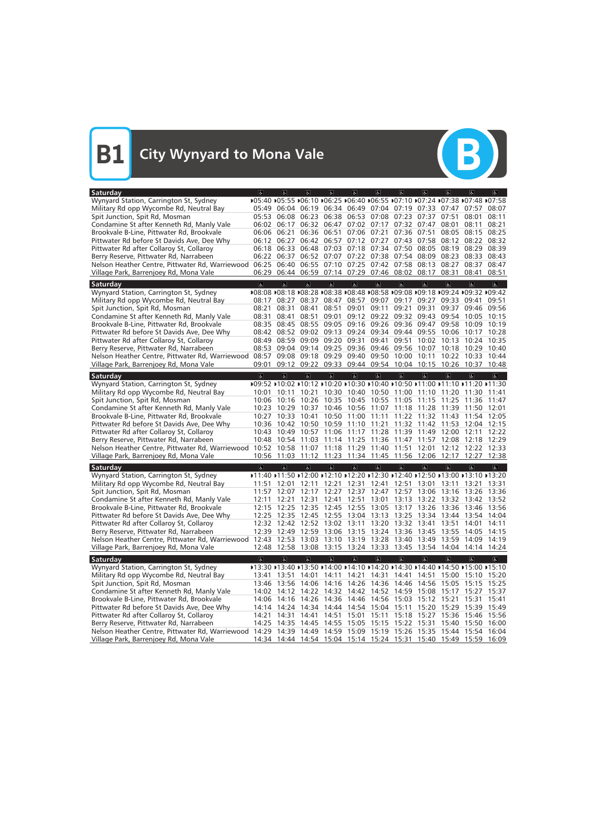| Saturday                                                                                                                                                    | $\sigma$                | $\sigma$                | <sub>6</sub>                                                                 | d                       | $\sigma$                            | $\sigma$                | $\sigma$                | $\sigma$                | $\sigma$                                                                     | $ \mathbf{P} $    | $\left  \mathbf{P} \right $ |
|-------------------------------------------------------------------------------------------------------------------------------------------------------------|-------------------------|-------------------------|------------------------------------------------------------------------------|-------------------------|-------------------------------------|-------------------------|-------------------------|-------------------------|------------------------------------------------------------------------------|-------------------|-----------------------------|
| Wynyard Station, Carrington St, Sydney                                                                                                                      |                         |                         | D05:40 D05:55 D06:10 D06:25 D06:40 D06:55 D07:10 D07:24 D07:38 D07:48 D07:58 |                         |                                     |                         |                         |                         |                                                                              |                   |                             |
| Military Rd opp Wycombe Rd, Neutral Bay                                                                                                                     | 05:49                   |                         | 06:04 06:19                                                                  |                         | 06:34 06:49 07:04 07:19 07:33       |                         |                         |                         | 07:47                                                                        | 07:57             | 08:07                       |
| Spit Junction, Spit Rd, Mosman                                                                                                                              | 05:53                   | 06:08                   | 06:23                                                                        | 06:38                   | 06:53                               | 07:08                   | 07:23                   | 07:37                   | 07:51                                                                        | 08:01             | 08:11                       |
| Condamine St after Kenneth Rd, Manly Vale                                                                                                                   | 06:02                   | 06:17                   | 06:32                                                                        |                         | 06:47 07:02                         | 07:17                   | 07:32                   | 07:47                   | 08:01                                                                        | 08:11             | 08:21                       |
| Brookvale B-Line, Pittwater Rd, Brookvale                                                                                                                   | 06:06                   | 06:21                   | 06:36                                                                        | 06:51                   | 07:06                               | 07:21                   | 07:36                   | 07:51                   | 08:05                                                                        | 08:15             | 08:25                       |
| Pittwater Rd before St Davids Ave, Dee Why                                                                                                                  | 06:12                   | 06:27                   | 06:42                                                                        | 06:57                   | 07:12                               | 07:27                   | 07:43                   | 07:58                   | 08:12                                                                        | 08:22             | 08:32                       |
|                                                                                                                                                             | 06:18                   | 06:33                   | 06:48                                                                        |                         | 07:03 07:18                         | 07:34                   | 07:50                   | 08:05                   | 08:19                                                                        | 08:29             | 08:39                       |
| Pittwater Rd after Collaroy St, Collaroy                                                                                                                    |                         |                         |                                                                              |                         |                                     |                         |                         |                         |                                                                              |                   |                             |
| Berry Reserve, Pittwater Rd, Narrabeen                                                                                                                      | 06:22                   | 06:37                   | 06:52                                                                        |                         | 07:07 07:22 07:38                   |                         | 07:54                   | 08:09                   | 08:23                                                                        | 08:33             | 08:43                       |
| Nelson Heather Centre, Pittwater Rd, Warriewood                                                                                                             | 06:25                   | 06:40                   |                                                                              | 06:55 07:10             |                                     | 07:25 07:42             | 07:58                   | 08:13                   | 08:27                                                                        | 08:37             | 08:47                       |
| Village Park, Barrenjoey Rd, Mona Vale                                                                                                                      | 06:29                   | 06:44                   |                                                                              |                         | 06:59 07:14 07:29 07:46 08:02       |                         |                         | 08:17                   | 08:31                                                                        | 08:41             | 08:51                       |
| Saturday                                                                                                                                                    | $\overline{\sigma}$     | $\overline{6}$          | $\sigma$                                                                     | $\sigma$                | $\sigma$                            | $\overline{6}$          | $\overline{6}$          | ब                       | $\overline{\mathbf{c}}$                                                      | $\overline{a}$    | $ \mathbf{P} $              |
| Wynyard Station, Carrington St, Sydney                                                                                                                      |                         |                         | ▶08:08 ▶08:18 ▶08:28 ▶08:38 ▶08:48 ▶08:58 ▶09:08 ▶09:18 ▶09:24 ▶09:32 ▶09:42 |                         |                                     |                         |                         |                         |                                                                              |                   |                             |
| Military Rd opp Wycombe Rd, Neutral Bay                                                                                                                     | 08:17                   | 08:27                   | 08:37                                                                        | 08:47                   | 08:57                               | 09:07                   | 09:17                   | 09:27                   | 09:33                                                                        | 09:41             | 09:51                       |
|                                                                                                                                                             | 08:21                   | 08:31                   | 08:41                                                                        | 08:51                   | 09:01                               | 09:11                   | 09:21                   | 09:31                   | 09:37                                                                        | 09:46             | 09:56                       |
| Spit Junction, Spit Rd, Mosman                                                                                                                              |                         |                         |                                                                              |                         |                                     |                         |                         |                         |                                                                              |                   |                             |
| Condamine St after Kenneth Rd, Manly Vale                                                                                                                   | 08:31                   | 08:41                   | 08:51                                                                        | 09:01                   | 09:12                               | 09:22                   | 09:32                   | 09:43                   | 09:54                                                                        | 10:05             | 10:15                       |
| Brookvale B-Line, Pittwater Rd, Brookvale                                                                                                                   | 08:35                   | 08:45                   |                                                                              |                         | 08:55 09:05 09:16 09:26 09:36       |                         |                         | 09:47                   | 09:58                                                                        | 10:09             | 10:19                       |
| Pittwater Rd before St Davids Ave, Dee Why                                                                                                                  | 08:42                   | 08:52                   | 09:02                                                                        |                         | 09:13 09:24 09:34                   |                         | 09:44                   | 09:55                   | 10:06                                                                        | 10:17             | 10:28                       |
| Pittwater Rd after Collaroy St, Collaroy                                                                                                                    | 08:49                   | 08:59                   | 09:09                                                                        | 09:20                   | 09:31                               | 09:41                   | 09:51                   | 10:02                   | 10:13                                                                        | 10:24             | 10:35                       |
| Berry Reserve, Pittwater Rd, Narrabeen                                                                                                                      | 08:53                   | 09:04                   | 09:14                                                                        |                         | 09:25 09:36 09:46 09:56             |                         |                         | 10:07                   | 10:18                                                                        | 10:29             | 10:40                       |
| Nelson Heather Centre, Pittwater Rd, Warriewood                                                                                                             | 08:57                   | 09:08                   | 09:18                                                                        | 09:29                   | 09:40                               |                         | 09:50 10:00             | 10:11                   | 10:22                                                                        | 10:33             | 10:44                       |
| Village Park, Barrenjoey Rd, Mona Vale                                                                                                                      | 09:01                   | 09:12                   | 09:22                                                                        |                         | 09:33 09:44 09:54                   |                         | 10:04                   | 10:15                   | 10:26                                                                        | 10:37             | 10:48                       |
| Saturday                                                                                                                                                    | $\overline{a}$          | $\overline{a}$          | $\overline{a}$                                                               | $\overline{a}$          | $\overline{\mathbf{e}}$             | $\overline{\mathbf{G}}$ | $\overline{6}$          | $\overline{a}$          | $\overline{a}$                                                               | $\overline{a}$    | $\overline{\mathbf{r}}$     |
|                                                                                                                                                             |                         |                         |                                                                              |                         |                                     |                         |                         |                         |                                                                              |                   |                             |
| Wynyard Station, Carrington St, Sydney                                                                                                                      |                         |                         | ▶09:52 ▶10:02 ▶10:12 ▶10:20 ▶10:30 ▶10:40 ▶10:50 ▶11:00 ▶11:10 ▶11:20 ▶11:30 |                         |                                     |                         |                         |                         |                                                                              |                   |                             |
| Military Rd opp Wycombe Rd, Neutral Bay                                                                                                                     | 10:01                   | 10:11                   | 10:21                                                                        | 10:30                   | 10:40                               | 10:50 11:00             |                         | 11:10                   | 11:20                                                                        | 11:30             | 11:41                       |
| Spit Junction, Spit Rd, Mosman                                                                                                                              | 10:06                   | 10:16                   | 10:26                                                                        | 10:35                   | 10:45 10:55 11:05                   |                         |                         | 11:15                   | 11:25                                                                        | 11:36             | 11:47                       |
| Condamine St after Kenneth Rd, Manly Vale                                                                                                                   | 10:23                   | 10:29                   | 10:37                                                                        | 10:46                   |                                     | 10:56 11:07 11:18       |                         | 11:28                   | 11:39                                                                        | 11:50             | 12:01                       |
| Brookvale B-Line, Pittwater Rd, Brookvale                                                                                                                   | 10:27                   | 10:33                   | 10:41                                                                        | 10:50                   |                                     | 11:00 11:11             | 11:22                   | 11:32                   | 11:43                                                                        | 11:54             | 12:05                       |
| Pittwater Rd before St Davids Ave, Dee Why                                                                                                                  |                         | 10:36 10:42             | 10:50                                                                        | 10:59                   |                                     | 11:10 11:21             | 11:32                   | 11:42                   | 11:53                                                                        | 12:04 12:15       |                             |
| Pittwater Rd after Collaroy St, Collaroy                                                                                                                    | 10:43                   | 10:49                   | 10:57                                                                        | 11:06                   |                                     | 11:17 11:28 11:39       |                         | 11:49                   | 12:00                                                                        | 12:11             | 12:22                       |
| Berry Reserve, Pittwater Rd, Narrabeen                                                                                                                      | 10:48                   | 10:54                   | 11:03                                                                        | 11:14                   |                                     | 11:25 11:36 11:47       |                         | 11:57                   | 12:08                                                                        | 12:18             | 12:29                       |
| Nelson Heather Centre, Pittwater Rd, Warriewood 10:52                                                                                                       |                         | 10:58                   | 11:07                                                                        | 11:18                   | 11:29                               | 11:40                   | 11:51                   | 12:01                   | 12:12                                                                        | 12:22             | 12:33                       |
| Village Park, Barrenjoey Rd, Mona Vale                                                                                                                      | 10:56                   | 11:03                   | 11:12                                                                        | 11:23                   | 11:34                               | 11:45                   | 11:56                   | 12:06                   | 12:17                                                                        | 12:27             | 12:38                       |
|                                                                                                                                                             |                         |                         |                                                                              |                         |                                     |                         |                         |                         |                                                                              |                   |                             |
| Saturday                                                                                                                                                    | $\sigma$                | $\overline{a}$          | $\sigma$                                                                     | $\overline{a}$          | $\overline{6}$                      | $\sigma$                | $\alpha$                | $\sigma$                | $\overline{a}$                                                               | $\overline{a}$    | $\sigma$                    |
| Wynyard Station, Carrington St, Sydney                                                                                                                      |                         |                         |                                                                              |                         |                                     |                         |                         |                         |                                                                              |                   |                             |
| Military Rd opp Wycombe Rd, Neutral Bay                                                                                                                     |                         |                         |                                                                              |                         |                                     |                         |                         |                         | ▶11:40 ▶11:50 ▶12:00 ▶12:10 ▶12:20 ▶12:30 ▶12:40 ▶12:50 ▶13:00 ▶13:10 ▶13:20 |                   |                             |
|                                                                                                                                                             | 11:51                   | 12:01                   | 12:11                                                                        | 12:21                   | 12:31                               | 12:41                   | 12:51                   | 13:01                   | 13:11                                                                        | 13:21             | 13:31                       |
| Spit Junction, Spit Rd, Mosman                                                                                                                              | 11:57                   | 12:07                   | 12:17                                                                        | 12:27                   | 12:37                               | 12:47                   | 12:57                   | 13:06                   | 13:16                                                                        | 13:26             | 13:36                       |
| Condamine St after Kenneth Rd, Manly Vale                                                                                                                   | 12:11                   | 12:21                   | 12:31 12:41                                                                  |                         |                                     |                         |                         |                         | 12:51 13:01 13:13 13:22 13:32 13:42 13:52                                    |                   |                             |
| Brookvale B-Line, Pittwater Rd, Brookvale                                                                                                                   | 12:15                   | 12:25                   | 12:35 12:45 12:55 13:05 13:17 13:26 13:36 13:46 13:56                        |                         |                                     |                         |                         |                         |                                                                              |                   |                             |
| Pittwater Rd before St Davids Ave, Dee Why                                                                                                                  |                         |                         | 12:25 12:35 12:45 12:55 13:04 13:13 13:25 13:34 13:44 13:54 14:04            |                         |                                     |                         |                         |                         |                                                                              |                   |                             |
|                                                                                                                                                             |                         |                         | 12:32 12:42 12:52 13:02 13:11 13:20 13:32 13:41 13:51                        |                         |                                     |                         |                         |                         |                                                                              | 14:01             | 14:11                       |
| Pittwater Rd after Collaroy St, Collaroy                                                                                                                    |                         |                         |                                                                              |                         |                                     |                         |                         |                         |                                                                              | 14:05             | 14:15                       |
| Berry Reserve, Pittwater Rd, Narrabeen                                                                                                                      |                         |                         | 12:39 12:49 12:59 13:06 13:15 13:24 13:36 13:45 13:55                        |                         |                                     |                         |                         |                         |                                                                              |                   |                             |
| Nelson Heather Centre, Pittwater Rd, Warriewood 12:43 12:53 13:03 13:10 13:19 13:28 13:40 13:49 13:59                                                       |                         |                         |                                                                              |                         |                                     |                         |                         |                         |                                                                              | 14:09 14:19       |                             |
| Village Park, Barrenjoey Rd, Mona Vale                                                                                                                      |                         |                         | 12:48 12:58 13:08 13:15 13:24 13:33 13:45 13:54 14:04 14:14 14:24            |                         |                                     |                         |                         |                         |                                                                              |                   |                             |
| Saturday                                                                                                                                                    | $\overline{\mathbf{c}}$ | $\overline{\mathbf{c}}$ | $\overline{\mathbf{r}}$                                                      | $\overline{\mathbb{Q}}$ | $\overline{6}$                      | $\overline{\mathbf{e}}$ | $\overline{\mathbf{c}}$ | $\overline{\mathbf{c}}$ | $\overline{\mathbf{c}}$                                                      | $\overline{6}$    | $\mathbf{P}$                |
| Wynyard Station, Carrington St, Sydney                                                                                                                      |                         |                         | ▶13:30 ▶13:40 ▶13:50 ▶14:00 ▶14:10 ▶14:20 ▶14:30 ▶14:40 ▶14:50 ▶15:00 ▶15:10 |                         |                                     |                         |                         |                         |                                                                              |                   |                             |
| Military Rd opp Wycombe Rd, Neutral Bay                                                                                                                     |                         | 13:41 13:51             | 14:01 14:11                                                                  |                         |                                     |                         |                         |                         | 14:21 14:31 14:41 14:51 15:00 15:10 15:20                                    |                   |                             |
| Spit Junction, Spit Rd, Mosman                                                                                                                              |                         |                         | 13:46 13:56 14:06 14:16 14:26 14:36 14:46 14:56 15:05 15:15 15:25            |                         |                                     |                         |                         |                         |                                                                              |                   |                             |
| Condamine St after Kenneth Rd, Manly Vale                                                                                                                   |                         |                         | 14:02 14:12 14:22 14:32 14:42 14:52 14:59 15:08 15:17 15:27 15:37            |                         |                                     |                         |                         |                         |                                                                              |                   |                             |
| Brookvale B-Line, Pittwater Rd, Brookvale                                                                                                                   |                         |                         | 14:06 14:16 14:26                                                            |                         | 14:36 14:46 14:56 15:03 15:12 15:21 |                         |                         |                         |                                                                              | 15:31             | 15:41                       |
|                                                                                                                                                             |                         |                         |                                                                              |                         |                                     |                         |                         | 15:20                   | 15:29                                                                        | 15:39 15:49       |                             |
| Pittwater Rd before St Davids Ave, Dee Why                                                                                                                  |                         |                         | 14:14 14:24 14:34 14:44 14:54 15:04 15:11<br>14:41                           |                         |                                     |                         |                         |                         |                                                                              |                   |                             |
| Pittwater Rd after Collaroy St, Collaroy                                                                                                                    |                         | 14:21 14:31             |                                                                              | 14:51                   |                                     |                         |                         |                         | 15:01 15:11 15:18 15:27 15:36 15:46 15:56                                    |                   |                             |
| Berry Reserve, Pittwater Rd, Narrabeen                                                                                                                      |                         |                         | 14:25 14:35 14:45 14:55 15:05 15:15 15:22 15:31                              |                         |                                     |                         |                         |                         |                                                                              | 15:40 15:50 16:00 |                             |
| Nelson Heather Centre, Pittwater Rd, Warriewood 14:29 14:39 14:49 14:59 15:09 15:19 15:26 15:35 15:44 15:54 16:04<br>Village Park, Barrenjoey Rd, Mona Vale |                         |                         | 14:34 14:44 14:54 15:04 15:14 15:24 15:31 15:40 15:49 15:59 16:09            |                         |                                     |                         |                         |                         |                                                                              |                   |                             |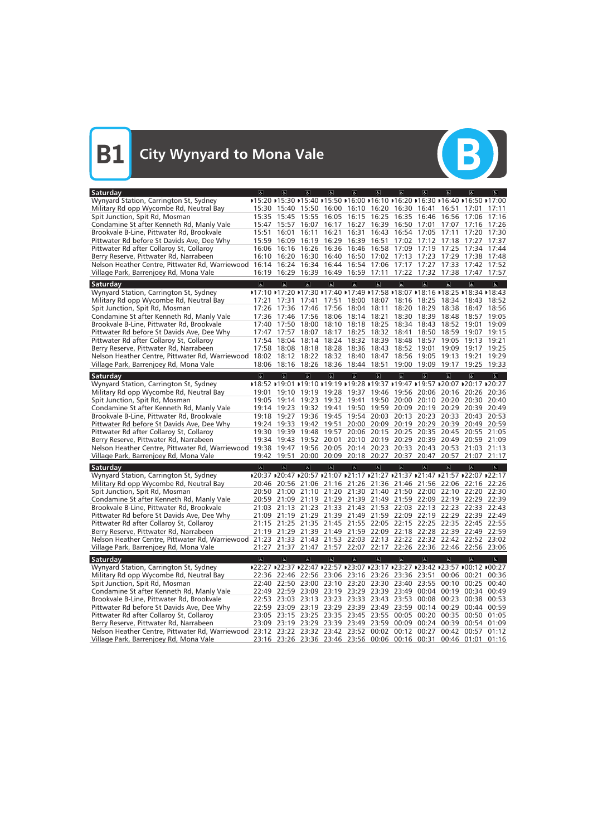

| Saturday                                                                                                          | $\sigma$            | $ \mathbf{r} $          | d                       | $\sigma$                      | $\sigma$                | $\sigma$                | 6                                                                            | $\sigma$                | $\sigma$                | $\sqrt{2}$              | $\sigma$                |
|-------------------------------------------------------------------------------------------------------------------|---------------------|-------------------------|-------------------------|-------------------------------|-------------------------|-------------------------|------------------------------------------------------------------------------|-------------------------|-------------------------|-------------------------|-------------------------|
| Wynyard Station, Carrington St, Sydney                                                                            |                     |                         |                         |                               |                         |                         | ▶15:20 ▶15:30 ▶15:40 ▶15:50 ▶16:00 ▶16:10 ▶16:20 ▶16:30 ▶16:40 ▶16:50 ▶17:00 |                         |                         |                         |                         |
| Military Rd opp Wycombe Rd, Neutral Bay                                                                           | 15:30               | 15:40                   | 15:50                   | 16:00                         | 16:10                   | 16:20                   | 16:30                                                                        | 16:41                   | 16:51                   | 17:01                   | 17:11                   |
| Spit Junction, Spit Rd, Mosman                                                                                    | 15:35               | 15:45                   | 15:55                   | 16:05                         | 16:15                   | 16:25                   | 16:35                                                                        | 16:46                   | 16:56                   | 17:06                   | 17:16                   |
| Condamine St after Kenneth Rd, Manly Vale                                                                         | 15:47               | 15:57                   | 16:07                   | 16:17                         | 16:27                   | 16:39                   | 16:50                                                                        | 17:01                   | 17:07                   | 17:16                   | 17:26                   |
| Brookvale B-Line, Pittwater Rd, Brookvale                                                                         | 15:51               | 16:01                   | 16:11                   | 16:21                         | 16:31                   | 16:43                   | 16:54                                                                        | 17:05                   | 17:11                   | 17:20                   | 17:30                   |
| Pittwater Rd before St Davids Ave, Dee Why                                                                        | 15:59               | 16:09                   | 16:19                   | 16:29                         | 16:39                   | 16:51                   | 17:02                                                                        | 17:12                   | 17:18                   | 17:27                   | 17:37                   |
| Pittwater Rd after Collaroy St, Collaroy                                                                          | 16:06               | 16:16                   | 16:26                   | 16:36                         | 16:46                   | 16:58                   | 17:09                                                                        | 17:19                   | 17:25                   | 17:34                   | 17:44                   |
| Berry Reserve, Pittwater Rd, Narrabeen                                                                            | 16:10               | 16:20                   | 16:30                   | 16:40                         | 16:50                   | 17:02                   | 17:13                                                                        | 17:23                   | 17:29                   | 17:38                   | 17:48                   |
| Nelson Heather Centre, Pittwater Rd, Warriewood                                                                   | 16:14               | 16:24                   | 16:34                   | 16:44                         | 16:54                   | 17:06                   | 17:17                                                                        | 17:27                   | 17:33                   | 17:42                   | 17:52                   |
| Village Park, Barrenjoey Rd, Mona Vale                                                                            | 16:19               | 16:29                   | 16:39                   | 16:49                         | 16:59                   | 17:11                   | 17:22                                                                        | 17:32                   | 17:38                   | 17:47                   | 17:57                   |
| <b>Saturday</b>                                                                                                   | $\overline{\infty}$ | $\overline{\alpha}$     | $\overline{\mathbf{c}}$ | $\overline{\mathbb{G}}$       | $\overline{\mathbf{e}}$ | $\overline{b}$          | $\overline{\Delta}$                                                          | $\overline{\mathbf{c}}$ | $\overline{\mathbf{c}}$ | $\overline{a}$          | $\overline{d}$          |
| Wynyard Station, Carrington St, Sydney                                                                            |                     |                         |                         |                               |                         |                         | ▶17:10 ▶17:20 ▶17:30 ▶17:40 ▶17:49 ▶17:58 ▶18:07 ▶18:16 ▶18:25 ▶18:34 ▶18:43 |                         |                         |                         |                         |
| Military Rd opp Wycombe Rd, Neutral Bay                                                                           | 17:21               | 17:31                   | 17:41                   | 17:51                         | 18:00                   | 18:07                   |                                                                              | 18:16 18:25             |                         | 18:34 18:43             | 18:52                   |
| Spit Junction, Spit Rd, Mosman                                                                                    | 17:26               | 17:36                   | 17:46                   | 17:56                         | 18:04                   | 18:11                   | 18:20                                                                        | 18:29                   | 18:38                   | 18:47                   | 18:56                   |
| Condamine St after Kenneth Rd, Manly Vale                                                                         | 17:36               | 17:46                   | 17:56                   | 18:06                         | 18:14                   | 18:21                   | 18:30                                                                        | 18:39                   | 18:48                   | 18:57                   | 19:05                   |
| Brookvale B-Line, Pittwater Rd, Brookvale                                                                         | 17:40               | 17:50                   | 18:00                   | 18:10                         | 18:18                   | 18:25                   | 18:34                                                                        | 18:43                   | 18:52                   | 19:01                   | 19:09                   |
| Pittwater Rd before St Davids Ave, Dee Why                                                                        | 17:47               | 17:57                   | 18:07                   | 18:17                         | 18:25                   | 18:32                   | 18:41                                                                        | 18:50                   | 18:59                   | 19:07                   | 19:15                   |
| Pittwater Rd after Collaroy St, Collaroy                                                                          | 17:54               | 18:04                   | 18:14                   | 18:24                         | 18:32                   | 18:39                   | 18:48                                                                        | 18:57                   | 19:05                   | 19:13                   | 19:21                   |
| Berry Reserve, Pittwater Rd, Narrabeen                                                                            | 17:58               | 18:08                   | 18:18                   | 18:28                         | 18:36                   | 18:43                   | 18:52                                                                        | 19:01                   | 19:09                   | 19:17                   | 19:25                   |
| Nelson Heather Centre, Pittwater Rd, Warriewood 18:02                                                             |                     | 18:12                   | 18:22                   | 18:32                         | 18:40                   | 18:47                   | 18:56                                                                        | 19:05                   | 19:13                   | 19:21                   | 19:29                   |
| Village Park, Barrenjoey Rd, Mona Vale                                                                            | 18:06               |                         |                         | 18:16 18:26 18:36 18:44 18:51 |                         |                         | 19:00                                                                        | 19:09                   | 19:17                   | 19:25                   | 19:33                   |
|                                                                                                                   |                     |                         |                         |                               |                         |                         |                                                                              |                         |                         |                         |                         |
| Saturday                                                                                                          | $\overline{a}$      | $\overline{\mathbf{c}}$ | $\overline{a}$          | $\overline{a}$                | $\sigma$                | $\overline{6}$          | $\overline{b}$                                                               | $\overline{a}$          | $\overline{\mathbf{c}}$ | $\overline{a}$          | $\vert$                 |
| Wynyard Station, Carrington St, Sydney                                                                            |                     |                         |                         |                               |                         |                         | ▶18:52 ▶19:01 ▶19:10 ▶19:19 ▶19:28 ▶19:37 ▶19:47 ▶19:57 ▶20:07 ▶20:17 ▶20:27 |                         |                         |                         |                         |
| Military Rd opp Wycombe Rd, Neutral Bay                                                                           | 19:01               | 19:10                   | 19:19                   | 19:28                         | 19:37                   | 19:46                   | 19:56                                                                        | 20:06                   | 20:16                   | 20:26                   | 20:36                   |
| Spit Junction, Spit Rd, Mosman                                                                                    | 19:05               | 19:14 19:23             |                         | 19:32                         | 19:41                   | 19:50                   | 20:00                                                                        | 20:10                   | 20:20                   | 20:30                   | 20:40                   |
| Condamine St after Kenneth Rd, Manly Vale                                                                         | 19:14               | 19:23                   | 19:32                   | 19:41                         | 19:50                   | 19:59                   | 20:09                                                                        | 20:19                   | 20:29                   | 20:39                   | 20:49                   |
| Brookvale B-Line, Pittwater Rd, Brookvale                                                                         | 19:18               | 19:27                   | 19:36                   | 19:45                         | 19:54                   | 20:03                   | 20:13                                                                        | 20:23                   | 20:33                   | 20:43                   | 20:53                   |
| Pittwater Rd before St Davids Ave, Dee Why                                                                        | 19:24               | 19:33                   | 19:42                   | 19:51                         | 20:00                   | 20:09                   | 20:19                                                                        | 20:29                   | 20:39                   | 20:49                   | 20:59                   |
| Pittwater Rd after Collaroy St, Collaroy                                                                          | 19:30               | 19:39                   | 19:48                   | 19:57                         |                         | 20:06 20:15             | 20:25                                                                        | 20:35                   | 20:45                   | 20:55                   | 21:05                   |
| Berry Reserve, Pittwater Rd, Narrabeen                                                                            |                     | 19:34 19:43             | 19:52                   | 20:01                         | 20:10                   | 20:19                   | 20:29                                                                        | 20:39                   | 20:49                   | 20:59                   | 21:09                   |
| Nelson Heather Centre, Pittwater Rd, Warriewood 19:38                                                             |                     | 19:47                   | 19:56                   | 20:05                         |                         | 20:14 20:23             | 20:33                                                                        | 20:43                   | 20:53                   | 21:03                   | 21:13                   |
| Village Park, Barrenjoey Rd, Mona Vale                                                                            | 19:42               | 19:51                   |                         | 20:00 20:09 20:18 20:27 20:37 |                         |                         |                                                                              | 20:47                   | 20:57                   | 21:07                   | 21:17                   |
| Saturday                                                                                                          | $\overline{a}$      | $\overline{a}$          | $\alpha$                | $\overline{a}$                | a                       | $\delta$                | $\overline{a}$                                                               | $\sigma$                | $\sigma$                | $\overline{a}$          | $\sigma$                |
| Wynyard Station, Carrington St, Sydney                                                                            |                     |                         |                         |                               |                         |                         | ▶20:37 ▶20:47 ▶20:57 ▶21:07 ▶21:17 ▶21:27 ▶21:37 ▶21:47 ▶21:57 ▶22:07 ▶22:17 |                         |                         |                         |                         |
| Military Rd opp Wycombe Rd, Neutral Bay                                                                           | 20:46               | 20:56                   | 21:06                   | 21:16                         | 21:26                   | 21:36                   | 21:46                                                                        | 21:56                   | 22:06                   | 22:16                   | 22:26                   |
| Spit Junction, Spit Rd, Mosman                                                                                    | 20:50               | 21:00                   | 21:10                   | 21:20                         | 21:30                   | 21:40                   | 21:50                                                                        | 22:00                   | 22:10                   | 22:20                   | 22:30                   |
| Condamine St after Kenneth Rd, Manly Vale                                                                         | 20:59               |                         |                         |                               |                         |                         | 21:09 21:19 21:29 21:39 21:49 21:59 22:09                                    |                         |                         | 22:19 22:29             | 22:39                   |
| Brookvale B-Line, Pittwater Rd, Brookvale                                                                         |                     |                         |                         |                               |                         |                         | 21:03 21:13 21:23 21:33 21:43 21:53 22:03 22:13 22:23 22:33 22:43            |                         |                         |                         |                         |
| Pittwater Rd before St Davids Ave, Dee Why                                                                        |                     |                         |                         |                               |                         |                         | 21:09 21:19 21:29 21:39 21:49 21:59 22:09 22:19 22:29 22:39 22:49            |                         |                         |                         |                         |
| Pittwater Rd after Collaroy St, Collaroy                                                                          |                     |                         |                         |                               |                         |                         | 21:15 21:25 21:35 21:45 21:55 22:05 22:15 22:25 22:35 22:45 22:55            |                         |                         |                         |                         |
| Berry Reserve, Pittwater Rd, Narrabeen                                                                            |                     |                         |                         |                               |                         |                         | 21:19 21:29 21:39 21:49 21:59 22:09 22:18 22:28 22:39 22:49 22:59            |                         |                         |                         |                         |
| Nelson Heather Centre, Pittwater Rd, Warriewood                                                                   |                     |                         |                         |                               |                         |                         | 21:23 21:33 21:43 21:53 22:03 22:13 22:22 22:32 22:42 22:52 23:02            |                         |                         |                         |                         |
| Village Park, Barrenjoey Rd, Mona Vale                                                                            |                     |                         |                         |                               |                         |                         | 21:27 21:37 21:47 21:57 22:07 22:17 22:26 22:36 22:46 22:56 23:06            |                         |                         |                         |                         |
| Saturday                                                                                                          | $\overline{\infty}$ | $\overline{\mathbf{c}}$ | $\overline{\mathbf{e}}$ | $\sigma$                      | $\mathbf{P}$            | $\overline{\mathbf{e}}$ | $\overline{\mathbf{e}}$                                                      | $\overline{\mathbf{e}}$ | $\overline{\mathbf{c}}$ | $\overline{\mathbf{r}}$ | $\overline{\mathbf{e}}$ |
| Wynyard Station, Carrington St, Sydney                                                                            |                     |                         |                         |                               |                         |                         | ▶22:27 ▶22:37 ▶22:47 ▶22:57 ▶23:07 ▶23:17 ▶23:27 ▶23:42 ▶23:57 ▶00:12 ▶00:27 |                         |                         |                         |                         |
| Military Rd opp Wycombe Rd, Neutral Bay                                                                           |                     |                         |                         |                               |                         |                         | 22:36 22:46 22:56 23:06 23:16 23:26 23:36 23:51 00:06 00:21 00:36            |                         |                         |                         |                         |
| Spit Junction, Spit Rd, Mosman                                                                                    |                     |                         |                         |                               |                         |                         | 22:40 22:50 23:00 23:10 23:20 23:30 23:40 23:55 00:10 00:25 00:40            |                         |                         |                         |                         |
| Condamine St after Kenneth Rd, Manly Vale                                                                         |                     |                         |                         |                               |                         |                         | 22:49 22:59 23:09 23:19 23:29 23:39 23:49 00:04 00:19 00:34 00:49            |                         |                         |                         |                         |
| Brookvale B-Line, Pittwater Rd, Brookvale                                                                         |                     |                         |                         |                               |                         |                         | 22:53 23:03 23:13 23:23 23:33 23:43 23:53 00:08 00:23 00:38 00:53            |                         |                         |                         |                         |
| Pittwater Rd before St Davids Ave, Dee Why                                                                        |                     |                         |                         |                               |                         |                         | 22:59 23:09 23:19 23:29 23:39 23:49 23:59 00:14 00:29 00:44 00:59            |                         |                         |                         |                         |
| Pittwater Rd after Collaroy St, Collaroy                                                                          |                     |                         |                         |                               |                         |                         | 23:05 23:15 23:25 23:35 23:45 23:55 00:05 00:20 00:35 00:50 01:05            |                         |                         |                         |                         |
| Berry Reserve, Pittwater Rd, Narrabeen                                                                            |                     |                         |                         |                               |                         |                         | 23:09 23:19 23:29 23:39 23:49 23:59 00:09 00:24 00:39 00:54 01:09            |                         |                         |                         |                         |
| Nelson Heather Centre, Pittwater Rd, Warriewood 23:12 23:22 23:32 23:42 23:52 00:02 00:12 00:27 00:42 00:57 01:12 |                     |                         |                         |                               |                         |                         |                                                                              |                         |                         |                         |                         |
| Village Park, Barrenjoey Rd, Mona Vale                                                                            |                     |                         |                         |                               |                         |                         | 23:16 23:26 23:36 23:46 23:56 00:06 00:16 00:31 00:46 01:01 01:16            |                         |                         |                         |                         |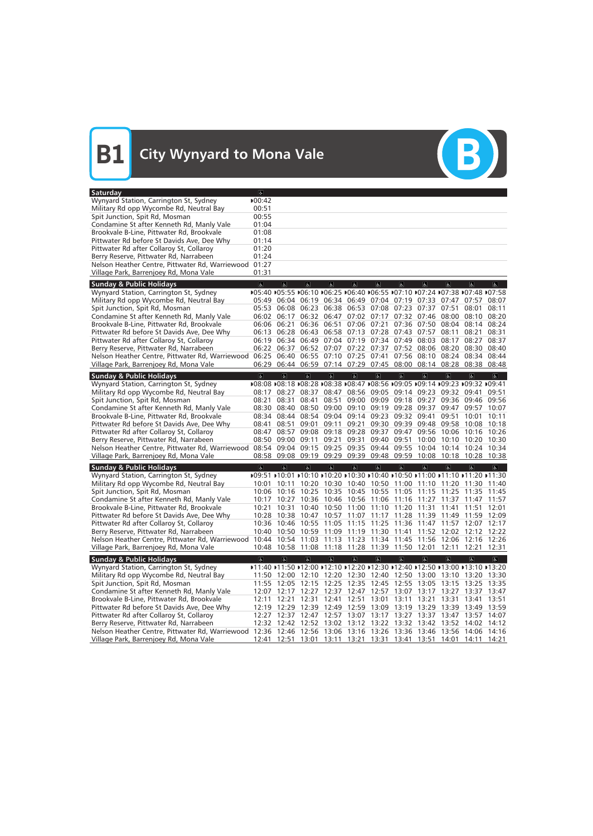| Wynyard Station, Carrington St, Sydney                                                                                                          |                                                                              |                     |                                                             |                         |                                           |                         |                               |                         |                                                 |                                                                              |                         |
|-------------------------------------------------------------------------------------------------------------------------------------------------|------------------------------------------------------------------------------|---------------------|-------------------------------------------------------------|-------------------------|-------------------------------------------|-------------------------|-------------------------------|-------------------------|-------------------------------------------------|------------------------------------------------------------------------------|-------------------------|
|                                                                                                                                                 | ▶00:42                                                                       |                     |                                                             |                         |                                           |                         |                               |                         |                                                 |                                                                              |                         |
| Military Rd opp Wycombe Rd, Neutral Bay                                                                                                         | 00:51                                                                        |                     |                                                             |                         |                                           |                         |                               |                         |                                                 |                                                                              |                         |
| Spit Junction, Spit Rd, Mosman                                                                                                                  | 00:55                                                                        |                     |                                                             |                         |                                           |                         |                               |                         |                                                 |                                                                              |                         |
| Condamine St after Kenneth Rd, Manly Vale                                                                                                       | 01:04                                                                        |                     |                                                             |                         |                                           |                         |                               |                         |                                                 |                                                                              |                         |
| Brookvale B-Line, Pittwater Rd, Brookvale                                                                                                       | 01:08                                                                        |                     |                                                             |                         |                                           |                         |                               |                         |                                                 |                                                                              |                         |
| Pittwater Rd before St Davids Ave, Dee Why                                                                                                      | 01:14                                                                        |                     |                                                             |                         |                                           |                         |                               |                         |                                                 |                                                                              |                         |
| Pittwater Rd after Collaroy St, Collaroy                                                                                                        | 01:20                                                                        |                     |                                                             |                         |                                           |                         |                               |                         |                                                 |                                                                              |                         |
| Berry Reserve, Pittwater Rd, Narrabeen                                                                                                          | 01:24                                                                        |                     |                                                             |                         |                                           |                         |                               |                         |                                                 |                                                                              |                         |
|                                                                                                                                                 | 01:27                                                                        |                     |                                                             |                         |                                           |                         |                               |                         |                                                 |                                                                              |                         |
| Nelson Heather Centre, Pittwater Rd, Warriewood<br>Village Park, Barrenjoey Rd, Mona Vale                                                       | 01:31                                                                        |                     |                                                             |                         |                                           |                         |                               |                         |                                                 |                                                                              |                         |
|                                                                                                                                                 |                                                                              |                     |                                                             |                         |                                           |                         |                               |                         |                                                 |                                                                              |                         |
| <b>Sunday &amp; Public Holidays</b>                                                                                                             | $\overline{\mathbf{c}}$                                                      | $\sigma$            | $\sigma$                                                    | $\overline{a}$          | $\overline{6}$                            | $\Delta$                | $\overline{6}$                | $\sigma$                | $\overline{\mathbf{c}}$                         | $\sigma$                                                                     | $\overline{\mathbf{r}}$ |
| Wynyard Station, Carrington St, Sydney                                                                                                          | ▶05:40 ▶05:55 ▶06:10 ▶06:25 ▶06:40 ▶06:55 ▶07:10 ▶07:24 ▶07:38 ▶07:48 ▶07:58 |                     |                                                             |                         |                                           |                         |                               |                         |                                                 |                                                                              |                         |
| Military Rd opp Wycombe Rd, Neutral Bay                                                                                                         |                                                                              |                     |                                                             |                         |                                           |                         |                               |                         |                                                 | 05:49 06:04 06:19 06:34 06:49 07:04 07:19 07:33 07:47 07:57                  | 08:07                   |
| Spit Junction, Spit Rd, Mosman                                                                                                                  |                                                                              |                     | 05:53 06:08 06:23 06:38 06:53 07:08 07:23 07:37 07:51       |                         |                                           |                         |                               |                         |                                                 | 08:01                                                                        | 08:11                   |
| Condamine St after Kenneth Rd, Manly Vale                                                                                                       |                                                                              |                     | 06:02 06:17 06:32 06:47 07:02 07:17 07:32 07:46 08:00       |                         |                                           |                         |                               |                         |                                                 | 08:10                                                                        | 08:20                   |
| Brookvale B-Line, Pittwater Rd, Brookvale                                                                                                       |                                                                              | 06:06 06:21         |                                                             | 06:36 06:51             |                                           |                         | 07:06 07:21 07:36 07:50 08:04 |                         |                                                 | 08:14                                                                        | 08:24                   |
| Pittwater Rd before St Davids Ave, Dee Why                                                                                                      |                                                                              |                     | 06:13 06:28 06:43 06:58 07:13 07:28 07:43 07:57             |                         |                                           |                         |                               |                         | 08:11                                           | 08:21                                                                        | 08:31                   |
| Pittwater Rd after Collaroy St, Collaroy                                                                                                        |                                                                              |                     | 06:19 06:34 06:49 07:04 07:19 07:34 07:49 08:03             |                         |                                           |                         |                               |                         | 08:17                                           | 08:27                                                                        | 08:37                   |
| Berry Reserve, Pittwater Rd, Narrabeen                                                                                                          |                                                                              | 06:22 06:37         |                                                             |                         | 06:52 07:07 07:22 07:37 07:52 08:06 08:20 |                         |                               |                         |                                                 | 08:30                                                                        | 08:40                   |
| Nelson Heather Centre, Pittwater Rd, Warriewood                                                                                                 |                                                                              |                     | 06:25 06:40 06:55 07:10 07:25 07:41 07:56 08:10             |                         |                                           |                         |                               |                         | 08:24                                           | 08:34 08:44                                                                  |                         |
| Village Park, Barrenjoey Rd, Mona Vale                                                                                                          |                                                                              |                     | 06:29 06:44 06:59 07:14 07:29 07:45 08:00 08:14 08:28       |                         |                                           |                         |                               |                         |                                                 | 08:38 08:48                                                                  |                         |
|                                                                                                                                                 |                                                                              |                     |                                                             |                         |                                           |                         |                               |                         |                                                 |                                                                              |                         |
| <b>Sunday &amp; Public Holidays</b>                                                                                                             | $\sigma$                                                                     | $\sigma$            | $\sigma$                                                    | $\overline{\mathbf{r}}$ | $\vert \mathbf{F} \vert$                  | $\overline{b}$          | $\sigma$                      | $\overline{a}$          | $\overline{a}$                                  | $\overline{6}$                                                               | $\overline{\mathbf{r}}$ |
| Wynyard Station, Carrington St, Sydney                                                                                                          |                                                                              |                     |                                                             |                         |                                           |                         |                               |                         |                                                 | ▶08:08 ▶08:18 ▶08:28 ▶08:38 ▶08:47 ▶08:56 ▶09:05 ▶09:14 ▶09:23 ▶09:32 ▶09:41 |                         |
| Military Rd opp Wycombe Rd, Neutral Bay                                                                                                         |                                                                              |                     | 08:17 08:27 08:37 08:47 08:56 09:05 09:14 09:23 09:32 09:41 |                         |                                           |                         |                               |                         |                                                 |                                                                              | 09:51                   |
| Spit Junction, Spit Rd, Mosman                                                                                                                  | 08:21                                                                        | 08:31               | 08:41                                                       | 08:51                   |                                           |                         | 09:00 09:09 09:18 09:27 09:36 |                         |                                                 | 09:46 09:56                                                                  |                         |
| Condamine St after Kenneth Rd, Manly Vale                                                                                                       |                                                                              |                     | 08:30 08:40 08:50 09:00 09:10 09:19 09:28 09:37             |                         |                                           |                         |                               |                         | 09:47                                           | 09:57 10:07                                                                  |                         |
| Brookvale B-Line, Pittwater Rd, Brookvale                                                                                                       |                                                                              |                     | 08:34 08:44 08:54 09:04 09:14 09:23 09:32 09:41             |                         |                                           |                         |                               |                         | 09:51                                           | 10:01                                                                        | 10:11                   |
| Pittwater Rd before St Davids Ave, Dee Why                                                                                                      | 08:41                                                                        | 08:51               | 09:01                                                       | 09:11                   | 09:21                                     |                         | 09:30 09:39 09:48             |                         | 09:58                                           | 10:08                                                                        | 10:18                   |
| Pittwater Rd after Collaroy St, Collaroy                                                                                                        |                                                                              |                     | 08:47 08:57 09:08 09:18 09:28 09:37 09:47 09:56 10:06       |                         |                                           |                         |                               |                         |                                                 | 10:16                                                                        | 10:26                   |
| Berry Reserve, Pittwater Rd, Narrabeen                                                                                                          |                                                                              |                     | 08:50 09:00 09:11                                           | 09:21                   | 09:31 09:40 09:51                         |                         |                               | 10:00                   |                                                 | 10:10 10:20 10:30                                                            |                         |
| Nelson Heather Centre, Pittwater Rd, Warriewood 08:54 09:04 09:15 09:25 09:35 09:44 09:55                                                       |                                                                              |                     |                                                             |                         |                                           |                         |                               |                         |                                                 | 10:04 10:14 10:24 10:34                                                      |                         |
| Village Park, Barrenjoey Rd, Mona Vale                                                                                                          |                                                                              |                     | 08:58 09:08 09:19 09:29 09:39 09:48 09:59                   |                         |                                           |                         |                               |                         |                                                 | 10:08 10:18 10:28 10:38                                                      |                         |
|                                                                                                                                                 |                                                                              |                     |                                                             |                         |                                           |                         |                               |                         |                                                 |                                                                              |                         |
|                                                                                                                                                 |                                                                              |                     |                                                             |                         |                                           |                         |                               |                         |                                                 |                                                                              |                         |
| <b>Sunday &amp; Public Holidays</b>                                                                                                             | $\Delta$                                                                     | $\sigma$            | $\sigma$                                                    | $\overline{\mathbf{r}}$ | $\overline{a}$                            | $\sigma$                | $\mathbf{g}$                  | $\sigma$                | $\overline{a}$                                  | $\boxed{\mathbf{g}}$                                                         | $ \mathbf{P} $          |
| Wynyard Station, Carrington St, Sydney                                                                                                          |                                                                              |                     |                                                             |                         |                                           |                         |                               |                         |                                                 | ▶09:51 ▶10:01 ▶10:10 ▶10:20 ▶10:30 ▶10:40 ▶10:50 ▶11:00 ▶11:10 ▶11:20 ▶11:30 |                         |
| Military Rd opp Wycombe Rd, Neutral Bay                                                                                                         |                                                                              | 10:01 10:11         |                                                             |                         |                                           |                         |                               |                         | 10:20 10:30 10:40 10:50 11:00 11:10 11:20 11:30 |                                                                              | 11:40                   |
| Spit Junction, Spit Rd, Mosman                                                                                                                  |                                                                              |                     |                                                             |                         |                                           |                         |                               |                         |                                                 | 10:06 10:16 10:25 10:35 10:45 10:55 11:05 11:15 11:25 11:35 11:45            |                         |
| Condamine St after Kenneth Rd, Manly Vale                                                                                                       |                                                                              |                     |                                                             |                         |                                           |                         |                               |                         |                                                 | 10:17 10:27 10:36 10:46 10:56 11:06 11:16 11:27 11:37 11:47 11:57            |                         |
| Brookvale B-Line, Pittwater Rd, Brookvale                                                                                                       |                                                                              |                     |                                                             |                         |                                           |                         |                               |                         |                                                 | 10:21 10:31 10:40 10:50 11:00 11:10 11:20 11:31 11:41 11:51 12:01            |                         |
| Pittwater Rd before St Davids Ave, Dee Why                                                                                                      |                                                                              |                     |                                                             |                         |                                           |                         |                               |                         |                                                 | 10:28 10:38 10:47 10:57 11:07 11:17 11:28 11:39 11:49 11:59 12:09            |                         |
| Pittwater Rd after Collaroy St, Collaroy                                                                                                        |                                                                              |                     | 10:36 10:46 10:55 11:05 11:15 11:25 11:36 11:47 11:57 12:07 |                         |                                           |                         |                               |                         |                                                 |                                                                              | 12:17                   |
| Berry Reserve, Pittwater Rd, Narrabeen                                                                                                          |                                                                              |                     | 10:40 10:50 10:59 11:09 11:19 11:30 11:41 11:52 12:02       |                         |                                           |                         |                               |                         |                                                 | 12:12 12:22                                                                  |                         |
| Nelson Heather Centre, Pittwater Rd, Warriewood                                                                                                 |                                                                              |                     | 10:44 10:54 11:03 11:13 11:23 11:34 11:45 11:56 12:06       |                         |                                           |                         |                               |                         |                                                 | 12:16 12:26                                                                  |                         |
| Village Park, Barrenjoey Rd, Mona Vale                                                                                                          |                                                                              |                     | 10:48 10:58 11:08 11:18 11:28 11:39 11:50 12:01             |                         |                                           |                         |                               |                         | 12:11                                           | 12:21                                                                        | 12:31                   |
|                                                                                                                                                 |                                                                              |                     |                                                             |                         |                                           |                         |                               |                         |                                                 |                                                                              |                         |
| <b>Sunday &amp; Public Holidays</b>                                                                                                             | $\overline{\infty}$                                                          | $\overline{\infty}$ | $\sigma$                                                    | $\overline{\mathbf{P}}$ | $\overline{6}$                            | $\overline{\mathbb{P}}$ | $\overline{\mathbb{P}}$       | $\overline{\mathbf{e}}$ | $\overline{\infty}$                             | $\overline{\mathbf{c}}$                                                      | $\overline{\mathbb{P}}$ |
| Wynyard Station, Carrington St, Sydney                                                                                                          |                                                                              |                     |                                                             |                         |                                           |                         |                               |                         |                                                 | D11:40 D11:50 D12:00 D12:10 D12:20 D12:30 D12:40 D12:50 D13:00 D13:10 D13:20 |                         |
| Military Rd opp Wycombe Rd, Neutral Bay                                                                                                         |                                                                              |                     |                                                             |                         |                                           |                         |                               |                         |                                                 | 11:50 12:00 12:10 12:20 12:30 12:40 12:50 13:00 13:10 13:20 13:30            |                         |
| Spit Junction, Spit Rd, Mosman                                                                                                                  |                                                                              |                     |                                                             |                         |                                           |                         |                               |                         |                                                 | 11:55 12:05 12:15 12:25 12:35 12:45 12:55 13:05 13:15 13:25 13:35            |                         |
| Condamine St after Kenneth Rd, Manly Vale                                                                                                       |                                                                              |                     | 12:07 12:17 12:27 12:37 12:47 12:57 13:07 13:17 13:27       |                         |                                           |                         |                               |                         |                                                 | 13:37                                                                        | 13:47                   |
| Brookvale B-Line, Pittwater Rd, Brookvale                                                                                                       |                                                                              | 12:11 12:21         | 12:31                                                       | 12:41                   |                                           |                         | 12:51 13:01 13:11 13:21       |                         | 13:31                                           | 13:41                                                                        | 13:51                   |
| Pittwater Rd before St Davids Ave, Dee Why                                                                                                      |                                                                              | 12:19 12:29         | 12:39 12:49 12:59 13:09 13:19 13:29 13:39                   |                         |                                           |                         |                               |                         |                                                 | 13:49                                                                        | 13:59                   |
| Pittwater Rd after Collaroy St, Collaroy                                                                                                        |                                                                              |                     |                                                             |                         |                                           |                         |                               |                         |                                                 | 12:27 12:37 12:47 12:57 13:07 13:17 13:27 13:37 13:47 13:57 14:07            |                         |
| Berry Reserve, Pittwater Rd, Narrabeen                                                                                                          |                                                                              |                     |                                                             |                         |                                           |                         |                               |                         |                                                 | 12:32 12:42 12:52 13:02 13:12 13:22 13:32 13:42 13:52 14:02 14:12            |                         |
| Nelson Heather Centre, Pittwater Rd, Warriewood 12:36 12:46 12:56 13:06 13:16 13:26 13:36 13:46 13:56<br>Village Park, Barrenjoey Rd, Mona Vale |                                                                              |                     | 12:41 12:51 13:01 13:11 13:21 13:31 13:41 13:51 14:01       |                         |                                           |                         |                               |                         |                                                 | 14:06 14:16<br>14:11 14:21                                                   |                         |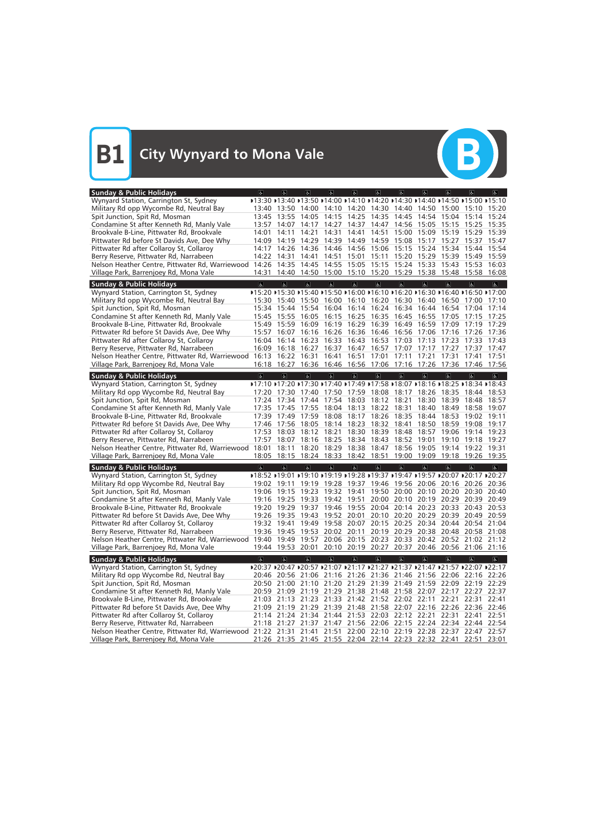

| <b>Sunday &amp; Public Holidays</b>                                                                               | $\sigma$                | $\overline{a}$          | $\overline{a}$           | $\overline{a}$          | $\sigma$                                                                     | $\sigma$       | 6                 | $\epsilon$                    | $\overline{a}$          | $\sqrt{2}$     | $ \mathbf{f} $ |
|-------------------------------------------------------------------------------------------------------------------|-------------------------|-------------------------|--------------------------|-------------------------|------------------------------------------------------------------------------|----------------|-------------------|-------------------------------|-------------------------|----------------|----------------|
| Wynyard Station, Carrington St, Sydney                                                                            |                         |                         |                          |                         | ▶13:30 ▶13:40 ▶13:50 ▶14:00 ▶14:10 ▶14:20 ▶14:30 ▶14:40 ▶14:50 ▶15:00 ▶15:10 |                |                   |                               |                         |                |                |
| Military Rd opp Wycombe Rd, Neutral Bay                                                                           | 13:40                   |                         | 13:50 14:00              | 14:10                   |                                                                              |                |                   | 14:20 14:30 14:40 14:50       | 15:00                   | 15:10          | 15:20          |
| Spit Junction, Spit Rd, Mosman                                                                                    | 13:45                   | 13:55                   | 14:05                    | 14:15                   | 14:25 14:35                                                                  |                |                   | 14:45 14:54 15:04             |                         | 15:14 15:24    |                |
| Condamine St after Kenneth Rd, Manly Vale                                                                         | 13:57                   | 14:07                   | 14:17                    | 14:27                   |                                                                              | 14:37 14:47    | 14:56             | 15:05 15:15                   |                         | 15:25          | 15:35          |
| Brookvale B-Line, Pittwater Rd, Brookvale                                                                         | 14:01                   | 14:11                   | 14:21                    | 14:31                   | 14:41                                                                        | 14:51          | 15:00             | 15:09                         | 15:19                   | 15:29          | 15:39          |
| Pittwater Rd before St Davids Ave, Dee Why                                                                        | 14:09                   | 14:19                   | 14:29                    | 14:39                   | 14:49                                                                        | 14:59          | 15:08             | 15:17                         | 15:27                   | 15:37          | 15:47          |
| Pittwater Rd after Collaroy St, Collaroy                                                                          | 14:17                   | 14:26                   | 14:36                    | 14:46                   | 14:56                                                                        |                | 15:06 15:15       | 15:24                         | 15:34                   | 15:44          | 15:54          |
| Berry Reserve, Pittwater Rd, Narrabeen                                                                            | 14:22                   | 14:31                   | 14:41                    | 14:51                   | 15:01                                                                        | 15:11          | 15:20             | 15:29                         | 15:39                   | 15:49          | 15:59          |
| Nelson Heather Centre, Pittwater Rd, Warriewood 14:26                                                             |                         | 14:35                   | 14:45                    | 14:55                   |                                                                              | 15:05 15:15    |                   | 15:24 15:33                   | 15:43                   | 15:53          | 16:03          |
| Village Park, Barrenjoey Rd, Mona Vale                                                                            | 14:31                   | 14:40                   |                          | 14:50 15:00             |                                                                              |                |                   | 15:10 15:20 15:29 15:38 15:48 |                         | 15:58          | 16:08          |
| <b>Sunday &amp; Public Holidays</b>                                                                               | $\overline{\sigma}$     | $\overline{6}$          | $\sigma$                 | $\overline{\mathbf{c}}$ | $\overline{6}$                                                               | $\overline{b}$ | $\overline{a}$    | $\overline{\mathbf{c}}$       | $\overline{\mathbf{c}}$ | $\sigma$       | $\sigma$       |
| Wynyard Station, Carrington St, Sydney                                                                            |                         |                         |                          |                         | ▶15:20 ▶15:30 ▶15:40 ▶15:50 ▶16:00 ▶16:10 ▶16:20 ▶16:30 ▶16:40 ▶16:50 ▶17:00 |                |                   |                               |                         |                |                |
| Military Rd opp Wycombe Rd, Neutral Bay                                                                           | 15:30                   | 15:40                   |                          | 15:50 16:00             |                                                                              |                | 16:10 16:20 16:30 | 16:40                         | 16:50                   | 17:00          | 17:10          |
| Spit Junction, Spit Rd, Mosman                                                                                    | 15:34                   | 15:44                   | 15:54                    | 16:04                   |                                                                              | 16:14 16:24    | 16:34             | 16:44                         | 16:54                   | 17:04          | 17:14          |
| Condamine St after Kenneth Rd, Manly Vale                                                                         | 15:45                   | 15:55                   | 16:05                    | 16:15                   | 16:25                                                                        | 16:35          | 16:45             | 16:55                         | 17:05                   | 17:15          | 17:25          |
| Brookvale B-Line, Pittwater Rd, Brookvale                                                                         | 15:49                   | 15:59                   | 16:09                    | 16:19                   | 16:29                                                                        | 16:39          | 16:49             | 16:59                         | 17:09                   | 17:19          | 17:29          |
| Pittwater Rd before St Davids Ave, Dee Why                                                                        | 15:57                   | 16:07                   | 16:16                    | 16:26                   | 16:36                                                                        | 16:46          | 16:56             | 17:06                         | 17:16                   | 17:26          | 17:36          |
| Pittwater Rd after Collaroy St, Collaroy                                                                          | 16:04                   | 16:14                   | 16:23                    | 16:33                   |                                                                              | 16:43 16:53    | 17:03             | 17:13                         | 17:23                   | 17:33          | 17:43          |
|                                                                                                                   | 16:09                   | 16:18                   | 16:27                    | 16:37                   |                                                                              | 16:47 16:57    | 17:07             | 17:17                         | 17:27                   | 17:37          | 17:47          |
| Berry Reserve, Pittwater Rd, Narrabeen                                                                            | 16:13                   | 16:22                   | 16:31                    | 16:41                   | 16:51                                                                        | 17:01          | 17:11             | 17:21                         | 17:31                   | 17:41          | 17:51          |
| Nelson Heather Centre, Pittwater Rd, Warriewood<br>Village Park, Barrenjoey Rd, Mona Vale                         | 16:18                   | 16:27                   |                          |                         | 16:36 16:46 16:56 17:06 17:16 17:26                                          |                |                   |                               | 17:36                   | 17:46          | 17:56          |
|                                                                                                                   |                         |                         |                          |                         |                                                                              |                |                   |                               |                         |                |                |
| <b>Sunday &amp; Public Holidays</b>                                                                               | $\overline{a}$          | $\sigma$                | $\sigma$                 | $\overline{\mathbf{a}}$ | $\overline{\mathbf{b}}$                                                      | $\overline{b}$ | $\mathbf{g}$      | $\overline{a}$                | $\overline{a}$          | $\overline{a}$ | $\vert$        |
| Wynyard Station, Carrington St, Sydney                                                                            |                         |                         |                          |                         | ▶17:10 ▶17:20 ▶17:30 ▶17:40 ▶17:49 ▶17:58 ▶18:07 ▶18:16 ▶18:25 ▶18:34 ▶18:43 |                |                   |                               |                         |                |                |
| Military Rd opp Wycombe Rd, Neutral Bay                                                                           | 17:20                   | 17:30                   |                          |                         | 17:40 17:50 17:59                                                            | 18:08          | 18:17             | 18:26                         | 18:35                   | 18:44          | 18:53          |
| Spit Junction, Spit Rd, Mosman                                                                                    | 17:24                   | 17:34                   | 17:44                    | 17:54                   | 18:03                                                                        |                | 18:12 18:21       | 18:30                         | 18:39                   | 18:48          | 18:57          |
| Condamine St after Kenneth Rd, Manly Vale                                                                         | 17:35                   | 17:45                   | 17:55                    | 18:04                   | 18:13                                                                        |                | 18:22 18:31       | 18:40                         | 18:49                   | 18:58          | 19:07          |
| Brookvale B-Line, Pittwater Rd, Brookvale                                                                         | 17:39                   | 17:49                   | 17:59                    | 18:08                   |                                                                              |                | 18:17 18:26 18:35 | 18:44                         | 18:53                   | 19:02          | 19:11          |
| Pittwater Rd before St Davids Ave, Dee Why                                                                        | 17:46                   | 17:56                   | 18:05                    |                         | 18:14 18:23                                                                  | 18:32          | 18:41             | 18:50                         | 18:59                   | 19:08          | 19:17          |
| Pittwater Rd after Collaroy St, Collaroy                                                                          | 17:53                   | 18:03                   | 18:12                    | 18:21                   |                                                                              | 18:30 18:39    | 18:48             | 18:57                         | 19:06                   | 19:14 19:23    |                |
| Berry Reserve, Pittwater Rd, Narrabeen                                                                            | 17:57                   | 18:07                   |                          | 18:16 18:25             |                                                                              | 18:34 18:43    |                   | 18:52 19:01                   | 19:10                   | 19:18 19:27    |                |
| Nelson Heather Centre, Pittwater Rd, Warriewood 18:01                                                             |                         | 18:11                   | 18:20                    | 18:29                   |                                                                              | 18:38 18:47    |                   | 18:56 19:05                   | 19:14                   | 19:22          | 19:31          |
| Village Park, Barrenjoey Rd, Mona Vale                                                                            | 18:05                   |                         |                          |                         | 18:15 18:24 18:33 18:42 18:51                                                |                |                   | 19:00 19:09 19:18 19:26 19:35 |                         |                |                |
| <b>Sunday &amp; Public Holidays</b>                                                                               | $\sigma$                | $\sigma$                | $\alpha$                 | $\overline{\mathbf{a}}$ | $\mathbf{g}$                                                                 | $\sigma$       | $\sigma$          | $\sigma$                      | $\overline{a}$          | $\sqrt{a}$     | d              |
| Wynyard Station, Carrington St, Sydney                                                                            |                         |                         |                          |                         | ▶18:52 ▶19:01 ▶19:10 ▶19:19 ▶19:28 ▶19:37 ▶19:47 ▶19:57 ▶20:07 ▶20:17 ▶20:27 |                |                   |                               |                         |                |                |
| Military Rd opp Wycombe Rd, Neutral Bay                                                                           |                         | 19:02 19:11             | 19:19                    | 19:28                   |                                                                              |                |                   | 19:37 19:46 19:56 20:06       | 20:16                   | 20:26          | 20:36          |
| Spit Junction, Spit Rd, Mosman                                                                                    | 19:06                   | 19:15                   | 19:23                    | 19:32                   | 19:41                                                                        | 19:50          | 20:00             | 20:10                         | 20:20                   | 20:30          | 20:40          |
| Condamine St after Kenneth Rd, Manly Vale                                                                         |                         |                         |                          |                         | 19:16 19:25 19:33 19:42 19:51 20:00 20:10 20:19 20:29 20:39 20:49            |                |                   |                               |                         |                |                |
| Brookvale B-Line, Pittwater Rd, Brookvale                                                                         |                         |                         |                          |                         | 19:20 19:29 19:37 19:46 19:55 20:04 20:14 20:23 20:33 20:43 20:53            |                |                   |                               |                         |                |                |
| Pittwater Rd before St Davids Ave, Dee Why                                                                        |                         |                         |                          |                         | 19:26 19:35 19:43 19:52 20:01 20:10 20:20 20:29 20:39 20:49 20:59            |                |                   |                               |                         |                |                |
| Pittwater Rd after Collaroy St, Collaroy                                                                          |                         |                         |                          |                         | 19:32 19:41 19:49 19:58 20:07 20:15 20:25 20:34 20:44 20:54 21:04            |                |                   |                               |                         |                |                |
| Berry Reserve, Pittwater Rd, Narrabeen                                                                            |                         |                         |                          |                         | 19:36 19:45 19:53 20:02 20:11 20:19 20:29 20:38 20:48 20:58 21:08            |                |                   |                               |                         |                |                |
| Nelson Heather Centre, Pittwater Rd, Warriewood 19:40 19:49 19:57 20:06 20:15 20:23 20:33 20:42 20:52 21:02 21:12 |                         |                         |                          |                         |                                                                              |                |                   |                               |                         |                |                |
| Village Park, Barrenjoey Rd, Mona Vale                                                                            |                         |                         | 19:44 19:53 20:01        |                         | 20:10 20:19 20:27 20:37 20:46 20:56 21:06 21:16                              |                |                   |                               |                         |                |                |
| <b>Sunday &amp; Public Holidays</b>                                                                               | $\overline{\mathbf{c}}$ | $\overline{\mathbf{e}}$ | $\vert \mathbf{r} \vert$ | $\overline{\mathbb{C}}$ | $\overline{6}$                                                               | $\overline{6}$ | $\overline{6}$    | $\overline{\mathbf{c}}$       | $\overline{\infty}$     | $\overline{6}$ | $\mathbb{P}$   |
| Wynyard Station, Carrington St, Sydney                                                                            |                         |                         |                          |                         | ▶20:37 ▶20:47 ▶20:57 ▶21:07 ▶21:17 ▶21:27 ▶21:37 ▶21:47 ▶21:57 ▶22:07 ▶22:17 |                |                   |                               |                         |                |                |
| Military Rd opp Wycombe Rd, Neutral Bay                                                                           |                         |                         |                          |                         | 20:46 20:56 21:06 21:16 21:26 21:36 21:46 21:56 22:06 22:16 22:26            |                |                   |                               |                         |                |                |
| Spit Junction, Spit Rd, Mosman                                                                                    |                         |                         |                          |                         | 20:50 21:00 21:10 21:20 21:29 21:39 21:49 21:59 22:09 22:19 22:29            |                |                   |                               |                         |                |                |
| Condamine St after Kenneth Rd, Manly Vale                                                                         |                         |                         |                          |                         | 20:59 21:09 21:19 21:29 21:38 21:48 21:58 22:07 22:17 22:27 22:37            |                |                   |                               |                         |                |                |
| Brookvale B-Line, Pittwater Rd, Brookvale                                                                         |                         |                         |                          |                         | 21:03 21:13 21:23 21:33 21:42 21:52 22:02 22:11 22:21 22:31 22:41            |                |                   |                               |                         |                |                |
| Pittwater Rd before St Davids Ave, Dee Why                                                                        |                         |                         |                          |                         | 21:09 21:19 21:29 21:39 21:48 21:58 22:07 22:16 22:26 22:36 22:46            |                |                   |                               |                         |                |                |
| Pittwater Rd after Collaroy St, Collaroy                                                                          |                         |                         |                          |                         | 21:14 21:24 21:34 21:44 21:53 22:03 22:12 22:21 22:31 22:41 22:51            |                |                   |                               |                         |                |                |
| Berry Reserve, Pittwater Rd, Narrabeen                                                                            |                         |                         |                          |                         | 21:18 21:27 21:37 21:47 21:56 22:06 22:15 22:24 22:34 22:44 22:54            |                |                   |                               |                         |                |                |
| Nelson Heather Centre, Pittwater Rd, Warriewood 21:22 21:31 21:41                                                 |                         |                         |                          |                         | 21:51 22:00 22:10 22:19 22:28 22:37 22:47 22:57                              |                |                   |                               |                         |                |                |
| Village Park, Barrenjoey Rd, Mona Vale                                                                            |                         |                         |                          |                         | 21:26 21:35 21:45 21:55 22:04 22:14 22:23 22:32 22:41 22:51 23:01            |                |                   |                               |                         |                |                |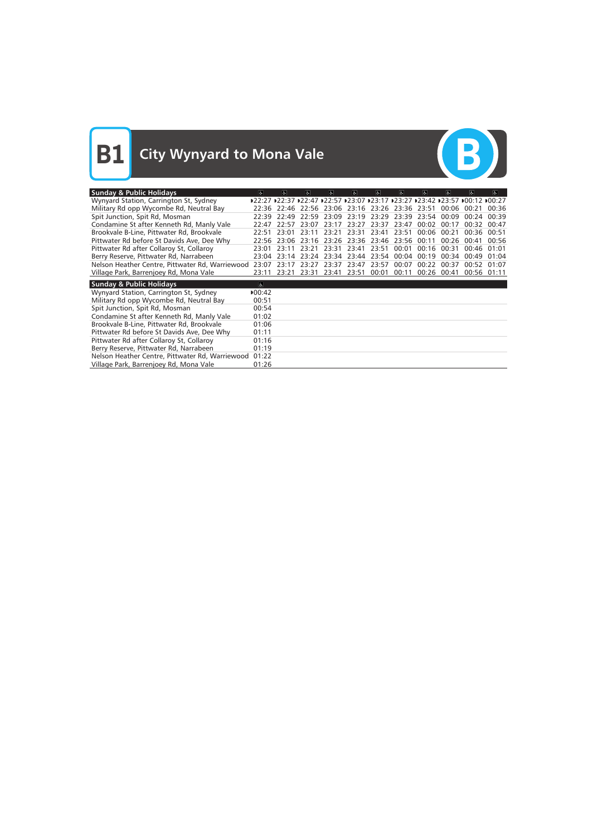

| <b>Sunday &amp; Public Holidays</b>             | $\overline{a}$      | $\overline{a}$ | $\overline{a}$ | $\mathbf{d}$ | $\mathbf{d}$            | $\sigma$ | $\sigma$    | $\sigma$ | $\overline{a}$ | 氐                                                                            | $\mathbf{a}$ |
|-------------------------------------------------|---------------------|----------------|----------------|--------------|-------------------------|----------|-------------|----------|----------------|------------------------------------------------------------------------------|--------------|
| Wynyard Station, Carrington St, Sydney          |                     |                |                |              |                         |          |             |          |                | D22:27 D22:37 D22:47 D22:57 D23:07 D23:17 D23:27 D23:42 D23:57 D00:12 D00:27 |              |
| Military Rd opp Wycombe Rd, Neutral Bay         | 22:36               | 22:46          | 22:56          |              | 23:06 23:16 23:26 23:36 |          |             | 23:51    | 00:06          | 00:21                                                                        | 00:36        |
| Spit Junction, Spit Rd, Mosman                  | 22:39               | 22.49          | 22:59          | 23:09        | 23:19                   | 23:29    | 23:39       | 23:54    | 00:09          | 00.24                                                                        | 00:39        |
| Condamine St after Kenneth Rd, Manly Vale       | 22:47               | 22.57          | 23:07          | 23:17        | 23:27                   | 23:37    | 23:47       | 00:02    | 00:17          | 00.32                                                                        | 00:47        |
| Brookvale B-Line, Pittwater Rd, Brookvale       | 22:51               | 23:01          | 23:11          | 23:21        | 23:31                   | 23:41    | 23:51       | 00:06    | 00:21          | 00:36                                                                        | 00:51        |
| Pittwater Rd before St Davids Ave, Dee Why      | 22:56               | 23:06          | 23:16          | 23:26        | 23:36                   |          | 23:46 23:56 | 00:11    | 00:26          | 00:41                                                                        | 00:56        |
| Pittwater Rd after Collaroy St, Collaroy        | 23:01               | 23:11          | 23:21          | 23:31        | 23:41                   | 23:51    | 00:01       | 00:16    | 00:31          | 00:46                                                                        | 01:01        |
| Berry Reserve, Pittwater Rd, Narrabeen          | 23:04               | 23:14          | 23:24          | 23:34        | 23:44                   | 23:54    | 00:04       | 00:19    | 00:34          | 00:49                                                                        | 01:04        |
| Nelson Heather Centre, Pittwater Rd, Warriewood | 23:07               | 23:17          | 23:27          | 23:37        | 23:47                   | 23:57    | 00:07       | 00:22    | 00:37          | 00:52                                                                        | 01:07        |
| Village Park, Barrenjoey Rd, Mona Vale          | 23:11               | 23:21          | 23:31          | 23:41 23:51  |                         | 00:01    | 00:11       | 00:26    | 00:41          | 00:56                                                                        | 01:11        |
| <b>Sunday &amp; Public Holidays</b>             | $\overline{\infty}$ |                |                |              |                         |          |             |          |                |                                                                              |              |
| Wynyard Station, Carrington St, Sydney          | 00:42               |                |                |              |                         |          |             |          |                |                                                                              |              |
| Military Rd opp Wycombe Rd, Neutral Bay         | 00:51               |                |                |              |                         |          |             |          |                |                                                                              |              |
| Spit Junction, Spit Rd, Mosman                  | 00:54               |                |                |              |                         |          |             |          |                |                                                                              |              |
| Condamine St after Kenneth Rd, Manly Vale       | 01:02               |                |                |              |                         |          |             |          |                |                                                                              |              |
| Brookvale B-Line, Pittwater Rd, Brookvale       | 01:06               |                |                |              |                         |          |             |          |                |                                                                              |              |
| Pittwater Rd before St Davids Ave, Dee Why      | 01:11               |                |                |              |                         |          |             |          |                |                                                                              |              |
| Pittwater Rd after Collaroy St, Collaroy        | 01:16               |                |                |              |                         |          |             |          |                |                                                                              |              |
| Berry Reserve, Pittwater Rd, Narrabeen          | 01:19               |                |                |              |                         |          |             |          |                |                                                                              |              |
| Nelson Heather Centre, Pittwater Rd, Warriewood | 01:22               |                |                |              |                         |          |             |          |                |                                                                              |              |
| Village Park, Barrenjoey Rd, Mona Vale          | 01:26               |                |                |              |                         |          |             |          |                |                                                                              |              |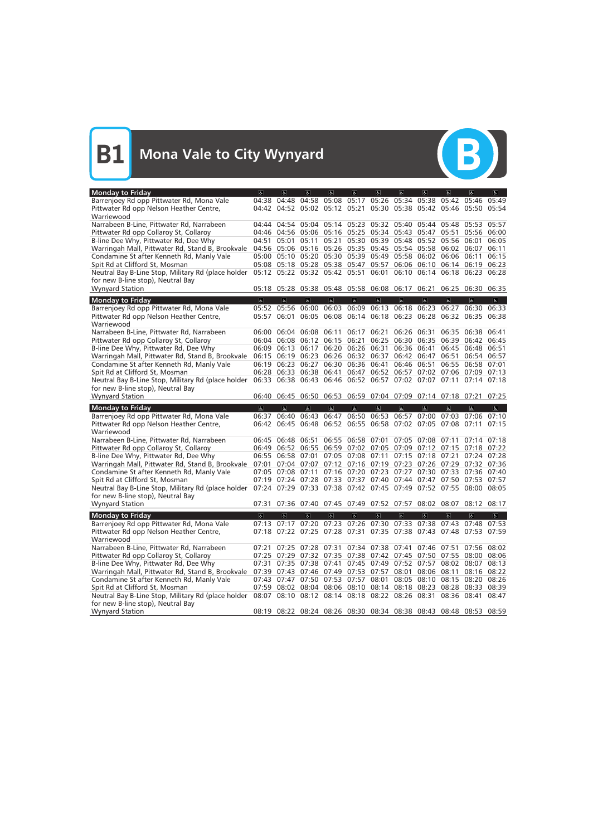

| <b>Monday to Friday</b>                                                                                                                                   | $\sigma$                | $\sigma$                                                                                                             | $ \mathbf{f} $          | d                       | $\sigma$                      | $\sigma$       | 6 <sup>1</sup>          | $\sigma$                                              | $\sigma$       | $\vert$                                                     | d                       |
|-----------------------------------------------------------------------------------------------------------------------------------------------------------|-------------------------|----------------------------------------------------------------------------------------------------------------------|-------------------------|-------------------------|-------------------------------|----------------|-------------------------|-------------------------------------------------------|----------------|-------------------------------------------------------------|-------------------------|
| Barrenjoey Rd opp Pittwater Rd, Mona Vale                                                                                                                 | 04:38                   | 04:48                                                                                                                |                         |                         | 04:58 05:08 05:17             |                | 05:26 05:34 05:38       |                                                       |                | 05:42 05:46                                                 | 05:49                   |
| Pittwater Rd opp Nelson Heather Centre,                                                                                                                   |                         | 04:42 04:52 05:02 05:12 05:21                                                                                        |                         |                         |                               |                |                         |                                                       |                | 05:30 05:38 05:42 05:46 05:50 05:54                         |                         |
| Warriewood                                                                                                                                                |                         |                                                                                                                      |                         |                         |                               |                |                         |                                                       |                |                                                             |                         |
| Narrabeen B-Line, Pittwater Rd, Narrabeen                                                                                                                 |                         | 04:44 04:54 05:04 05:14 05:23 05:32 05:40 05:44 05:48 05:53 05:57                                                    |                         |                         |                               |                |                         |                                                       |                |                                                             |                         |
| Pittwater Rd opp Collaroy St, Collaroy                                                                                                                    |                         | 04:46 04:56 05:06 05:16 05:25 05:34 05:43 05:47 05:51 05:56 06:00                                                    |                         |                         |                               |                |                         |                                                       |                |                                                             |                         |
| B-line Dee Why, Pittwater Rd, Dee Why                                                                                                                     | 04:51                   | 05:01                                                                                                                | 05:11                   |                         |                               |                |                         | 05:21 05:30 05:39 05:48 05:52 05:56 06:01             |                |                                                             | 06:05                   |
| Warringah Mall, Pittwater Rd, Stand B, Brookvale                                                                                                          |                         | 04:56 05:06 05:16 05:26 05:35 05:45 05:54 05:58 06:02 06:07                                                          |                         |                         |                               |                |                         |                                                       |                |                                                             | 06:11                   |
| Condamine St after Kenneth Rd, Manly Vale                                                                                                                 |                         | 05:00 05:10 05:20 05:30 05:39 05:49 05:58 06:02 06:06 06:11                                                          |                         |                         |                               |                |                         |                                                       |                |                                                             | 06:15                   |
| Spit Rd at Clifford St, Mosman                                                                                                                            |                         | 05:08  05:18  05:28  05:38  05:47  05:57  06:06  06:10  06:14  06:19                                                 |                         |                         |                               |                |                         |                                                       |                |                                                             | 06:23                   |
| Neutral Bay B-Line Stop, Military Rd (place holder                                                                                                        |                         | 05:12 05:22 05:32 05:42 05:51 06:01 06:10 06:14 06:18 06:23                                                          |                         |                         |                               |                |                         |                                                       |                |                                                             | 06:28                   |
| for new B-line stop), Neutral Bay                                                                                                                         |                         | 05:18 05:28 05:38 05:48 05:58 06:08 06:17 06:21                                                                      |                         |                         |                               |                |                         |                                                       |                |                                                             |                         |
| <b>Wynyard Station</b>                                                                                                                                    |                         |                                                                                                                      |                         |                         |                               |                |                         |                                                       |                | 06:25 06:30 06:35                                           |                         |
| <b>Monday to Friday</b>                                                                                                                                   | $\overline{\mathbf{c}}$ | $\overline{\mathbf{c}}$                                                                                              | $\overline{a}$          | $\overline{\mathbb{G}}$ | $\overline{6}$                | $\overline{6}$ | $\overline{\mathbf{c}}$ | $\overline{6}$                                        | $\overline{6}$ | $\overline{a}$                                              | $\overline{\mathbf{e}}$ |
| Barrenjoey Rd opp Pittwater Rd, Mona Vale                                                                                                                 |                         | 05:52 05:56                                                                                                          | 06:00                   |                         | 06:03 06:09                   | 06:13          |                         | 06:18 06:23                                           | 06:27          | 06:30                                                       | 06:33                   |
| Pittwater Rd opp Nelson Heather Centre,                                                                                                                   |                         | 05:57 06:01                                                                                                          |                         |                         |                               |                |                         |                                                       |                | 06:05 06:08 06:14 06:18 06:23 06:28 06:32 06:35 06:38       |                         |
| Warriewood                                                                                                                                                |                         |                                                                                                                      |                         |                         |                               |                |                         |                                                       |                |                                                             |                         |
| Narrabeen B-Line, Pittwater Rd, Narrabeen                                                                                                                 |                         | 06:00 06:04 06:08 06:11 06:17 06:21 06:26 06:31                                                                      |                         |                         |                               |                |                         |                                                       |                | 06:35 06:38 06:41                                           |                         |
| Pittwater Rd opp Collaroy St, Collaroy                                                                                                                    |                         | 06:04 06:08                                                                                                          | 06:12                   | 06:15 06:21             |                               |                |                         | 06:25 06:30 06:35                                     | 06:39          | 06:42                                                       | 06:45                   |
| B-line Dee Why, Pittwater Rd, Dee Why                                                                                                                     |                         | 06:09 06:13 06:17                                                                                                    |                         |                         | 06:20 06:26 06:31 06:36 06:41 |                |                         |                                                       |                | 06:45 06:48 06:51                                           |                         |
| Warringah Mall, Pittwater Rd, Stand B, Brookvale                                                                                                          |                         | 06:15 06:19 06:23                                                                                                    |                         |                         | 06:26 06:32 06:37 06:42 06:47 |                |                         |                                                       | 06:51          | 06:54 06:57                                                 |                         |
| Condamine St after Kenneth Rd, Manly Vale                                                                                                                 |                         | 06:19 06:23 06:27 06:30 06:36 06:41 06:46 06:51<br>06:28 06:33 06:38 06:41 06:47 06:52 06:57 07:02 07:06 07:09 07:13 |                         |                         |                               |                |                         |                                                       |                | 06:55 06:58 07:01                                           |                         |
| Spit Rd at Clifford St, Mosman                                                                                                                            |                         | 06:33 06:38 06:43 06:46 06:52 06:57 07:02 07:07 07:11 07:14 07:18                                                    |                         |                         |                               |                |                         |                                                       |                |                                                             |                         |
| Neutral Bay B-Line Stop, Military Rd (place holder<br>for new B-line stop), Neutral Bay                                                                   |                         |                                                                                                                      |                         |                         |                               |                |                         |                                                       |                |                                                             |                         |
| <b>Wynyard Station</b>                                                                                                                                    |                         | 06:40 06:45 06:50 06:53 06:59 07:04 07:09 07:14 07:18 07:21 07:25                                                    |                         |                         |                               |                |                         |                                                       |                |                                                             |                         |
|                                                                                                                                                           |                         |                                                                                                                      |                         |                         |                               |                |                         |                                                       |                |                                                             |                         |
|                                                                                                                                                           |                         |                                                                                                                      |                         |                         |                               |                |                         |                                                       |                |                                                             |                         |
| <b>Monday to Friday</b>                                                                                                                                   | $\sigma$                | $\sigma$                                                                                                             | $\mathbf{p}$            | d                       | $\sigma$                      | $\mathbf{r}$   | $\mathbf{r}$            | $\sigma$                                              | $\sigma$       | $\sigma$                                                    | $\mathbb{R}^+$          |
| Barrenjoey Rd opp Pittwater Rd, Mona Vale                                                                                                                 | 06:37                   | 06:40                                                                                                                | 06:43                   | 06:47                   | 06:50                         | 06:53          | 06:57                   | 07:00                                                 | 07:03          | 07:06                                                       | 07:10                   |
| Pittwater Rd opp Nelson Heather Centre,                                                                                                                   | 06:42                   |                                                                                                                      |                         |                         |                               |                |                         | 06:45 06:48 06:52 06:55 06:58 07:02 07:05 07:08 07:11 |                |                                                             | 07:15                   |
| Warriewood                                                                                                                                                |                         |                                                                                                                      |                         |                         |                               |                |                         |                                                       |                |                                                             |                         |
| Narrabeen B-Line, Pittwater Rd, Narrabeen                                                                                                                 |                         | 06:45 06:48                                                                                                          | 06:51                   |                         |                               |                |                         | 06:55 06:58 07:01 07:05 07:08 07:11                   |                | 07:14 07:18                                                 |                         |
| Pittwater Rd opp Collaroy St, Collaroy                                                                                                                    |                         | 06:49 06:52 06:55 06:59 07:02 07:05 07:09 07:12 07:15 07:18 07:22                                                    |                         |                         |                               |                |                         |                                                       |                |                                                             |                         |
| B-line Dee Why, Pittwater Rd, Dee Why                                                                                                                     |                         | 06:55 06:58 07:01                                                                                                    |                         |                         |                               |                |                         | 07:05 07:08 07:11 07:15 07:18 07:21                   |                | 07:24 07:28                                                 |                         |
| Warringah Mall, Pittwater Rd, Stand B, Brookvale                                                                                                          | 07:01                   |                                                                                                                      |                         |                         |                               |                |                         |                                                       |                | 07:04 07:07 07:12 07:16 07:19 07:23 07:26 07:29 07:32 07:36 |                         |
| Condamine St after Kenneth Rd, Manly Vale                                                                                                                 |                         | 07:05 07:08 07:11 07:16 07:20 07:23 07:27 07:30 07:33 07:36 07:40                                                    |                         |                         |                               |                |                         |                                                       |                |                                                             |                         |
| Spit Rd at Clifford St, Mosman                                                                                                                            |                         | 07:19 07:24 07:28 07:33 07:37 07:40 07:44 07:47 07:50 07:53 07:57                                                    |                         |                         |                               |                |                         |                                                       |                |                                                             |                         |
| Neutral Bay B-Line Stop, Military Rd (place holder                                                                                                        |                         | 07:24 07:29 07:33 07:38 07:42 07:45 07:49 07:52 07:55 08:00 08:05                                                    |                         |                         |                               |                |                         |                                                       |                |                                                             |                         |
| for new B-line stop), Neutral Bay                                                                                                                         |                         |                                                                                                                      |                         |                         |                               |                |                         |                                                       |                |                                                             |                         |
| <b>Wynyard Station</b>                                                                                                                                    |                         | 07:31 07:36 07:40 07:45 07:49 07:52 07:57 08:02 08:07 08:12 08:17                                                    |                         |                         |                               |                |                         |                                                       |                |                                                             |                         |
| <b>Monday to Friday</b>                                                                                                                                   | $\overline{\infty}$     | $\overline{\mathbf{c}}$                                                                                              | $\overline{\mathbf{c}}$ | $\overline{\mathbf{P}}$ | $\overline{6}$                | $\overline{6}$ | $\overline{\mathbb{G}}$ | $\overline{\mathbf{e}}$                               | $\overline{6}$ | $\overline{\mathbf{c}}$                                     | $\overline{\mathbf{e}}$ |
| Barrenjoey Rd opp Pittwater Rd, Mona Vale                                                                                                                 | 07:13                   |                                                                                                                      |                         |                         |                               |                |                         | 07:17 07:20 07:23 07:26 07:30 07:33 07:38 07:43       |                | 07:48 07:53                                                 |                         |
| Pittwater Rd opp Nelson Heather Centre,                                                                                                                   |                         | 07:18 07:22 07:25 07:28 07:31 07:35 07:38 07:43 07:48 07:53 07:59                                                    |                         |                         |                               |                |                         |                                                       |                |                                                             |                         |
| Warriewood                                                                                                                                                |                         |                                                                                                                      |                         |                         |                               |                |                         |                                                       |                |                                                             |                         |
| Narrabeen B-Line, Pittwater Rd, Narrabeen                                                                                                                 |                         | 07:21 07:25 07:28 07:31 07:34 07:38 07:41 07:46 07:51 07:56 08:02                                                    |                         |                         |                               |                |                         |                                                       |                |                                                             |                         |
| Pittwater Rd opp Collaroy St, Collaroy                                                                                                                    |                         | 07:25 07:29 07:32 07:35 07:38 07:42 07:45 07:50 07:55 08:00 08:06                                                    |                         |                         |                               |                |                         |                                                       |                |                                                             |                         |
| B-line Dee Why, Pittwater Rd, Dee Why                                                                                                                     |                         | 07:31 07:35 07:38 07:41 07:45 07:49 07:52 07:57 08:02 08:07 08:13                                                    |                         |                         |                               |                |                         |                                                       |                |                                                             |                         |
| Warringah Mall, Pittwater Rd, Stand B, Brookvale                                                                                                          |                         | 07:39 07:43 07:46 07:49 07:53 07:57 08:01 08:06 08:11                                                                |                         |                         |                               |                |                         |                                                       |                | 08:16 08:22                                                 |                         |
| Condamine St after Kenneth Rd, Manly Vale                                                                                                                 |                         | 07:43 07:47 07:50 07:53 07:57 08:01 08:05 08:10 08:15 08:20 08:26                                                    |                         |                         |                               |                |                         |                                                       |                |                                                             |                         |
| Spit Rd at Clifford St, Mosman                                                                                                                            |                         | 07:59 08:02 08:04 08:06 08:10 08:14 08:18 08:23 08:28 08:33 08:39                                                    |                         |                         |                               |                |                         |                                                       |                |                                                             |                         |
| Neutral Bay B-Line Stop, Military Rd (place holder 08:07 08:10 08:12 08:14 08:18 08:22 08:26 08:31 08:36 08:41 08:47<br>for new B-line stop), Neutral Bay |                         |                                                                                                                      |                         |                         |                               |                |                         |                                                       |                |                                                             |                         |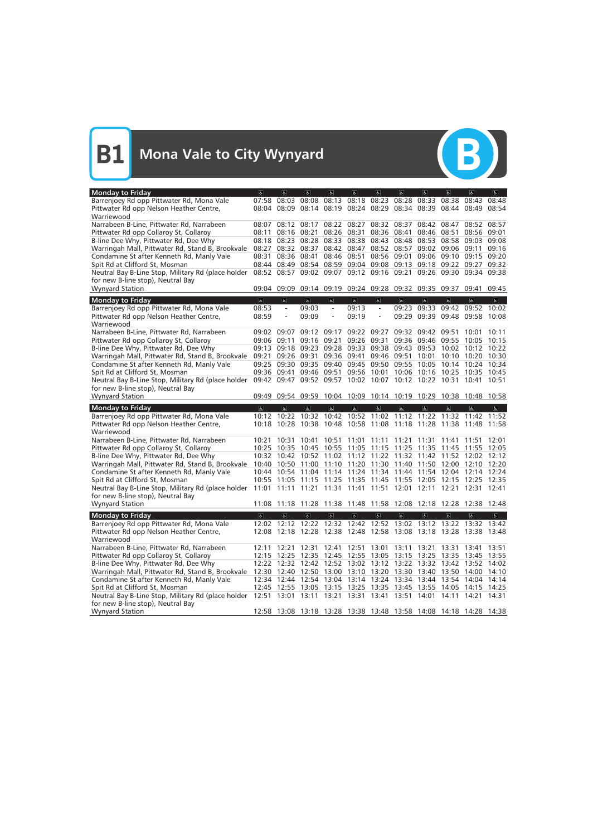

| <b>Monday to Friday</b>                                     | $\sigma$                                                          | $\overline{a}$                                              | $\vert$                 | $ \mathbf{f} $          | $\sigma$                | $\sigma$                | $\sigma$                                  | $\sigma$       | $\overline{a}$      | $\alpha$                                                          | d                       |
|-------------------------------------------------------------|-------------------------------------------------------------------|-------------------------------------------------------------|-------------------------|-------------------------|-------------------------|-------------------------|-------------------------------------------|----------------|---------------------|-------------------------------------------------------------------|-------------------------|
| Barrenjoey Rd opp Pittwater Rd, Mona Vale                   | 07:58                                                             | 08:03                                                       | 08:08                   | 08:13                   | 08:18                   | 08:23                   | 08:28                                     | 08:33          | 08:38               | 08:43                                                             | 08:48                   |
| Pittwater Rd opp Nelson Heather Centre,                     |                                                                   |                                                             |                         |                         |                         |                         |                                           |                |                     | 08:04 08:09 08:14 08:19 08:24 08:29 08:34 08:39 08:44 08:49 08:54 |                         |
| Warriewood                                                  |                                                                   |                                                             |                         |                         |                         |                         |                                           |                |                     |                                                                   |                         |
| Narrabeen B-Line, Pittwater Rd, Narrabeen                   |                                                                   | 08:07 08:12 08:17                                           |                         |                         |                         |                         | 08:22 08:27 08:32 08:37 08:42             |                | 08:47               | 08:52 08:57                                                       |                         |
| Pittwater Rd opp Collaroy St, Collaroy                      | 08:11                                                             | 08:16 08:21                                                 |                         |                         | 08:26 08:31             |                         | 08:36 08:41 08:46 08:51                   |                |                     | 08:56 09:01                                                       |                         |
| B-line Dee Why, Pittwater Rd, Dee Why                       | 08:18                                                             |                                                             | 08:23 08:28             |                         |                         |                         |                                           |                |                     | 08:33 08:38 08:43 08:48 08:53 08:58 09:03                         | 09:08                   |
| Warringah Mall, Pittwater Rd, Stand B, Brookvale            | 08:27                                                             |                                                             | 08:32 08:37             |                         |                         |                         | 08:42 08:47 08:52 08:57 09:02 09:06 09:11 |                |                     |                                                                   | 09:16                   |
| Condamine St after Kenneth Rd, Manly Vale                   | 08:31                                                             | 08:36 08:41                                                 |                         |                         |                         |                         | 08:46 08:51 08:56 09:01 09:06             |                |                     | 09:10 09:15                                                       | 09:20                   |
| Spit Rd at Clifford St, Mosman                              | 08:44                                                             | 08:49                                                       |                         |                         |                         |                         |                                           |                |                     | 08:54 08:59 09:04 09:08 09:13 09:18 09:22 09:27                   | 09:32                   |
| Neutral Bay B-Line Stop, Military Rd (place holder          |                                                                   |                                                             |                         |                         |                         |                         |                                           |                |                     | 08:52 08:57 09:02 09:07 09:12 09:16 09:21 09:26 09:30 09:34 09:38 |                         |
| for new B-line stop), Neutral Bay                           |                                                                   |                                                             |                         |                         |                         |                         |                                           |                |                     |                                                                   |                         |
| <b>Wynyard Station</b>                                      |                                                                   | 09:04 09:09 09:14 09:19 09:24 09:28 09:32 09:35 09:37       |                         |                         |                         |                         |                                           |                |                     | 09:41                                                             | 09:45                   |
| <b>Monday to Friday</b>                                     | $\overline{\mathbf{c}}$                                           | $\overline{a}$                                              | $\overline{6}$          | $\overline{\mathbf{r}}$ | $\overline{\mathbf{c}}$ | $\overline{\mathbf{G}}$ | $\overline{\mathbf{b}}$                   | $\overline{6}$ | $\overline{6}$      | $\overline{\mathbf{g}}$                                           | $\overline{\mathbb{C}}$ |
| Barrenjoey Rd opp Pittwater Rd, Mona Vale                   | 08:53                                                             | $\equiv$                                                    | 09:03                   | $\equiv$                | 09:13                   | $\equiv$                |                                           |                |                     | 09:23 09:33 09:42 09:52 10:02                                     |                         |
| Pittwater Rd opp Nelson Heather Centre,                     | 08:59                                                             | $\qquad \qquad -$                                           | 09:09                   | $\qquad \qquad -$       | 09:19                   |                         |                                           |                |                     | 09:29 09:39 09:48 09:58 10:08                                     |                         |
| Warriewood                                                  |                                                                   |                                                             |                         |                         |                         |                         |                                           |                |                     |                                                                   |                         |
| Narrabeen B-Line, Pittwater Rd, Narrabeen                   |                                                                   | $09:02$ $09:07$                                             | 09:12                   | 09:17                   | 09:22 09:27             |                         | 09:32 09:42                               |                | 09:51               | 10:01                                                             | 10:11                   |
| Pittwater Rd opp Collaroy St, Collaroy                      |                                                                   | 09:06 09:11                                                 | 09:16                   | 09:21                   | 09:26 09:31             |                         | 09:36 09:46 09:55 10:05                   |                |                     |                                                                   | 10:15                   |
| B-line Dee Why, Pittwater Rd, Dee Why                       |                                                                   |                                                             |                         |                         |                         |                         |                                           |                |                     | 09:13 09:18 09:23 09:28 09:33 09:38 09:43 09:53 10:02 10:12 10:22 |                         |
| Warringah Mall, Pittwater Rd, Stand B, Brookvale            | 09:21                                                             |                                                             | 09:26 09:31             |                         |                         |                         | 09:36 09:41 09:46 09:51 10:01             |                |                     | 10:10 10:20 10:30                                                 |                         |
| Condamine St after Kenneth Rd, Manly Vale                   |                                                                   |                                                             |                         |                         |                         |                         |                                           |                |                     | 09:25 09:30 09:35 09:40 09:45 09:50 09:55 10:05 10:14 10:24 10:34 |                         |
| Spit Rd at Clifford St, Mosman                              |                                                                   | 09:36 09:41 09:46 09:51 09:56 10:01 10:06 10:16 10:25       |                         |                         |                         |                         |                                           |                |                     | 10:35 10:45                                                       |                         |
| Neutral Bay B-Line Stop, Military Rd (place holder          |                                                                   | 09:42 09:47 09:52 09:57 10:02 10:07 10:12 10:22 10:31       |                         |                         |                         |                         |                                           |                |                     | 10:41 10:51                                                       |                         |
| for new B-line stop), Neutral Bay                           |                                                                   |                                                             |                         |                         |                         |                         |                                           |                |                     |                                                                   |                         |
| <b>Wynyard Station</b>                                      |                                                                   |                                                             |                         |                         |                         |                         |                                           |                |                     | 09:49 09:54 09:59 10:04 10:09 10:14 10:19 10:29 10:38 10:48 10:58 |                         |
|                                                             |                                                                   |                                                             |                         |                         |                         |                         |                                           |                |                     |                                                                   |                         |
| <b>Monday to Friday</b>                                     | $\sigma$                                                          | $\alpha$                                                    | $\sigma$                | $\mathbf{R}$            | $\mathbf{g}$            | $\mathbf{r}$            | $\sigma$                                  | $\sigma$       | $\sigma$            | $\sigma$                                                          | $\mathbf{g}$            |
| Barrenjoey Rd opp Pittwater Rd, Mona Vale                   |                                                                   | 10:12 10:22 10:32 10:42 10:52 11:02 11:12 11:22 11:32 11:42 |                         |                         |                         |                         |                                           |                |                     |                                                                   | 11:52                   |
| Pittwater Rd opp Nelson Heather Centre,                     |                                                                   | 10:18 10:28 10:38 10:48 10:58 11:08 11:18 11:28 11:38 11:48 |                         |                         |                         |                         |                                           |                |                     |                                                                   | 11:58                   |
| Warriewood                                                  |                                                                   |                                                             |                         |                         |                         |                         |                                           |                |                     |                                                                   |                         |
| Narrabeen B-Line, Pittwater Rd, Narrabeen                   | 10:21                                                             | 10:31                                                       | 10:41                   | 10:51                   |                         |                         | 11:01 11:11 11:21 11:31                   |                | 11:41               | 11:51                                                             | 12:01                   |
| Pittwater Rd opp Collaroy St, Collaroy                      |                                                                   | 10:25 10:35 10:45 10:55 11:05 11:15 11:25 11:35 11:45       |                         |                         |                         |                         |                                           |                |                     | 11:55 12:05                                                       |                         |
| B-line Dee Why, Pittwater Rd, Dee Why                       |                                                                   | 10:32 10:42                                                 |                         |                         |                         |                         |                                           |                |                     | 10:52 11:02 11:12 11:22 11:32 11:42 11:52 12:02 12:12             |                         |
| Warringah Mall, Pittwater Rd, Stand B, Brookvale            |                                                                   |                                                             |                         |                         |                         |                         |                                           |                |                     | 10:40 10:50 11:00 11:10 11:20 11:30 11:40 11:50 12:00 12:10 12:20 |                         |
| Condamine St after Kenneth Rd, Manly Vale                   |                                                                   |                                                             |                         |                         |                         |                         |                                           |                |                     | 10:44 10:54 11:04 11:14 11:24 11:34 11:44 11:54 12:04 12:14 12:24 |                         |
| Spit Rd at Clifford St, Mosman                              |                                                                   |                                                             |                         |                         |                         |                         |                                           |                |                     | 10:55 11:05 11:15 11:25 11:35 11:45 11:55 12:05 12:15 12:25 12:35 |                         |
| Neutral Bay B-Line Stop, Military Rd (place holder          |                                                                   |                                                             |                         |                         |                         |                         |                                           |                |                     | 11:01 11:11 11:21 11:31 11:41 11:51 12:01 12:11 12:21 12:31 12:41 |                         |
| for new B-line stop), Neutral Bay                           |                                                                   |                                                             |                         |                         |                         |                         |                                           |                |                     |                                                                   |                         |
| <b>Wynyard Station</b>                                      |                                                                   |                                                             |                         |                         |                         |                         |                                           |                |                     | 11:08 11:18 11:28 11:38 11:48 11:58 12:08 12:18 12:28 12:38 12:48 |                         |
| <b>Monday to Friday</b>                                     | $\overline{\mathbf{c}}$                                           | $\overline{\mathbf{e}}$                                     | $\overline{\mathbf{r}}$ | $\overline{\mathbf{P}}$ | $\overline{\mathbb{G}}$ | $\overline{\mathbf{c}}$ | $\overline{\mathbf{e}}$                   | $\overline{6}$ | $\overline{\sigma}$ | $\overline{\mathbf{c}}$                                           | $\overline{\mathbf{P}}$ |
| Barrenjoey Rd opp Pittwater Rd, Mona Vale                   |                                                                   |                                                             |                         |                         |                         |                         |                                           |                |                     | 12:02 12:12 12:22 12:32 12:42 12:52 13:02 13:12 13:22 13:32 13:42 |                         |
| Pittwater Rd opp Nelson Heather Centre,                     |                                                                   |                                                             |                         |                         |                         |                         |                                           |                |                     | 12:08 12:18 12:28 12:38 12:48 12:58 13:08 13:18 13:28 13:38 13:48 |                         |
| Warriewood                                                  |                                                                   |                                                             |                         |                         |                         |                         |                                           |                |                     |                                                                   |                         |
| Narrabeen B-Line, Pittwater Rd, Narrabeen                   |                                                                   |                                                             |                         |                         |                         |                         |                                           |                |                     | 12:11 12:21 12:31 12:41 12:51 13:01 13:11 13:21 13:31 13:41 13:51 |                         |
| Pittwater Rd opp Collaroy St, Collaroy                      |                                                                   |                                                             |                         |                         |                         |                         |                                           |                |                     | 12:15 12:25 12:35 12:45 12:55 13:05 13:15 13:25 13:35 13:45 13:55 |                         |
| B-line Dee Why, Pittwater Rd, Dee Why                       |                                                                   |                                                             |                         |                         |                         |                         |                                           |                |                     | 12:22 12:32 12:42 12:52 13:02 13:12 13:22 13:32 13:42 13:52 14:02 |                         |
| Warringah Mall, Pittwater Rd, Stand B, Brookvale            | 12:30 12:40 12:50 13:00 13:10 13:20 13:30 13:40 13:50 14:00 14:10 |                                                             |                         |                         |                         |                         |                                           |                |                     |                                                                   |                         |
| Condamine St after Kenneth Rd, Manly Vale                   |                                                                   |                                                             |                         |                         |                         |                         |                                           |                |                     | 12:34 12:44 12:54 13:04 13:14 13:24 13:34 13:44 13:54 14:04 14:14 |                         |
| Spit Rd at Clifford St, Mosman                              |                                                                   |                                                             |                         |                         |                         |                         |                                           |                |                     | 12:45 12:55 13:05 13:15 13:25 13:35 13:45 13:55 14:05 14:15 14:25 |                         |
| Neutral Bay B-Line Stop, Military Rd (place holder          |                                                                   |                                                             |                         |                         |                         |                         |                                           |                |                     | 12:51 13:01 13:11 13:21 13:31 13:41 13:51 14:01 14:11 14:21 14:31 |                         |
| for new B-line stop), Neutral Bay<br><b>Wynyard Station</b> |                                                                   |                                                             |                         |                         |                         |                         |                                           |                |                     | 12:58 13:08 13:18 13:28 13:38 13:48 13:58 14:08 14:18 14:28 14:38 |                         |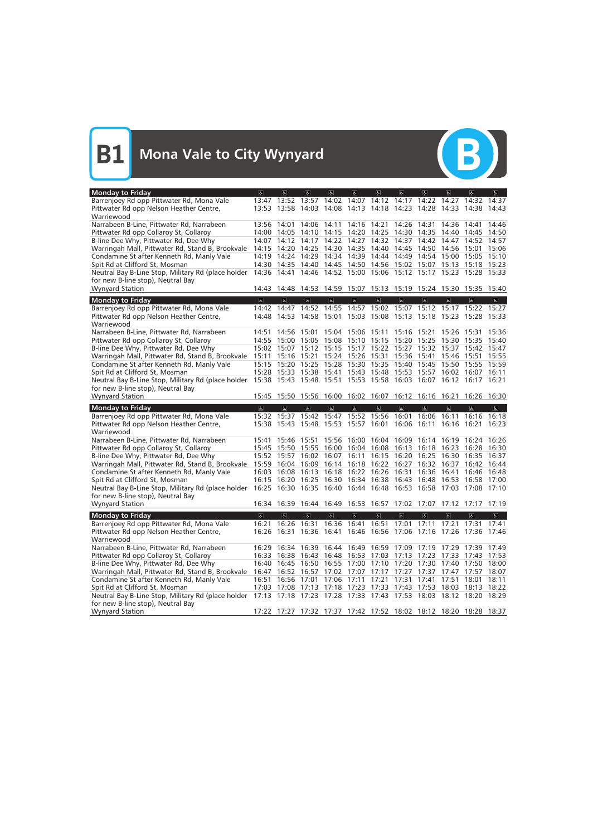

| <b>Monday to Friday</b>                                                                 | $\sigma$                                                          | $\sigma$                                  | $ \mathbf{f} $          | $\sigma$                | $\sigma$                | $\sigma$                | $\sigma$                                                                                                             | $\sigma$                | $\sigma$                | $\left  \mathbf{r} \right $ | $\overline{a}$          |
|-----------------------------------------------------------------------------------------|-------------------------------------------------------------------|-------------------------------------------|-------------------------|-------------------------|-------------------------|-------------------------|----------------------------------------------------------------------------------------------------------------------|-------------------------|-------------------------|-----------------------------|-------------------------|
| Barrenjoey Rd opp Pittwater Rd, Mona Vale                                               |                                                                   |                                           |                         |                         |                         |                         | 13:47 13:52 13:57 14:02 14:07 14:12 14:17 14:22                                                                      |                         | 14:27                   | 14:32 14:37                 |                         |
| Pittwater Rd opp Nelson Heather Centre,                                                 |                                                                   |                                           |                         |                         |                         |                         | 13:53 13:58 14:03 14:08 14:13 14:18 14:23 14:28                                                                      |                         |                         | 14:33 14:38 14:43           |                         |
| Warriewood                                                                              |                                                                   |                                           |                         |                         |                         |                         |                                                                                                                      |                         |                         |                             |                         |
| Narrabeen B-Line, Pittwater Rd, Narrabeen                                               |                                                                   | 13:56 14:01                               | 14:06                   |                         |                         |                         | 14:11 14:16 14:21 14:26 14:31                                                                                        |                         | 14:36                   | 14:41                       | 14:46                   |
| Pittwater Rd opp Collaroy St, Collaroy                                                  |                                                                   | 14:00 14:05                               |                         |                         |                         |                         | 14:10 14:15 14:20 14:25 14:30 14:35 14:40                                                                            |                         |                         | 14:45 14:50                 |                         |
| B-line Dee Why, Pittwater Rd, Dee Why                                                   |                                                                   | 14:07 14:12                               |                         |                         |                         |                         | 14:17 14:22 14:27 14:32 14:37 14:42                                                                                  |                         | 14:47                   | 14:52 14:57                 |                         |
| Warringah Mall, Pittwater Rd, Stand B, Brookvale                                        |                                                                   |                                           |                         |                         |                         |                         | 14:15 14:20 14:25 14:30 14:35 14:40 14:45 14:50 14:56 15:01 15:06                                                    |                         |                         |                             |                         |
| Condamine St after Kenneth Rd, Manly Vale                                               |                                                                   |                                           |                         |                         |                         |                         | 14:19 14:24 14:29 14:34 14:39 14:44 14:49 14:54 15:00 15:05 15:10                                                    |                         |                         |                             |                         |
| Spit Rd at Clifford St, Mosman                                                          |                                                                   |                                           |                         |                         |                         |                         | 14:30 14:35 14:40 14:45 14:50 14:56 15:02 15:07 15:13 15:18 15:23                                                    |                         |                         |                             |                         |
| Neutral Bay B-Line Stop, Military Rd (place holder                                      |                                                                   |                                           |                         |                         |                         |                         | 14:36 14:41 14:46 14:52 15:00 15:06 15:12 15:17 15:23 15:28 15:33                                                    |                         |                         |                             |                         |
| for new B-line stop), Neutral Bay                                                       |                                                                   |                                           |                         |                         |                         |                         |                                                                                                                      |                         |                         |                             |                         |
| <b>Wynyard Station</b>                                                                  |                                                                   |                                           |                         |                         |                         |                         | 14:43 14:48 14:53 14:59 15:07 15:13 15:19 15:24 15:30 15:35 15:40                                                    |                         |                         |                             |                         |
| <b>Monday to Friday</b>                                                                 | $\overline{\mathbf{c}}$                                           | $\overline{a}$                            | $\overline{a}$          | $\overline{a}$          | $\overline{\mathbf{e}}$ | $\overline{b}$          | $\overline{\mathbf{c}}$                                                                                              | $\overline{\mathbf{c}}$ | $\overline{6}$          | $\overline{6}$              | $\overline{\mathbb{P}}$ |
| Barrenjoey Rd opp Pittwater Rd, Mona Vale                                               | 14:42                                                             | 14:47                                     | 14:52                   | 14:55                   |                         | 14:57 15:02 15:07       |                                                                                                                      | 15:12                   | 15:17                   | 15:22 15:27                 |                         |
| Pittwater Rd opp Nelson Heather Centre,                                                 |                                                                   |                                           |                         |                         |                         |                         | 14:48 14:53 14:58 15:01 15:03 15:08 15:13 15:18 15:23 15:28 15:33                                                    |                         |                         |                             |                         |
| Warriewood                                                                              |                                                                   |                                           |                         |                         |                         |                         |                                                                                                                      |                         |                         |                             |                         |
| Narrabeen B-Line, Pittwater Rd, Narrabeen                                               |                                                                   | 14:51 14:56 15:01                         |                         |                         |                         |                         | 15:04 15:06 15:11 15:16 15:21 15:26                                                                                  |                         |                         | 15:31                       | 15:36                   |
| Pittwater Rd opp Collaroy St, Collaroy                                                  |                                                                   |                                           |                         |                         |                         |                         | 14:55 15:00 15:05 15:08 15:10 15:15 15:20 15:25 15:30 15:35 15:40                                                    |                         |                         |                             |                         |
| B-line Dee Why, Pittwater Rd, Dee Why                                                   |                                                                   |                                           |                         |                         |                         |                         | 15:02 15:07 15:12 15:15 15:17 15:22 15:27 15:32 15:37 15:42 15:47                                                    |                         |                         |                             |                         |
| Warringah Mall, Pittwater Rd, Stand B, Brookvale                                        | 15:11                                                             | 15:16 15:21                               |                         |                         |                         |                         | 15:24 15:26 15:31 15:36 15:41                                                                                        |                         |                         | 15:46 15:51 15:55           |                         |
| Condamine St after Kenneth Rd, Manly Vale                                               |                                                                   | 15:15 15:20 15:25                         |                         |                         |                         |                         | 15:28 15:30 15:35 15:40 15:45 15:50 15:55 15:59                                                                      |                         |                         |                             |                         |
| Spit Rd at Clifford St, Mosman                                                          |                                                                   |                                           |                         |                         |                         |                         | 15:28 15:33 15:38 15:41 15:43 15:48 15:53 15:57 16:02 16:07 16:11                                                    |                         |                         |                             |                         |
| Neutral Bay B-Line Stop, Military Rd (place holder                                      | 15:38 15:43 15:48 15:51 15:53 15:58 16:03 16:07 16:12 16:17 16:21 |                                           |                         |                         |                         |                         |                                                                                                                      |                         |                         |                             |                         |
| for new B-line stop), Neutral Bay                                                       |                                                                   |                                           |                         |                         |                         |                         |                                                                                                                      |                         |                         |                             |                         |
| <b>Wynyard Station</b>                                                                  |                                                                   |                                           |                         |                         |                         |                         | 15:45 15:50 15:56 16:00 16:02 16:07 16:12 16:16 16:21                                                                |                         |                         | 16:26 16:30                 |                         |
|                                                                                         |                                                                   |                                           |                         |                         |                         |                         |                                                                                                                      |                         |                         |                             |                         |
|                                                                                         | $\sigma$                                                          | $\sigma$                                  | $\mathbf{F}$            | $\mathbf{P}$            | $\mathbf{r}$            | $\mathbf{P}$            | $\sigma$                                                                                                             | $\sigma$                | $\sigma$                | $ \mathbf{P} $              | $\mathbb{P}$            |
| <b>Monday to Friday</b>                                                                 |                                                                   | 15:32 15:37 15:42 15:47 15:52 15:56 16:01 |                         |                         |                         |                         |                                                                                                                      | 16:06                   | 16:11                   | 16:16 16:18                 |                         |
| Barrenjoey Rd opp Pittwater Rd, Mona Vale                                               |                                                                   |                                           |                         |                         |                         |                         | 15:38 15:43 15:48 15:53 15:57 16:01 16:06 16:11                                                                      |                         | 16:16                   | 16:21                       | 16:23                   |
| Pittwater Rd opp Nelson Heather Centre,<br>Warriewood                                   |                                                                   |                                           |                         |                         |                         |                         |                                                                                                                      |                         |                         |                             |                         |
|                                                                                         |                                                                   | 15:41 15:46 15:51                         |                         |                         |                         |                         | 15:56 16:00 16:04 16:09 16:14 16:19 16:24 16:26                                                                      |                         |                         |                             |                         |
| Narrabeen B-Line, Pittwater Rd, Narrabeen<br>Pittwater Rd opp Collaroy St, Collaroy     |                                                                   |                                           |                         |                         |                         |                         | 15:45 15:50 15:55 16:00 16:04 16:08 16:13 16:18 16:23 16:28 16:30                                                    |                         |                         |                             |                         |
| B-line Dee Why, Pittwater Rd, Dee Why                                                   |                                                                   | 15:52 15:57                               | 16:02                   |                         |                         |                         | 16:07 16:11 16:15 16:20 16:25 16:30                                                                                  |                         |                         | 16:35 16:37                 |                         |
| Warringah Mall, Pittwater Rd, Stand B, Brookvale                                        |                                                                   | 15:59 16:04 16:09                         |                         |                         |                         |                         | 16:14 16:18 16:22 16:27 16:32 16:37 16:42 16:44                                                                      |                         |                         |                             |                         |
| Condamine St after Kenneth Rd, Manly Vale                                               |                                                                   | 16:03 16:08                               | 16:13                   |                         |                         | 16:18 16:22 16:26 16:31 |                                                                                                                      | 16:36                   | 16:41                   | 16:46 16:48                 |                         |
| Spit Rd at Clifford St, Mosman                                                          |                                                                   | 16:15 16:20                               |                         |                         |                         |                         | 16:25 16:30 16:34 16:38 16:43 16:48 16:53 16:58 17:00                                                                |                         |                         |                             |                         |
| Neutral Bay B-Line Stop, Military Rd (place holder                                      |                                                                   |                                           |                         |                         |                         |                         | 16:25 16:30 16:35 16:40 16:44 16:48 16:53 16:58 17:03 17:08 17:10                                                    |                         |                         |                             |                         |
| for new B-line stop), Neutral Bay                                                       |                                                                   |                                           |                         |                         |                         |                         |                                                                                                                      |                         |                         |                             |                         |
| <b>Wynyard Station</b>                                                                  |                                                                   |                                           |                         |                         |                         |                         | 16:34 16:39 16:44 16:49 16:53 16:57 17:02 17:07 17:12 17:17 17:19                                                    |                         |                         |                             |                         |
|                                                                                         |                                                                   |                                           |                         |                         | $\overline{\mathbf{e}}$ | $\overline{\mathbf{e}}$ |                                                                                                                      |                         |                         |                             | $\overline{\mathbf{r}}$ |
| <b>Monday to Friday</b>                                                                 | $\overline{\infty}$                                               | $\overline{\mathbf{c}}$                   | $\overline{\mathbf{c}}$ | $\overline{\mathbf{e}}$ |                         |                         | $\overline{\mathbf{c}}$                                                                                              | $\overline{\mathbf{e}}$ | $\overline{\mathbf{c}}$ | $\overline{\mathbf{e}}$     |                         |
| Barrenjoey Rd opp Pittwater Rd, Mona Vale                                               | 16:21                                                             | 16:26                                     | 16:31                   | 16:36                   | 16:41                   | 16:51                   | 17:01                                                                                                                | 17:11                   | 17:21                   | 17:31                       | 17:41                   |
| Pittwater Rd opp Nelson Heather Centre,                                                 |                                                                   | 16:26 16:31 16:36 16:41 16:46 16:56 17:06 |                         |                         |                         |                         |                                                                                                                      |                         |                         | 17:16 17:26 17:36 17:46     |                         |
| Warriewood                                                                              |                                                                   |                                           |                         |                         |                         |                         |                                                                                                                      |                         |                         |                             |                         |
| Narrabeen B-Line, Pittwater Rd, Narrabeen                                               |                                                                   |                                           |                         |                         |                         |                         | 16:29 16:34 16:39 16:44 16:49 16:59 17:09 17:19 17:29 17:39 17:49<br>16:33 16:38 16:43 16:48 16:53 17:03 17:13 17:23 |                         |                         | 17:33 17:43 17:53           |                         |
| Pittwater Rd opp Collaroy St, Collaroy                                                  |                                                                   |                                           |                         |                         |                         |                         |                                                                                                                      |                         |                         |                             |                         |
| B-line Dee Why, Pittwater Rd, Dee Why                                                   |                                                                   |                                           |                         |                         |                         |                         | 16:40 16:45 16:50 16:55 17:00 17:10 17:20 17:30 17:40 17:50 18:00                                                    |                         |                         |                             |                         |
| Warringah Mall, Pittwater Rd, Stand B, Brookvale                                        |                                                                   | 16:51 16:56 17:01                         |                         |                         | 17:06 17:11 17:21       |                         | 16:47 16:52 16:57 17:02 17:07 17:17 17:27 17:37 17:47 17:57 18:07<br>17:31                                           | 17:41                   | 17:51                   | 18:01                       | 18:11                   |
| Condamine St after Kenneth Rd, Manly Vale                                               |                                                                   | 17:03 17:08 17:13                         |                         |                         |                         | 17:18 17:23 17:33 17:43 |                                                                                                                      | 17:53                   | 18:03 18:13             |                             | 18:22                   |
| Spit Rd at Clifford St, Mosman                                                          |                                                                   |                                           |                         |                         |                         |                         | 17:13 17:18 17:23 17:28 17:33 17:43 17:53 18:03 18:12 18:20 18:29                                                    |                         |                         |                             |                         |
| Neutral Bay B-Line Stop, Military Rd (place holder<br>for new B-line stop), Neutral Bay |                                                                   |                                           |                         |                         |                         |                         |                                                                                                                      |                         |                         |                             |                         |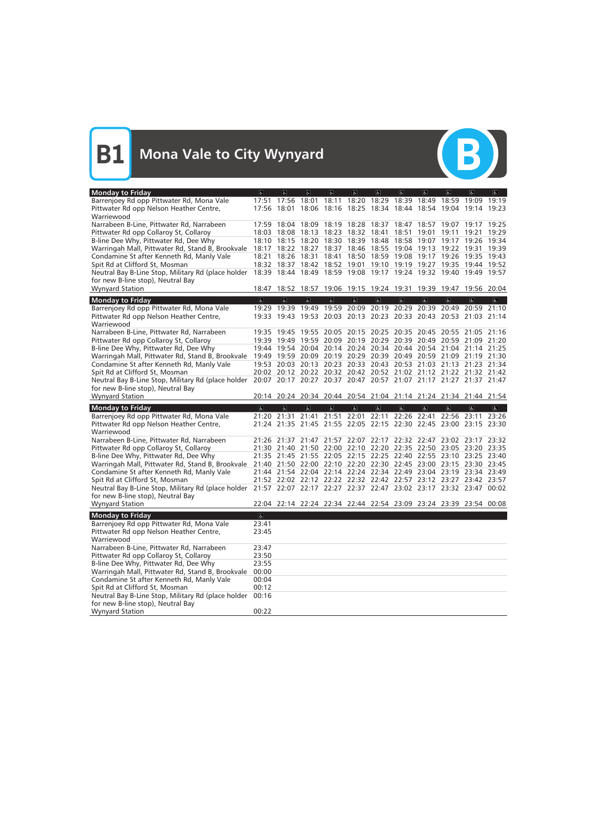

| <b>Monday to Friday</b>                                                                                              | $\overline{\mathbf{a}}$ | e                       | $\vert$        | $ \mathbf{f} $          | $\sigma$                | $\sigma$                | $\sigma$                                                          | $\sigma$       | $\left  \mathbf{r} \right $ | $\alpha$       | d              |
|----------------------------------------------------------------------------------------------------------------------|-------------------------|-------------------------|----------------|-------------------------|-------------------------|-------------------------|-------------------------------------------------------------------|----------------|-----------------------------|----------------|----------------|
| Barrenjoey Rd opp Pittwater Rd, Mona Vale                                                                            |                         | 17:51 17:56             | 18:01          | 18:11                   |                         |                         | 18:20 18:29 18:39 18:49                                           |                | 18:59                       | 19:09          | 19:19          |
| Pittwater Rd opp Nelson Heather Centre,                                                                              |                         | 17:56 18:01             |                |                         |                         |                         | 18:06 18:16 18:25 18:34 18:44 18:54 19:04 19:14 19:23             |                |                             |                |                |
| Warriewood                                                                                                           |                         |                         |                |                         |                         |                         |                                                                   |                |                             |                |                |
| Narrabeen B-Line, Pittwater Rd, Narrabeen                                                                            |                         | 17:59 18:04             |                |                         |                         |                         | 18:09 18:19 18:28 18:37 18:47 18:57 19:07 19:17 19:25             |                |                             |                |                |
| Pittwater Rd opp Collaroy St, Collaroy                                                                               |                         | 18:03 18:08             | 18:13          | 18:23                   | 18:32 18:41             |                         | 18:51 19:01                                                       |                | 19:11                       | 19:21          | 19:29          |
| B-line Dee Why, Pittwater Rd, Dee Why                                                                                |                         | 18:10 18:15 18:20       |                |                         |                         |                         | 18:30 18:39 18:48 18:58 19:07 19:17 19:26 19:34                   |                |                             |                |                |
| Warringah Mall, Pittwater Rd, Stand B, Brookvale                                                                     | 18:17                   |                         |                |                         |                         |                         | 18:22 18:27 18:37 18:46 18:55 19:04 19:13 19:22 19:31             |                |                             |                | 19:39          |
| Condamine St after Kenneth Rd, Manly Vale                                                                            |                         | 18:21 18:26 18:31       |                | 18:41                   |                         |                         | 18:50 18:59 19:08 19:17 19:26 19:35 19:43                         |                |                             |                |                |
| Spit Rd at Clifford St, Mosman                                                                                       |                         |                         |                |                         |                         |                         | 18:32 18:37 18:42 18:52 19:01 19:10 19:19 19:27 19:35 19:44 19:52 |                |                             |                |                |
| Neutral Bay B-Line Stop, Military Rd (place holder                                                                   |                         |                         |                |                         |                         |                         | 18:39 18:44 18:49 18:59 19:08 19:17 19:24 19:32 19:40 19:49 19:57 |                |                             |                |                |
| for new B-line stop), Neutral Bay                                                                                    |                         |                         |                |                         |                         |                         |                                                                   |                |                             |                |                |
| <b>Wynyard Station</b>                                                                                               | 18:47                   |                         |                |                         |                         |                         | 18:52 18:57 19:06 19:15 19:24 19:31 19:39 19:47 19:56 20:04       |                |                             |                |                |
| <b>Monday to Friday</b>                                                                                              | $\overline{\mathbf{c}}$ | $\overline{\mathbf{c}}$ | $\overline{6}$ | $\overline{\mathbf{r}}$ | $\overline{\mathbf{c}}$ | $\overline{\mathbf{c}}$ | $\overline{\mathbf{c}}$                                           | $\overline{6}$ | $\overline{6}$              | $\overline{6}$ | $\overline{6}$ |
| Barrenjoey Rd opp Pittwater Rd, Mona Vale                                                                            |                         |                         |                |                         |                         |                         | 19:29 19:39 19:49 19:59 20:09 20:19 20:29 20:39 20:49 20:59 21:10 |                |                             |                |                |
| Pittwater Rd opp Nelson Heather Centre,                                                                              |                         |                         |                |                         |                         |                         | 19:33 19:43 19:53 20:03 20:13 20:23 20:33 20:43 20:53 21:03 21:14 |                |                             |                |                |
| Warriewood                                                                                                           |                         |                         |                |                         |                         |                         |                                                                   |                |                             |                |                |
| Narrabeen B-Line, Pittwater Rd, Narrabeen                                                                            |                         |                         |                |                         |                         |                         | 19:35 19:45 19:55 20:05 20:15 20:25 20:35 20:45 20:55 21:05 21:16 |                |                             |                |                |
| Pittwater Rd opp Collaroy St, Collaroy                                                                               |                         |                         |                |                         |                         |                         | 19:39 19:49 19:59 20:09 20:19 20:29 20:39 20:49 20:59 21:09 21:20 |                |                             |                |                |
| B-line Dee Why, Pittwater Rd, Dee Why                                                                                |                         |                         |                |                         |                         |                         | 19:44 19:54 20:04 20:14 20:24 20:34 20:44 20:54 21:04 21:14 21:25 |                |                             |                |                |
| Warringah Mall, Pittwater Rd, Stand B, Brookvale                                                                     |                         |                         |                |                         |                         |                         | 19:49 19:59 20:09 20:19 20:29 20:39 20:49 20:59 21:09 21:19 21:30 |                |                             |                |                |
| Condamine St after Kenneth Rd, Manly Vale                                                                            |                         |                         |                |                         |                         |                         | 19:53 20:03 20:13 20:23 20:33 20:43 20:53 21:03 21:13 21:23 21:34 |                |                             |                |                |
| Spit Rd at Clifford St, Mosman                                                                                       |                         |                         |                |                         |                         |                         | 20:02 20:12 20:22 20:32 20:42 20:52 21:02 21:12 21:22 21:32 21:42 |                |                             |                |                |
| Neutral Bay B-Line Stop, Military Rd (place holder 20:07 20:17 20:27 20:37 20:47 20:57 21:07 21:17 21:27 21:37 21:47 |                         |                         |                |                         |                         |                         |                                                                   |                |                             |                |                |
| for new B-line stop), Neutral Bay                                                                                    |                         |                         |                |                         |                         |                         |                                                                   |                |                             |                |                |
| <b>Wynyard Station</b>                                                                                               |                         |                         |                |                         |                         |                         | 20:14 20:24 20:34 20:44 20:54 21:04 21:14 21:24 21:34 21:44 21:54 |                |                             |                |                |
|                                                                                                                      |                         |                         |                |                         |                         |                         |                                                                   |                |                             |                |                |
|                                                                                                                      | $\sigma$                | $\alpha$                | $\alpha$       | $\mathbf{R}$            | $\mathbf{g}$            | $\mathbf{r}$            | $\mathbf{g}$                                                      | $\sigma$       | $\sigma$                    | $\sigma$       | $\overline{6}$ |
| <b>Monday to Friday</b><br>Barrenjoey Rd opp Pittwater Rd, Mona Vale                                                 |                         |                         |                |                         |                         |                         | 21:20 21:31 21:41 21:51 22:01 22:11 22:26 22:41 22:56 23:11       |                |                             |                | 23:26          |
| Pittwater Rd opp Nelson Heather Centre,                                                                              |                         |                         |                |                         |                         |                         | 21:24 21:35 21:45 21:55 22:05 22:15 22:30 22:45 23:00 23:15 23:30 |                |                             |                |                |
| Warriewood                                                                                                           |                         |                         |                |                         |                         |                         |                                                                   |                |                             |                |                |
| Narrabeen B-Line, Pittwater Rd, Narrabeen                                                                            |                         |                         |                |                         |                         |                         | 21:26 21:37 21:47 21:57 22:07 22:17 22:32 22:47 23:02 23:17       |                |                             |                | 23:32          |
| Pittwater Rd opp Collaroy St, Collaroy                                                                               |                         |                         |                |                         |                         |                         | 21:30 21:40 21:50 22:00 22:10 22:20 22:35 22:50 23:05 23:20 23:35 |                |                             |                |                |
| B-line Dee Why, Pittwater Rd, Dee Why                                                                                |                         |                         |                |                         |                         |                         | 21:35 21:45 21:55 22:05 22:15 22:25 22:40 22:55 23:10 23:25 23:40 |                |                             |                |                |
| Warringah Mall, Pittwater Rd, Stand B, Brookvale                                                                     |                         |                         |                |                         |                         |                         | 21:40 21:50 22:00 22:10 22:20 22:30 22:45 23:00 23:15 23:30 23:45 |                |                             |                |                |
| Condamine St after Kenneth Rd, Manly Vale                                                                            |                         |                         |                |                         |                         |                         | 21:44 21:54 22:04 22:14 22:24 22:34 22:49 23:04 23:19 23:34 23:49 |                |                             |                |                |
| Spit Rd at Clifford St, Mosman                                                                                       |                         |                         |                |                         |                         |                         | 21:52 22:02 22:12 22:22 22:32 22:42 22:57 23:12 23:27 23:42 23:57 |                |                             |                |                |
| Neutral Bay B-Line Stop, Military Rd (place holder 21:57 22:07 22:17 22:27 22:37 22:47 23:02 23:17 23:32 23:47 00:02 |                         |                         |                |                         |                         |                         |                                                                   |                |                             |                |                |
| for new B-line stop), Neutral Bay                                                                                    |                         |                         |                |                         |                         |                         |                                                                   |                |                             |                |                |
| <b>Wynyard Station</b>                                                                                               |                         |                         |                |                         |                         |                         | 22:04 22:14 22:24 22:34 22:44 22:54 23:09 23:24 23:39 23:54 00:08 |                |                             |                |                |
| <b>Monday to Friday</b>                                                                                              | $\overline{\mathbf{c}}$ |                         |                |                         |                         |                         |                                                                   |                |                             |                |                |
| Barrenjoey Rd opp Pittwater Rd, Mona Vale                                                                            | 23:41                   |                         |                |                         |                         |                         |                                                                   |                |                             |                |                |
| Pittwater Rd opp Nelson Heather Centre,                                                                              | 23:45                   |                         |                |                         |                         |                         |                                                                   |                |                             |                |                |
| Warriewood                                                                                                           |                         |                         |                |                         |                         |                         |                                                                   |                |                             |                |                |
| Narrabeen B-Line, Pittwater Rd, Narrabeen                                                                            | 23:47                   |                         |                |                         |                         |                         |                                                                   |                |                             |                |                |
| Pittwater Rd opp Collaroy St, Collaroy                                                                               | 23:50                   |                         |                |                         |                         |                         |                                                                   |                |                             |                |                |
| B-line Dee Why, Pittwater Rd, Dee Why                                                                                | 23:55                   |                         |                |                         |                         |                         |                                                                   |                |                             |                |                |
| Warringah Mall, Pittwater Rd, Stand B, Brookvale                                                                     | 00:00                   |                         |                |                         |                         |                         |                                                                   |                |                             |                |                |
| Condamine St after Kenneth Rd, Manly Vale                                                                            | 00:04                   |                         |                |                         |                         |                         |                                                                   |                |                             |                |                |
| Spit Rd at Clifford St, Mosman                                                                                       | 00:12                   |                         |                |                         |                         |                         |                                                                   |                |                             |                |                |
| Neutral Bay B-Line Stop, Military Rd (place holder                                                                   | 00:16                   |                         |                |                         |                         |                         |                                                                   |                |                             |                |                |
| for new B-line stop), Neutral Bay<br><b>Wynyard Station</b>                                                          | 00:22                   |                         |                |                         |                         |                         |                                                                   |                |                             |                |                |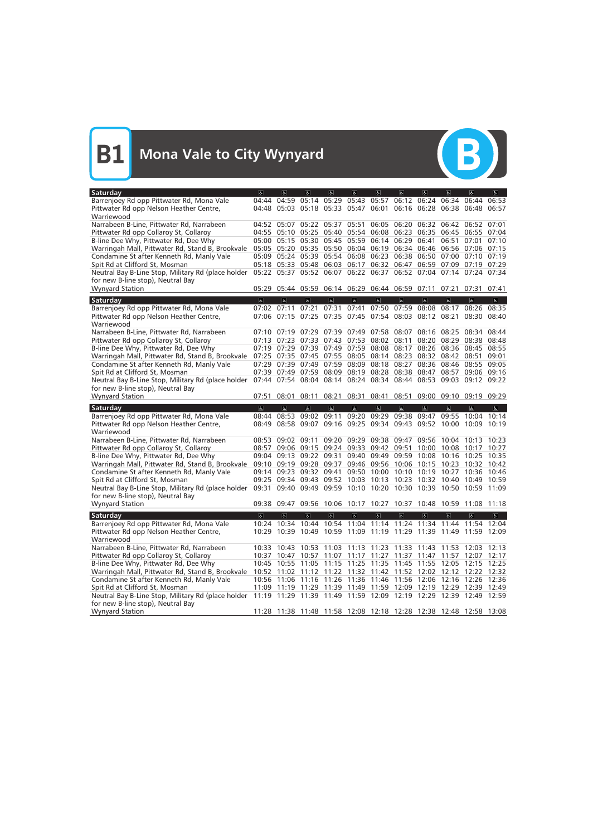

| Saturday                                                    | $\sigma$                | $\overline{a}$                            | $\vert$                 | $\overline{d}$          | $\sigma$                      | $\sigma$                | $\sigma$                                                          | $\sigma$                | $\left  \mathbf{r} \right $ | $\alpha$                      | d                        |
|-------------------------------------------------------------|-------------------------|-------------------------------------------|-------------------------|-------------------------|-------------------------------|-------------------------|-------------------------------------------------------------------|-------------------------|-----------------------------|-------------------------------|--------------------------|
| Barrenjoey Rd opp Pittwater Rd, Mona Vale                   | 04:44                   |                                           |                         |                         | 04:59 05:14 05:29 05:43 05:57 |                         |                                                                   | 06:12 06:24 06:34       |                             | 06:44                         | 06:53                    |
| Pittwater Rd opp Nelson Heather Centre,                     |                         | 04:48 05:03 05:18 05:33 05:47 06:01       |                         |                         |                               |                         |                                                                   |                         |                             | 06:16 06:28 06:38 06:48 06:57 |                          |
| Warriewood                                                  |                         |                                           |                         |                         |                               |                         |                                                                   |                         |                             |                               |                          |
| Narrabeen B-Line, Pittwater Rd, Narrabeen                   |                         | 04:52 05:07 05:22 05:37 05:51             |                         |                         |                               |                         | 06:05 06:20 06:32 06:42 06:52 07:01                               |                         |                             |                               |                          |
| Pittwater Rd opp Collaroy St, Collaroy                      |                         |                                           |                         |                         |                               |                         | 04:55 05:10 05:25 05:40 05:54 06:08 06:23 06:35 06:45 06:55 07:04 |                         |                             |                               |                          |
| B-line Dee Why, Pittwater Rd, Dee Why                       |                         |                                           |                         |                         |                               |                         | 05:00 05:15 05:30 05:45 05:59 06:14 06:29 06:41                   |                         |                             | 06:51 07:01                   | 07:10                    |
| Warringah Mall, Pittwater Rd, Stand B, Brookvale            |                         |                                           |                         |                         |                               |                         | 05:05 05:20 05:35 05:50 06:04 06:19 06:34 06:46 06:56 07:06 07:15 |                         |                             |                               |                          |
| Condamine St after Kenneth Rd, Manly Vale                   |                         |                                           |                         |                         |                               |                         | 05:09 05:24 05:39 05:54 06:08 06:23 06:38 06:50 07:00 07:10 07:19 |                         |                             |                               |                          |
| Spit Rd at Clifford St, Mosman                              |                         | 05:18 05:33 05:48 06:03                   |                         |                         | 06:17                         |                         | 06:32 06:47 06:59 07:09 07:19 07:29                               |                         |                             |                               |                          |
| Neutral Bay B-Line Stop, Military Rd (place holder          |                         |                                           |                         |                         |                               |                         | 05:22 05:37 05:52 06:07 06:22 06:37 06:52 07:04 07:14 07:24 07:34 |                         |                             |                               |                          |
| for new B-line stop), Neutral Bay<br><b>Wynyard Station</b> |                         |                                           |                         |                         |                               |                         | 05:29 05:44 05:59 06:14 06:29 06:44 06:59 07:11                   |                         | 07:21 07:31                 |                               | 07:41                    |
|                                                             |                         |                                           |                         |                         |                               |                         |                                                                   |                         |                             |                               |                          |
| Saturday                                                    | $\overline{\mathbf{c}}$ | $\overline{a}$                            | $\overline{6}$          | $\overline{\mathbf{r}}$ | $\overline{\mathbf{c}}$       | $\overline{6}$          | $\overline{\mathbf{c}}$                                           | $\overline{\mathbf{c}}$ | $\overline{6}$              | $\overline{\mathbf{g}}$       | $\overline{\mathcal{C}}$ |
| Barrenjoey Rd opp Pittwater Rd, Mona Vale                   |                         | 07:02 07:11 07:21 07:31                   |                         |                         | 07:41                         |                         | 07:50 07:59 08:08                                                 |                         | 08:17                       | 08:26 08:35                   |                          |
| Pittwater Rd opp Nelson Heather Centre,                     |                         |                                           |                         |                         |                               |                         | 07:06 07:15 07:25 07:35 07:45 07:54 08:03 08:12 08:21             |                         |                             | 08:30                         | 08:40                    |
| Warriewood                                                  |                         |                                           |                         |                         |                               |                         |                                                                   |                         |                             |                               |                          |
| Narrabeen B-Line, Pittwater Rd, Narrabeen                   |                         | $07:10$ $07:19$                           | 07:29                   |                         |                               |                         | 07:39 07:49 07:58 08:07 08:16                                     |                         | 08:25                       | 08:34 08:44                   |                          |
| Pittwater Rd opp Collaroy St, Collaroy                      |                         | 07:13 07:23 07:33 07:43 07:53 08:02 08:11 |                         |                         |                               |                         |                                                                   | 08:20                   | 08:29                       | 08:38                         | 08:48                    |
| B-line Dee Why, Pittwater Rd, Dee Why                       |                         |                                           |                         |                         |                               |                         | 07:19 07:29 07:39 07:49 07:59 08:08 08:17 08:26                   |                         |                             | 08:36 08:45 08:55             |                          |
| Warringah Mall, Pittwater Rd, Stand B, Brookvale            |                         |                                           |                         |                         |                               |                         | 07:25 07:35 07:45 07:55 08:05 08:14 08:23 08:32                   |                         | 08:42 08:51                 |                               | 09:01                    |
| Condamine St after Kenneth Rd, Manly Vale                   |                         |                                           |                         |                         |                               |                         | 07:29 07:39 07:49 07:59 08:09 08:18 08:27 08:36                   |                         |                             | 08:46 08:55 09:05             |                          |
| Spit Rd at Clifford St, Mosman                              |                         |                                           |                         |                         |                               |                         | 07:39 07:49 07:59 08:09 08:19 08:28 08:38 08:47 08:57 09:06 09:16 |                         |                             | 09:12                         |                          |
| Neutral Bay B-Line Stop, Military Rd (place holder          |                         |                                           |                         |                         |                               |                         | 07:44 07:54 08:04 08:14 08:24 08:34 08:44 08:53 09:03             |                         |                             |                               | 09:22                    |
| for new B-line stop), Neutral Bay<br><b>Wynyard Station</b> |                         | 08:01                                     | 08:11                   |                         |                               |                         |                                                                   |                         |                             |                               |                          |
|                                                             | 07:51                   |                                           |                         | 08:21                   | 08:31                         | 08:41                   |                                                                   |                         |                             | 08:51 09:00 09:10 09:19 09:29 |                          |
|                                                             |                         |                                           |                         |                         |                               |                         |                                                                   |                         |                             |                               |                          |
| Saturday                                                    | $\sigma$                | $\alpha$                                  | $\sigma$                | $\mathbf{R}$            | $\mathbf{g}$                  | $\mathbf{r}$            | $\sigma$                                                          | $\sigma$                | $\sigma$                    | $\sigma$                      | $\mathbf{g}$             |
| Barrenjoey Rd opp Pittwater Rd, Mona Vale                   | 08:44                   | 08:53                                     | 09:02                   | 09:11                   | 09:20                         |                         | 09:29 09:38 09:47                                                 |                         | 09:55                       | 10:04                         | 10:14                    |
| Pittwater Rd opp Nelson Heather Centre,                     | 08:49                   |                                           |                         |                         |                               |                         | 08:58 09:07 09:16 09:25 09:34 09:43 09:52 10:00 10:09             |                         |                             |                               | 10:19                    |
| Warriewood                                                  |                         |                                           |                         |                         |                               |                         |                                                                   |                         |                             |                               |                          |
| Narrabeen B-Line, Pittwater Rd, Narrabeen                   |                         | 08:53 09:02 09:11                         |                         |                         |                               |                         | 09:20 09:29 09:38 09:47 09:56 10:04                               |                         |                             | 10:13                         | 10:23                    |
| Pittwater Rd opp Collaroy St, Collaroy                      |                         |                                           |                         |                         |                               |                         | 08:57 09:06 09:15 09:24 09:33 09:42 09:51 10:00                   |                         | 10:08                       | 10:17                         | 10:27                    |
| B-line Dee Why, Pittwater Rd, Dee Why                       |                         | 09:04 09:13 09:22 09:31                   |                         |                         |                               |                         | 09:40 09:49 09:59 10:08                                           |                         | 10:16                       | 10:25                         | 10:35                    |
| Warringah Mall, Pittwater Rd, Stand B, Brookvale            |                         |                                           |                         |                         |                               |                         | 09:10 09:19 09:28 09:37 09:46 09:56 10:06 10:15 10:23             |                         |                             | 10:32 10:42                   |                          |
| Condamine St after Kenneth Rd, Manly Vale                   |                         | 09:14 09:23 09:32 09:41                   |                         |                         |                               |                         | 09:50 10:00 10:10 10:19 10:27                                     |                         |                             | 10:36 10:46                   |                          |
| Spit Rd at Clifford St, Mosman                              |                         | 09:25 09:34 09:43 09:52 10:03 10:13       |                         |                         |                               |                         |                                                                   | 10:23 10:32 10:40       |                             | 10:49 10:59                   |                          |
| Neutral Bay B-Line Stop, Military Rd (place holder          |                         |                                           |                         |                         |                               |                         | 09:31 09:40 09:49 09:59 10:10 10:20 10:30 10:39 10:50 10:59 11:09 |                         |                             |                               |                          |
| for new B-line stop), Neutral Bay                           |                         |                                           |                         |                         |                               |                         |                                                                   |                         |                             |                               |                          |
| <b>Wynyard Station</b>                                      |                         |                                           |                         |                         |                               |                         | 09:38 09:47 09:56 10:06 10:17 10:27 10:37 10:48 10:59 11:08 11:18 |                         |                             |                               |                          |
| Saturday                                                    | $\overline{\mathbf{c}}$ | $\overline{\mathbf{e}}$                   | $\overline{\mathbf{g}}$ | $\overline{\mathbf{P}}$ | $\overline{\mathbf{c}}$       | $\overline{\mathbb{G}}$ | $\overline{\mathbf{c}}$                                           | $\overline{6}$          | $\overline{\mathbf{e}}$     | $\overline{\mathbf{c}}$       | $\overline{\mathbf{e}}$  |
| Barrenjoey Rd opp Pittwater Rd, Mona Vale                   |                         |                                           |                         |                         |                               |                         | 10:24 10:34 10:44 10:54 11:04 11:14 11:24 11:34 11:44 11:54 12:04 |                         |                             |                               |                          |
| Pittwater Rd opp Nelson Heather Centre,                     |                         |                                           |                         |                         |                               |                         | 10:29 10:39 10:49 10:59 11:09 11:19 11:29 11:39 11:49 11:59 12:09 |                         |                             |                               |                          |
| Warriewood                                                  |                         |                                           |                         |                         |                               |                         |                                                                   |                         |                             |                               |                          |
| Narrabeen B-Line, Pittwater Rd, Narrabeen                   |                         |                                           |                         |                         |                               |                         | 10:33 10:43 10:53 11:03 11:13 11:23 11:33 11:43 11:53 12:03 12:13 |                         |                             |                               |                          |
| Pittwater Rd opp Collaroy St, Collaroy                      |                         |                                           |                         |                         |                               |                         | 10:37 10:47 10:57 11:07 11:17 11:27 11:37 11:47 11:57 12:07 12:17 |                         |                             |                               |                          |
| B-line Dee Why, Pittwater Rd, Dee Why                       |                         |                                           |                         |                         |                               |                         | 10:45 10:55 11:05 11:15 11:25 11:35 11:45 11:55 12:05 12:15 12:25 |                         |                             |                               |                          |
| Warringah Mall, Pittwater Rd, Stand B, Brookvale            |                         |                                           |                         |                         |                               |                         | 10:52 11:02 11:12 11:22 11:32 11:42 11:52 12:02 12:12 12:22 12:32 |                         |                             |                               |                          |
| Condamine St after Kenneth Rd, Manly Vale                   |                         |                                           |                         |                         |                               |                         | 10:56 11:06 11:16 11:26 11:36 11:46 11:56 12:06 12:16 12:26 12:36 |                         |                             |                               |                          |
| Spit Rd at Clifford St, Mosman                              |                         |                                           |                         |                         |                               |                         | 11:09 11:19 11:29 11:39 11:49 11:59 12:09 12:19 12:29 12:39 12:49 |                         |                             |                               |                          |
| Neutral Bay B-Line Stop, Military Rd (place holder          |                         |                                           |                         |                         |                               |                         | 11:19 11:29 11:39 11:49 11:59 12:09 12:19 12:29 12:39 12:49 12:59 |                         |                             |                               |                          |
|                                                             |                         |                                           |                         |                         |                               |                         |                                                                   |                         |                             |                               |                          |
| for new B-line stop), Neutral Bay                           |                         |                                           |                         |                         |                               |                         |                                                                   |                         |                             |                               |                          |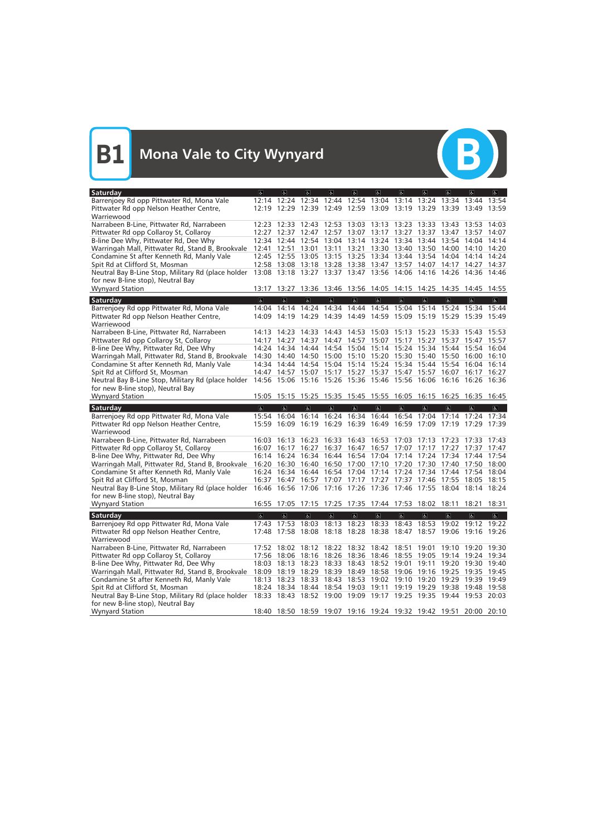

| Saturday                                                                             | $\sigma$                | $\alpha$                | $\overline{a}$          | <sub>6</sub>            | $\sigma$                | $\sigma$                    | $\sigma$                                                          | $\sigma$       | $\overline{a}$      | $\alpha$                | $\sigma$                 |
|--------------------------------------------------------------------------------------|-------------------------|-------------------------|-------------------------|-------------------------|-------------------------|-----------------------------|-------------------------------------------------------------------|----------------|---------------------|-------------------------|--------------------------|
| Barrenjoey Rd opp Pittwater Rd, Mona Vale                                            |                         |                         |                         |                         |                         |                             | 12:14 12:24 12:34 12:44 12:54 13:04 13:14 13:24                   |                |                     | 13:34 13:44             | 13:54                    |
| Pittwater Rd opp Nelson Heather Centre,                                              |                         |                         |                         |                         |                         |                             | 12:19 12:29 12:39 12:49 12:59 13:09 13:19 13:29 13:39 13:49 13:59 |                |                     |                         |                          |
| Warriewood                                                                           |                         |                         |                         |                         |                         |                             |                                                                   |                |                     |                         |                          |
| Narrabeen B-Line, Pittwater Rd, Narrabeen                                            |                         |                         |                         |                         |                         |                             | 12:23 12:33 12:43 12:53 13:03 13:13 13:23 13:33 13:43 13:53 14:03 |                |                     |                         |                          |
| Pittwater Rd opp Collaroy St, Collaroy                                               |                         |                         |                         |                         |                         |                             | 12:27 12:37 12:47 12:57 13:07 13:17 13:27 13:37 13:47 13:57 14:07 |                |                     |                         |                          |
| B-line Dee Why, Pittwater Rd, Dee Why                                                |                         |                         |                         |                         |                         |                             | 12:34 12:44 12:54 13:04 13:14 13:24 13:34 13:44 13:54 14:04 14:14 |                |                     |                         |                          |
| Warringah Mall, Pittwater Rd, Stand B, Brookvale                                     |                         | 12:41 12:51             |                         |                         |                         |                             | 13:01 13:11 13:21 13:30 13:40 13:50 14:00 14:10 14:20             |                |                     |                         |                          |
| Condamine St after Kenneth Rd, Manly Vale                                            |                         |                         |                         |                         |                         |                             | 12:45 12:55 13:05 13:15 13:25 13:34 13:44 13:54 14:04             |                |                     | 14:14                   | 14:24                    |
| Spit Rd at Clifford St, Mosman                                                       |                         |                         |                         |                         |                         |                             | 12:58 13:08 13:18 13:28 13:38 13:47 13:57 14:07                   |                |                     | 14:17 14:27 14:37       |                          |
| Neutral Bay B-Line Stop, Military Rd (place holder                                   |                         |                         |                         |                         |                         |                             | 13:08 13:18 13:27 13:37 13:47 13:56 14:06 14:16 14:26 14:36 14:46 |                |                     |                         |                          |
| for new B-line stop), Neutral Bay                                                    |                         |                         |                         |                         |                         |                             |                                                                   |                |                     |                         |                          |
| <b>Wynyard Station</b>                                                               |                         |                         |                         |                         |                         |                             | 13:17 13:27 13:36 13:46 13:56 14:05 14:15 14:25 14:35 14:45 14:55 |                |                     |                         |                          |
| <b>Saturday</b>                                                                      | $\overline{a}$          | $\overline{6}$          | $\overline{a}$          | $\overline{a}$          | $\overline{6}$          | $\overline{\mathbf{c}}$     | $\overline{\mathbf{c}}$                                           | $\overline{b}$ | $\overline{6}$      | $\sigma$                | $\overline{\mathcal{L}}$ |
| Barrenjoey Rd opp Pittwater Rd, Mona Vale                                            |                         |                         |                         |                         |                         |                             | 14:04 14:14 14:24 14:34 14:44 14:54 15:04 15:14 15:24 15:34 15:44 |                |                     |                         |                          |
| Pittwater Rd opp Nelson Heather Centre,                                              |                         |                         |                         |                         |                         |                             | 14:09 14:19 14:29 14:39 14:49 14:59 15:09 15:19 15:29 15:39 15:49 |                |                     |                         |                          |
| Warriewood                                                                           |                         |                         |                         |                         |                         |                             |                                                                   |                |                     |                         |                          |
| Narrabeen B-Line, Pittwater Rd, Narrabeen                                            |                         | 14:13 14:23             |                         |                         |                         |                             | 14:33 14:43 14:53 15:03 15:13 15:23 15:33 15:43 15:53             |                |                     |                         |                          |
| Pittwater Rd opp Collaroy St, Collaroy                                               |                         |                         |                         |                         |                         |                             | 14:17 14:27 14:37 14:47 14:57 15:07 15:17 15:27 15:37 15:47 15:57 |                |                     |                         |                          |
| B-line Dee Why, Pittwater Rd, Dee Why                                                |                         |                         |                         |                         |                         |                             | 14:24 14:34 14:44 14:54 15:04 15:14 15:24 15:34 15:44 15:54 16:04 |                |                     |                         |                          |
| Warringah Mall, Pittwater Rd, Stand B, Brookvale                                     |                         |                         |                         |                         |                         |                             | 14:30 14:40 14:50 15:00 15:10 15:20 15:30 15:40                   |                |                     | 15:50 16:00 16:10       |                          |
| Condamine St after Kenneth Rd, Manly Vale                                            |                         |                         |                         |                         |                         |                             | 14:34 14:44 14:54 15:04 15:14 15:24 15:34 15:44 15:54 16:04 16:14 |                |                     |                         |                          |
| Spit Rd at Clifford St, Mosman                                                       |                         |                         |                         |                         |                         |                             | 14:47 14:57 15:07 15:17 15:27 15:37 15:47 15:57                   |                |                     | 16:07 16:17 16:27       |                          |
| Neutral Bay B-Line Stop, Military Rd (place holder                                   |                         |                         |                         |                         |                         |                             | 14:56 15:06 15:16 15:26 15:36 15:46 15:56 16:06 16:16 16:26 16:36 |                |                     |                         |                          |
| for new B-line stop), Neutral Bay                                                    |                         |                         |                         |                         |                         |                             |                                                                   |                |                     |                         |                          |
| <b>Wynyard Station</b>                                                               |                         |                         |                         |                         |                         |                             | 15:05 15:15 15:25 15:35 15:45 15:55 16:05 16:15 16:25 16:35 16:45 |                |                     |                         |                          |
|                                                                                      |                         |                         |                         |                         |                         |                             |                                                                   |                |                     |                         |                          |
|                                                                                      | $\sigma$                | $\sigma$                | $\mathbf{r}$            | $\mathbf{g}$            | $\mathbf{g}$            | $\left  \mathbf{P} \right $ | $\mathbf{g}$                                                      | $\sigma$       | $\sigma$            | $\sigma$                | $\vert \mathbb{P} \vert$ |
| Saturday                                                                             |                         |                         |                         |                         |                         |                             | 15:54 16:04 16:14 16:24 16:34 16:44 16:54 17:04                   |                |                     | 17:14 17:24 17:34       |                          |
| Barrenjoey Rd opp Pittwater Rd, Mona Vale<br>Pittwater Rd opp Nelson Heather Centre, |                         |                         |                         |                         |                         |                             | 15:59 16:09 16:19 16:29 16:39 16:49 16:59 17:09 17:19 17:29       |                |                     |                         | 17:39                    |
| Warriewood                                                                           |                         |                         |                         |                         |                         |                             |                                                                   |                |                     |                         |                          |
| Narrabeen B-Line, Pittwater Rd, Narrabeen                                            |                         | 16:03 16:13             | 16:23                   |                         |                         |                             | 16:33 16:43 16:53 17:03 17:13 17:23 17:33 17:43                   |                |                     |                         |                          |
| Pittwater Rd opp Collaroy St, Collaroy                                               |                         |                         |                         |                         |                         |                             | 16:07 16:17 16:27 16:37 16:47 16:57 17:07 17:17 17:27 17:37 17:47 |                |                     |                         |                          |
| B-line Dee Why, Pittwater Rd, Dee Why                                                |                         |                         |                         |                         |                         |                             | 16:14 16:24 16:34 16:44 16:54 17:04 17:14 17:24 17:34 17:44 17:54 |                |                     |                         |                          |
| Warringah Mall, Pittwater Rd, Stand B, Brookvale                                     |                         |                         |                         |                         |                         |                             | 16:20 16:30 16:40 16:50 17:00 17:10 17:20 17:30 17:40 17:50 18:00 |                |                     |                         |                          |
| Condamine St after Kenneth Rd, Manly Vale                                            |                         |                         |                         |                         |                         |                             | 16:24 16:34 16:44 16:54 17:04 17:14 17:24 17:34 17:44 17:54 18:04 |                |                     |                         |                          |
| Spit Rd at Clifford St, Mosman                                                       |                         |                         |                         |                         |                         |                             | 16:37 16:47 16:57 17:07 17:17 17:27 17:37 17:46 17:55 18:05 18:15 |                |                     |                         |                          |
| Neutral Bay B-Line Stop, Military Rd (place holder                                   |                         |                         |                         |                         |                         |                             | 16:46 16:56 17:06 17:16 17:26 17:36 17:46 17:55 18:04 18:14 18:24 |                |                     |                         |                          |
| for new B-line stop), Neutral Bay                                                    |                         |                         |                         |                         |                         |                             |                                                                   |                |                     |                         |                          |
| <b>Wynyard Station</b>                                                               |                         |                         |                         |                         |                         |                             | 16:55 17:05 17:15 17:25 17:35 17:44 17:53 18:02 18:11 18:21 18:31 |                |                     |                         |                          |
| Saturday                                                                             | $\overline{\mathbf{c}}$ | $\overline{\mathbf{e}}$ | $\overline{\mathbf{e}}$ | $\overline{\mathbf{e}}$ | $\overline{\mathbf{r}}$ | $\overline{\mathbf{e}}$     | $\overline{\mathbf{c}}$                                           | $\overline{6}$ | $\overline{\sigma}$ | $\overline{\mathbf{c}}$ | $\overline{\mathcal{C}}$ |
| Barrenjoey Rd opp Pittwater Rd, Mona Vale                                            |                         |                         |                         |                         |                         |                             | 17:43 17:53 18:03 18:13 18:23 18:33 18:43 18:53 19:02 19:12 19:22 |                |                     |                         |                          |
| Pittwater Rd opp Nelson Heather Centre,                                              |                         |                         |                         |                         |                         |                             | 17:48 17:58 18:08 18:18 18:28 18:38 18:47 18:57 19:06 19:16 19:26 |                |                     |                         |                          |
| Warriewood                                                                           |                         |                         |                         |                         |                         |                             |                                                                   |                |                     |                         |                          |
| Narrabeen B-Line, Pittwater Rd, Narrabeen                                            |                         |                         |                         |                         |                         |                             | 17:52 18:02 18:12 18:22 18:32 18:42 18:51 19:01 19:10 19:20 19:30 |                |                     |                         |                          |
| Pittwater Rd opp Collaroy St, Collaroy                                               |                         |                         |                         |                         |                         |                             | 17:56 18:06 18:16 18:26 18:36 18:46 18:55 19:05 19:14 19:24 19:34 |                |                     |                         |                          |
| B-line Dee Why, Pittwater Rd, Dee Why                                                |                         |                         |                         |                         |                         |                             | 18:03 18:13 18:23 18:33 18:43 18:52 19:01 19:11 19:20 19:30 19:40 |                |                     |                         |                          |
| Warringah Mall, Pittwater Rd, Stand B, Brookvale                                     |                         |                         |                         |                         |                         |                             | 18:09 18:19 18:29 18:39 18:49 18:58 19:06 19:16 19:25 19:35 19:45 |                |                     |                         |                          |
| Condamine St after Kenneth Rd, Manly Vale                                            |                         |                         |                         |                         |                         |                             | 18:13 18:23 18:33 18:43 18:53 19:02 19:10 19:20 19:29 19:39 19:49 |                |                     |                         |                          |
| Spit Rd at Clifford St, Mosman                                                       |                         |                         |                         |                         |                         |                             | 18:24 18:34 18:44 18:54 19:03 19:11 19:19 19:29 19:38 19:48 19:58 |                |                     |                         |                          |
| Neutral Bay B-Line Stop, Military Rd (place holder                                   |                         |                         |                         |                         |                         |                             | 18:33 18:43 18:52 19:00 19:09 19:17 19:25 19:35 19:44 19:53 20:03 |                |                     |                         |                          |
| for new B-line stop), Neutral Bay<br><b>Wynyard Station</b>                          |                         |                         |                         |                         |                         |                             | 18:40 18:50 18:59 19:07 19:16 19:24 19:32 19:42 19:51 20:00 20:10 |                |                     |                         |                          |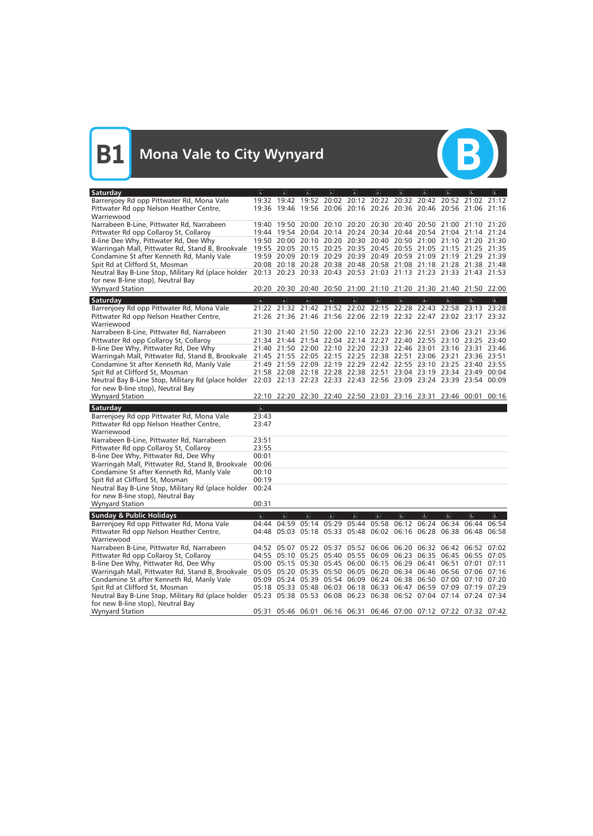

| <b>Saturday</b>                                                                                                      | $\overline{a}$          | $\overline{a}$          | $ \mathbf{f} $          | $ \mathbf{f} $          | $\sigma$                                                          | $\sigma$                | $\sigma$       | $\sigma$                | $\overline{a}$      | $\overline{a}$      | $ \mathbf{F} $          |
|----------------------------------------------------------------------------------------------------------------------|-------------------------|-------------------------|-------------------------|-------------------------|-------------------------------------------------------------------|-------------------------|----------------|-------------------------|---------------------|---------------------|-------------------------|
| Barrenjoey Rd opp Pittwater Rd, Mona Vale                                                                            |                         |                         |                         |                         | 19:32 19:42 19:52 20:02 20:12 20:22 20:32 20:42 20:52 21:02 21:12 |                         |                |                         |                     |                     |                         |
| Pittwater Rd opp Nelson Heather Centre,                                                                              |                         |                         |                         |                         | 19:36 19:46 19:56 20:06 20:16 20:26 20:36 20:46 20:56 21:06 21:16 |                         |                |                         |                     |                     |                         |
| Warriewood                                                                                                           |                         |                         |                         |                         |                                                                   |                         |                |                         |                     |                     |                         |
| Narrabeen B-Line, Pittwater Rd, Narrabeen                                                                            |                         |                         |                         |                         | 19:40 19:50 20:00 20:10 20:20 20:30 20:40 20:50 21:00 21:10 21:20 |                         |                |                         |                     |                     |                         |
| Pittwater Rd opp Collaroy St, Collaroy                                                                               |                         |                         |                         |                         | 19:44 19:54 20:04 20:14 20:24 20:34 20:44 20:54 21:04 21:14 21:24 |                         |                |                         |                     |                     |                         |
| B-line Dee Why, Pittwater Rd, Dee Why                                                                                |                         |                         |                         |                         | 19:50 20:00 20:10 20:20 20:30 20:40 20:50 21:00 21:10 21:20 21:30 |                         |                |                         |                     |                     |                         |
| Warringah Mall, Pittwater Rd, Stand B, Brookvale                                                                     |                         |                         |                         |                         | 19:55 20:05 20:15 20:25 20:35 20:45 20:55 21:05 21:15 21:25 21:35 |                         |                |                         |                     |                     |                         |
| Condamine St after Kenneth Rd, Manly Vale                                                                            |                         |                         |                         |                         | 19:59 20:09 20:19 20:29 20:39 20:49 20:59 21:09 21:19 21:29 21:39 |                         |                |                         |                     |                     |                         |
| Spit Rd at Clifford St, Mosman                                                                                       |                         |                         |                         |                         | 20:08 20:18 20:28 20:38 20:48 20:58 21:08 21:18 21:28 21:38 21:48 |                         |                |                         |                     |                     |                         |
| Neutral Bay B-Line Stop, Military Rd (place holder                                                                   |                         |                         |                         |                         | 20:13 20:23 20:33 20:43 20:53 21:03 21:13 21:23 21:33 21:43 21:53 |                         |                |                         |                     |                     |                         |
| for new B-line stop), Neutral Bay                                                                                    |                         |                         |                         |                         |                                                                   |                         |                |                         |                     |                     |                         |
| <b>Wynyard Station</b>                                                                                               |                         |                         |                         |                         | 20:20 20:30 20:40 20:50 21:00 21:10 21:20 21:30 21:40 21:50 22:00 |                         |                |                         |                     |                     |                         |
| Saturday                                                                                                             | $\overline{\mathbf{c}}$ | $\overline{\mathbf{c}}$ | $\overline{\mathbf{c}}$ | $\overline{\mathbf{G}}$ | $\overline{\mathbb{G}}$                                           | $\overline{\mathbf{c}}$ | $\overline{6}$ | $\overline{\mathbf{g}}$ | $\overline{6}$      | $\overline{6}$      | $\overline{6}$          |
| Barrenjoey Rd opp Pittwater Rd, Mona Vale                                                                            |                         |                         |                         |                         | 21:22 21:32 21:42 21:52 22:02 22:15 22:28 22:43 22:58 23:13 23:28 |                         |                |                         |                     |                     |                         |
| Pittwater Rd opp Nelson Heather Centre,                                                                              |                         |                         |                         |                         | 21:26 21:36 21:46 21:56 22:06 22:19 22:32 22:47 23:02 23:17 23:32 |                         |                |                         |                     |                     |                         |
| Warriewood                                                                                                           |                         |                         |                         |                         |                                                                   |                         |                |                         |                     |                     |                         |
| Narrabeen B-Line, Pittwater Rd, Narrabeen                                                                            |                         |                         |                         |                         | 21:30 21:40 21:50 22:00 22:10 22:23 22:36 22:51 23:06 23:21       |                         |                |                         |                     |                     | 23:36                   |
| Pittwater Rd opp Collaroy St, Collaroy                                                                               |                         |                         |                         |                         | 21:34 21:44 21:54 22:04 22:14 22:27 22:40 22:55 23:10 23:25 23:40 |                         |                |                         |                     |                     |                         |
| B-line Dee Why, Pittwater Rd, Dee Why                                                                                |                         |                         |                         |                         | 21:40 21:50 22:00 22:10 22:20 22:33 22:46 23:01 23:16 23:31       |                         |                |                         |                     |                     | 23:46                   |
| Warringah Mall, Pittwater Rd, Stand B, Brookvale 21:45 21:55 22:05 22:15 22:25 22:38 22:51 23:06 23:21 23:36 23:51   |                         |                         |                         |                         |                                                                   |                         |                |                         |                     |                     |                         |
| Condamine St after Kenneth Rd, Manly Vale                                                                            |                         |                         |                         |                         | 21:49 21:59 22:09 22:19 22:29 22:42 22:55 23:10 23:25 23:40 23:55 |                         |                |                         |                     |                     |                         |
| Spit Rd at Clifford St, Mosman                                                                                       |                         |                         |                         |                         | 21:58 22:08 22:18 22:28 22:38 22:51 23:04 23:19 23:34 23:49 00:04 |                         |                |                         |                     |                     |                         |
| Neutral Bay B-Line Stop, Military Rd (place holder 22:03 22:13 22:23 22:33 22:43 22:56 23:09 23:24 23:39 23:54 00:09 |                         |                         |                         |                         |                                                                   |                         |                |                         |                     |                     |                         |
| for new B-line stop), Neutral Bay                                                                                    |                         |                         |                         |                         |                                                                   |                         |                |                         |                     |                     |                         |
| <b>Wynyard Station</b>                                                                                               |                         |                         |                         |                         | 22:10 22:20 22:30 22:40 22:50 23:03 23:16 23:31 23:46 00:01 00:16 |                         |                |                         |                     |                     |                         |
|                                                                                                                      |                         |                         |                         |                         |                                                                   |                         |                |                         |                     |                     |                         |
| Saturday                                                                                                             | $\infty$                |                         |                         |                         |                                                                   |                         |                |                         |                     |                     |                         |
| Barrenjoey Rd opp Pittwater Rd, Mona Vale                                                                            | 23:43                   |                         |                         |                         |                                                                   |                         |                |                         |                     |                     |                         |
| Pittwater Rd opp Nelson Heather Centre,                                                                              | 23:47                   |                         |                         |                         |                                                                   |                         |                |                         |                     |                     |                         |
| Warriewood                                                                                                           |                         |                         |                         |                         |                                                                   |                         |                |                         |                     |                     |                         |
| Narrabeen B-Line, Pittwater Rd, Narrabeen                                                                            | 23:51                   |                         |                         |                         |                                                                   |                         |                |                         |                     |                     |                         |
| Pittwater Rd opp Collaroy St, Collaroy                                                                               | 23:55                   |                         |                         |                         |                                                                   |                         |                |                         |                     |                     |                         |
| B-line Dee Why, Pittwater Rd, Dee Why                                                                                | 00:01                   |                         |                         |                         |                                                                   |                         |                |                         |                     |                     |                         |
| Warringah Mall, Pittwater Rd, Stand B, Brookvale                                                                     | 00:06                   |                         |                         |                         |                                                                   |                         |                |                         |                     |                     |                         |
| Condamine St after Kenneth Rd, Manly Vale                                                                            | 00:10                   |                         |                         |                         |                                                                   |                         |                |                         |                     |                     |                         |
| Spit Rd at Clifford St, Mosman                                                                                       | 00:19                   |                         |                         |                         |                                                                   |                         |                |                         |                     |                     |                         |
| Neutral Bay B-Line Stop, Military Rd (place holder                                                                   | 00:24                   |                         |                         |                         |                                                                   |                         |                |                         |                     |                     |                         |
| for new B-line stop), Neutral Bay                                                                                    |                         |                         |                         |                         |                                                                   |                         |                |                         |                     |                     |                         |
| <b>Wynyard Station</b>                                                                                               | 00:31                   |                         |                         |                         |                                                                   |                         |                |                         |                     |                     |                         |
| <b>Sunday &amp; Public Holidays</b>                                                                                  | $\overline{\infty}$     | $\overline{\mathbf{c}}$ | $\overline{a}$          | $\overline{q}$          | $\overline{\mathbb{G}}$                                           | $\overline{\mathbf{e}}$ | $\overline{b}$ | $\overline{\mathbf{c}}$ | $\overline{\sigma}$ | $\overline{\sigma}$ | $\overline{\mathbf{P}}$ |
| Barrenjoey Rd opp Pittwater Rd, Mona Vale                                                                            |                         |                         |                         |                         | 04:44 04:59 05:14 05:29 05:44 05:58 06:12 06:24 06:34 06:44 06:54 |                         |                |                         |                     |                     |                         |
| Pittwater Rd opp Nelson Heather Centre,                                                                              |                         |                         |                         |                         | 04:48 05:03 05:18 05:33 05:48 06:02 06:16 06:28 06:38 06:48 06:58 |                         |                |                         |                     |                     |                         |
| Warriewood                                                                                                           |                         |                         |                         |                         |                                                                   |                         |                |                         |                     |                     |                         |
| Narrabeen B-Line, Pittwater Rd, Narrabeen                                                                            |                         |                         |                         |                         | 04:52 05:07 05:22 05:37 05:52 06:06 06:20 06:32 06:42 06:52 07:02 |                         |                |                         |                     |                     |                         |
| Pittwater Rd opp Collaroy St, Collaroy                                                                               |                         |                         |                         |                         | 04:55 05:10 05:25 05:40 05:55 06:09 06:23 06:35 06:45 06:55 07:05 |                         |                |                         |                     |                     |                         |
| B-line Dee Why, Pittwater Rd, Dee Why                                                                                |                         |                         |                         |                         | 05:00 05:15 05:30 05:45 06:00 06:15 06:29 06:41 06:51 07:01 07:11 |                         |                |                         |                     |                     |                         |
| Warringah Mall, Pittwater Rd, Stand B, Brookvale                                                                     |                         |                         |                         |                         | 05:05 05:20 05:35 05:50 06:05 06:20 06:34 06:46 06:56 07:06 07:16 |                         |                |                         |                     |                     |                         |
| Condamine St after Kenneth Rd, Manly Vale                                                                            |                         |                         |                         |                         | 05:09 05:24 05:39 05:54 06:09 06:24 06:38 06:50 07:00 07:10 07:20 |                         |                |                         |                     |                     |                         |
| Spit Rd at Clifford St, Mosman                                                                                       |                         |                         |                         |                         | 05:18 05:33 05:48 06:03 06:18 06:33 06:47 06:59 07:09 07:19 07:29 |                         |                |                         |                     |                     |                         |
| Neutral Bay B-Line Stop, Military Rd (place holder                                                                   |                         |                         |                         |                         | 05:23 05:38 05:53 06:08 06:23 06:38 06:52 07:04 07:14 07:24 07:34 |                         |                |                         |                     |                     |                         |
| for new B-line stop), Neutral Bay<br><b>Wynyard Station</b>                                                          |                         |                         |                         |                         | 05:31 05:46 06:01 06:16 06:31 06:46 07:00 07:12 07:22 07:32 07:42 |                         |                |                         |                     |                     |                         |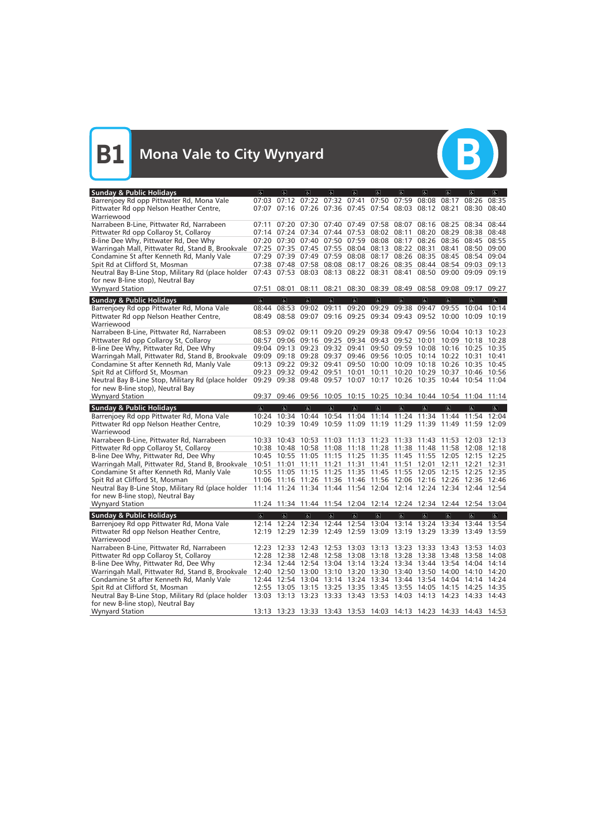

| <b>Sunday &amp; Public Holidays</b>                                                     | $\alpha$                | $\overline{a}$                                                                                                                         | $ \mathbf{f}_k $  | $\overline{d}$          | $\sigma$                | Ġ.             | $\sigma$                                                       | $\sigma$                | $\overline{a}$          | $\sqrt{2}$              | d                        |
|-----------------------------------------------------------------------------------------|-------------------------|----------------------------------------------------------------------------------------------------------------------------------------|-------------------|-------------------------|-------------------------|----------------|----------------------------------------------------------------|-------------------------|-------------------------|-------------------------|--------------------------|
| Barrenjoey Rd opp Pittwater Rd, Mona Vale                                               |                         | 07:03 07:12 07:22 07:32 07:41                                                                                                          |                   |                         |                         |                | 07:50 07:59 08:08                                              |                         | 08:17                   | 08:26                   | 08:35                    |
| Pittwater Rd opp Nelson Heather Centre,                                                 |                         | 07:07 07:16 07:26 07:36 07:45 07:54 08:03 08:12 08:21                                                                                  |                   |                         |                         |                |                                                                |                         |                         | 08:30                   | 08:40                    |
| Warriewood                                                                              |                         |                                                                                                                                        |                   |                         |                         |                |                                                                |                         |                         |                         |                          |
| Narrabeen B-Line, Pittwater Rd, Narrabeen                                               |                         | 07:11 07:20 07:30 07:40 07:49 07:58 08:07 08:16 08:25 08:34 08:44                                                                      |                   |                         |                         |                |                                                                |                         |                         |                         |                          |
| Pittwater Rd opp Collaroy St, Collaroy                                                  |                         | 07:14 07:24 07:34 07:44 07:53 08:02 08:11 08:20 08:29 08:38 08:48                                                                      |                   |                         |                         |                |                                                                |                         |                         |                         |                          |
| B-line Dee Why, Pittwater Rd, Dee Why                                                   | 07:20                   | 07:30 07:40                                                                                                                            |                   |                         |                         |                | 07:50 07:59 08:08 08:17 08:26                                  |                         |                         | 08:36 08:45             | 08:55                    |
| Warringah Mall, Pittwater Rd, Stand B, Brookvale                                        |                         | 07:25 07:35 07:45 07:55 08:04 08:13 08:22 08:31                                                                                        |                   |                         |                         |                |                                                                |                         | 08:41                   | 08:50                   | 09:00                    |
| Condamine St after Kenneth Rd, Manly Vale<br>Spit Rd at Clifford St, Mosman             |                         | 07:29 07:39 07:49 07:59 08:08 08:17 08:26 08:35<br>07:38 07:48 07:58 08:08 08:17 08:26 08:35 08:44 08:54 09:03 09:13                   |                   |                         |                         |                |                                                                |                         |                         | 08:45 08:54 09:04       |                          |
| Neutral Bay B-Line Stop, Military Rd (place holder                                      |                         | 07:43 07:53 08:03 08:13 08:22 08:31 08:41 08:50 09:00 09:09 09:19                                                                      |                   |                         |                         |                |                                                                |                         |                         |                         |                          |
| for new B-line stop), Neutral Bay                                                       |                         |                                                                                                                                        |                   |                         |                         |                |                                                                |                         |                         |                         |                          |
| <b>Wynyard Station</b>                                                                  | 07:51                   | 08:01                                                                                                                                  | 08:11             |                         |                         |                | 08:21 08:30 08:39 08:49 08:58 09:08 09:17                      |                         |                         |                         | 09:27                    |
|                                                                                         |                         |                                                                                                                                        |                   |                         |                         |                |                                                                |                         |                         |                         |                          |
| <b>Sunday &amp; Public Holidays</b>                                                     | $\overline{\sigma}$     | $\overline{a}$                                                                                                                         | $\overline{a}$    | $\overline{\mathbf{r}}$ | $\overline{6}$          | $\overline{6}$ | $\overline{6}$                                                 | $\overline{6}$          | $\overline{\mathbf{c}}$ | $\overline{a}$          | $\overline{6}$           |
| Barrenjoey Rd opp Pittwater Rd, Mona Vale                                               | 08:49                   | 08:44 08:53 09:02 09:11                                                                                                                |                   |                         | 09:20                   | 09:29          | 09:38<br>08:58 09:07 09:16 09:25 09:34 09:43 09:52 10:00 10:09 | 09:47                   | 09:55                   | 10:04 10:14             | 10:19                    |
| Pittwater Rd opp Nelson Heather Centre,                                                 |                         |                                                                                                                                        |                   |                         |                         |                |                                                                |                         |                         |                         |                          |
| Warriewood<br>Narrabeen B-Line, Pittwater Rd, Narrabeen                                 | 08:53                   | 09:02 09:11                                                                                                                            |                   |                         |                         |                | 09:20 09:29 09:38 09:47 09:56 10:04 10:13                      |                         |                         |                         | 10:23                    |
| Pittwater Rd opp Collaroy St, Collaroy                                                  |                         | 08:57 09:06 09:16 09:25 09:34 09:43 09:52 10:01 10:09 10:18 10:28                                                                      |                   |                         |                         |                |                                                                |                         |                         |                         |                          |
| B-line Dee Why, Pittwater Rd, Dee Why                                                   | 09:04                   |                                                                                                                                        |                   |                         | 09:13 09:23 09:32 09:41 |                | 09:50 09:59 10:08 10:16 10:25 10:35                            |                         |                         |                         |                          |
| Warringah Mall, Pittwater Rd, Stand B, Brookvale                                        | 09:09                   |                                                                                                                                        | 09:18 09:28 09:37 |                         |                         |                | 09:46 09:56 10:05 10:14 10:22 10:31                            |                         |                         |                         | 10:41                    |
| Condamine St after Kenneth Rd, Manly Vale                                               |                         | 09:13 09:22 09:32 09:41                                                                                                                |                   |                         |                         |                | 09:50 10:00 10:09 10:18 10:26                                  |                         |                         | 10:35 10:45             |                          |
| Spit Rd at Clifford St, Mosman                                                          |                         | 09:23 09:32 09:42 09:51                                                                                                                |                   |                         | 10:01 10:11             |                | 10:20 10:29 10:37 10:46 10:56                                  |                         |                         |                         |                          |
| Neutral Bay B-Line Stop, Military Rd (place holder                                      |                         | 09:29 09:38 09:48 09:57 10:07 10:17 10:26 10:35 10:44 10:54 11:04                                                                      |                   |                         |                         |                |                                                                |                         |                         |                         |                          |
| for new B-line stop), Neutral Bay                                                       |                         |                                                                                                                                        |                   |                         |                         |                |                                                                |                         |                         |                         |                          |
| <b>Wynyard Station</b>                                                                  | 09:37                   |                                                                                                                                        |                   |                         |                         |                | 09:46 09:56 10:05 10:15 10:25 10:34 10:44 10:54 11:04 11:14    |                         |                         |                         |                          |
|                                                                                         |                         |                                                                                                                                        |                   |                         |                         |                |                                                                |                         |                         |                         |                          |
|                                                                                         | $\sigma$                | $\alpha$                                                                                                                               | $\sigma$          | $\overline{a}$          | $\mathbf{g}$            | $\sigma$       | $\sigma$                                                       | $\sigma$                | $\sigma$                | $\alpha$                | $\vert \mathbf{F} \vert$ |
| <b>Sunday &amp; Public Holidays</b>                                                     |                         | 10:24 10:34 10:44 10:54 11:04 11:14 11:24 11:34 11:44 11:54 12:04                                                                      |                   |                         |                         |                |                                                                |                         |                         |                         |                          |
| Barrenjoey Rd opp Pittwater Rd, Mona Vale<br>Pittwater Rd opp Nelson Heather Centre,    |                         | 10:29 10:39 10:49 10:59 11:09 11:19 11:29 11:39 11:49 11:59 12:09                                                                      |                   |                         |                         |                |                                                                |                         |                         |                         |                          |
| Warriewood                                                                              |                         |                                                                                                                                        |                   |                         |                         |                |                                                                |                         |                         |                         |                          |
| Narrabeen B-Line, Pittwater Rd, Narrabeen                                               |                         | 10:33 10:43 10:53 11:03                                                                                                                |                   |                         |                         |                | 11:13 11:23 11:33 11:43 11:53                                  |                         |                         | 12:03                   | 12:13                    |
| Pittwater Rd opp Collaroy St, Collaroy                                                  |                         | 10:38 10:48 10:58 11:08 11:18 11:28 11:38 11:48 11:58 12:08                                                                            |                   |                         |                         |                |                                                                |                         |                         |                         | 12:18                    |
| B-line Dee Why, Pittwater Rd, Dee Why                                                   |                         | 10:45 10:55 11:05 11:15 11:25 11:35 11:45 11:55 12:05                                                                                  |                   |                         |                         |                |                                                                |                         |                         | 12:15                   | 12:25                    |
| Warringah Mall, Pittwater Rd, Stand B, Brookvale                                        | 10:51                   | 11:01                                                                                                                                  | 11:11             | 11:21                   | 11:31 11:41             |                | 11:51 12:01                                                    |                         | 12:11                   | 12:21                   | 12:31                    |
| Condamine St after Kenneth Rd, Manly Vale                                               |                         | 10:55 11:05                                                                                                                            |                   |                         |                         |                | 11:15 11:25 11:35 11:45 11:55 12:05 12:15 12:25 12:35          |                         |                         |                         |                          |
| Spit Rd at Clifford St, Mosman                                                          |                         | 11:06 11:16 11:26 11:36 11:46 11:56 12:06 12:16 12:26 12:36 12:46                                                                      |                   |                         |                         |                |                                                                |                         |                         |                         |                          |
| Neutral Bay B-Line Stop, Military Rd (place holder                                      |                         | 11:14 11:24 11:34 11:44 11:54 12:04 12:14 12:24 12:34 12:44 12:54                                                                      |                   |                         |                         |                |                                                                |                         |                         |                         |                          |
| for new B-line stop), Neutral Bay                                                       |                         |                                                                                                                                        |                   |                         |                         |                |                                                                |                         |                         |                         |                          |
| <b>Wynyard Station</b>                                                                  | 11:24                   | 11:34                                                                                                                                  |                   |                         |                         |                | 11:44 11:54 12:04 12:14 12:24 12:34 12:44 12:54 13:04          |                         |                         |                         |                          |
| <b>Sunday &amp; Public Holidays</b>                                                     | $\overline{\mathbf{c}}$ | $\overline{\mathbf{c}}$                                                                                                                | $\overline{6}$    | $\overline{\mathbf{r}}$ | $\overline{\mathbb{G}}$ | $\overline{b}$ | $\overline{\mathbf{c}}$                                        | $\overline{\mathbf{c}}$ | $\overline{\mathbf{e}}$ | $\overline{\mathbf{c}}$ | $\overline{6}$           |
| Barrenjoey Rd opp Pittwater Rd, Mona Vale                                               |                         | 12:14 12:24 12:34 12:44 12:54 13:04 13:14 13:24 13:34 13:44 13:54                                                                      |                   |                         |                         |                |                                                                |                         |                         |                         |                          |
| Pittwater Rd opp Nelson Heather Centre,                                                 |                         | 12:19 12:29 12:39 12:49 12:59 13:09 13:19 13:29 13:39 13:49 13:59                                                                      |                   |                         |                         |                |                                                                |                         |                         |                         |                          |
| Warriewood                                                                              |                         |                                                                                                                                        |                   |                         |                         |                |                                                                |                         |                         |                         |                          |
| Narrabeen B-Line, Pittwater Rd, Narrabeen                                               |                         | 12:23 12:33 12:43 12:53 13:03 13:13 13:23 13:33 13:43 13:53 14:03                                                                      |                   |                         |                         |                |                                                                |                         |                         |                         |                          |
| Pittwater Rd opp Collaroy St, Collaroy                                                  |                         | 12:28 12:38 12:48 12:58 13:08 13:18 13:28 13:38 13:48 13:58 14:08                                                                      |                   |                         |                         |                |                                                                |                         |                         |                         |                          |
| B-line Dee Why, Pittwater Rd, Dee Why                                                   |                         | 12:34 12:44 12:54 13:04 13:14 13:24 13:34 13:44 13:54 14:04 14:14                                                                      |                   |                         |                         |                |                                                                |                         |                         |                         |                          |
| Warringah Mall, Pittwater Rd, Stand B, Brookvale                                        |                         | 12:40 12:50 13:00 13:10 13:20 13:30 13:40 13:50 14:00 14:10 14:20                                                                      |                   |                         |                         |                |                                                                |                         |                         |                         |                          |
| Condamine St after Kenneth Rd, Manly Vale                                               |                         | 12:44 12:54 13:04 13:14 13:24 13:34 13:44 13:54 14:04 14:14 14:24                                                                      |                   |                         |                         |                |                                                                |                         |                         |                         |                          |
| Spit Rd at Clifford St, Mosman                                                          |                         | 12:55 13:05 13:15 13:25 13:35 13:45 13:55 14:05 14:15 14:25 14:35<br>13:03 13:13 13:23 13:33 13:43 13:53 14:03 14:13 14:23 14:33 14:43 |                   |                         |                         |                |                                                                |                         |                         |                         |                          |
| Neutral Bay B-Line Stop, Military Rd (place holder<br>for new B-line stop), Neutral Bay |                         |                                                                                                                                        |                   |                         |                         |                |                                                                |                         |                         |                         |                          |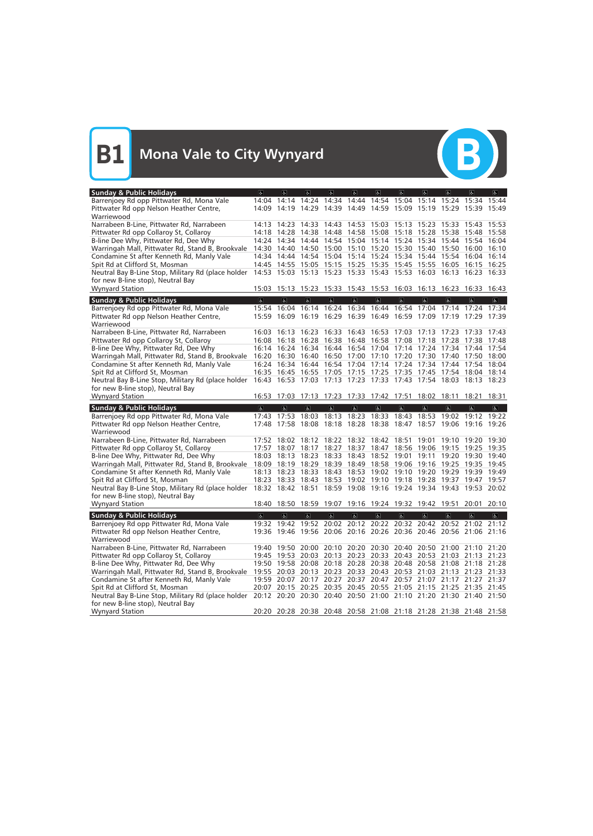

| <b>Sunday &amp; Public Holidays</b>                                                                                  | $\sigma$       | $\overline{a}$                | $\mathbf{a}$            | $\omega$                | $\sigma$                | $\epsilon$     | $\overline{a}$                                                                                                                         | $\sigma$                | $\overline{a}$          | $\sqrt{2}$              | $ \mathbf{f} $ |
|----------------------------------------------------------------------------------------------------------------------|----------------|-------------------------------|-------------------------|-------------------------|-------------------------|----------------|----------------------------------------------------------------------------------------------------------------------------------------|-------------------------|-------------------------|-------------------------|----------------|
| Barrenjoey Rd opp Pittwater Rd, Mona Vale                                                                            |                | 14:04 14:14 14:24 14:34 14:44 |                         |                         |                         |                | 14:54 15:04 15:14 15:24 15:34 15:44                                                                                                    |                         |                         |                         |                |
| Pittwater Rd opp Nelson Heather Centre,                                                                              |                |                               |                         |                         |                         |                | 14:09 14:19 14:29 14:39 14:49 14:59 15:09 15:19 15:29 15:39 15:49                                                                      |                         |                         |                         |                |
| Warriewood                                                                                                           |                |                               |                         |                         |                         |                |                                                                                                                                        |                         |                         |                         |                |
| Narrabeen B-Line, Pittwater Rd, Narrabeen                                                                            |                |                               |                         |                         |                         |                | 14:13 14:23 14:33 14:43 14:53 15:03 15:13 15:23 15:33 15:43 15:53                                                                      |                         |                         |                         |                |
| Pittwater Rd opp Collaroy St, Collaroy                                                                               |                |                               |                         |                         |                         |                | 14:18 14:28 14:38 14:48 14:58 15:08 15:18 15:28 15:38 15:48 15:58                                                                      |                         |                         |                         |                |
| B-line Dee Why, Pittwater Rd, Dee Why                                                                                |                | 14:24 14:34 14:44             |                         |                         |                         |                | 14:54 15:04 15:14 15:24 15:34                                                                                                          |                         |                         | 15:44 15:54 16:04       |                |
| Warringah Mall, Pittwater Rd, Stand B, Brookvale                                                                     |                |                               |                         |                         |                         |                | 14:30 14:40 14:50 15:00 15:10 15:20 15:30 15:40 15:50 16:00 16:10                                                                      |                         |                         |                         |                |
| Condamine St after Kenneth Rd, Manly Vale                                                                            |                |                               |                         |                         |                         |                | 14:34 14:44 14:54 15:04 15:14 15:24 15:34 15:44 15:54 16:04 16:14                                                                      |                         |                         |                         |                |
| Spit Rd at Clifford St, Mosman                                                                                       |                |                               |                         |                         |                         |                | 14:45 14:55 15:05 15:15 15:25 15:35 15:45 15:55 16:05 16:15 16:25                                                                      |                         |                         |                         |                |
| Neutral Bay B-Line Stop, Military Rd (place holder                                                                   |                |                               |                         |                         |                         |                | 14:53 15:03 15:13 15:23 15:33 15:43 15:53 16:03 16:13 16:23 16:33                                                                      |                         |                         |                         |                |
| for new B-line stop), Neutral Bay                                                                                    |                |                               |                         |                         |                         |                |                                                                                                                                        |                         |                         |                         |                |
| <b>Wynyard Station</b>                                                                                               |                |                               |                         |                         |                         |                | 15:03 15:13 15:23 15:33 15:43 15:53 16:03 16:13 16:23 16:33 16:43                                                                      |                         |                         |                         |                |
| <b>Sunday &amp; Public Holidays</b>                                                                                  | $\overline{6}$ | $\overline{6}$                | $\overline{6}$          | $\overline{\mathbf{g}}$ | $\overline{\mathbf{e}}$ | $\overline{6}$ | $\overline{6}$                                                                                                                         | $\overline{a}$          | $\overline{6}$          | $\sigma$                | $\sigma$       |
| Barrenjoey Rd opp Pittwater Rd, Mona Vale                                                                            | 15:54          | 16:04                         | 16:14                   | 16:24                   |                         |                | 16:34 16:44 16:54 17:04                                                                                                                |                         | 17:14                   | 17:24                   | 17:34          |
| Pittwater Rd opp Nelson Heather Centre,                                                                              |                |                               |                         |                         |                         |                | 15:59 16:09 16:19 16:29 16:39 16:49 16:59 17:09 17:19 17:29 17:39                                                                      |                         |                         |                         |                |
| Warriewood                                                                                                           |                |                               |                         |                         |                         |                |                                                                                                                                        |                         |                         |                         |                |
| Narrabeen B-Line, Pittwater Rd, Narrabeen                                                                            |                | 16:03 16:13                   | 16:23                   |                         |                         |                | 16:33 16:43 16:53 17:03 17:13 17:23 17:33 17:43                                                                                        |                         |                         |                         |                |
| Pittwater Rd opp Collaroy St, Collaroy                                                                               |                |                               |                         |                         |                         |                | 16:08 16:18 16:28 16:38 16:48 16:58 17:08 17:18 17:28 17:38 17:48                                                                      |                         |                         |                         |                |
| B-line Dee Why, Pittwater Rd, Dee Why                                                                                |                |                               |                         |                         |                         |                | 16:14 16:24 16:34 16:44 16:54 17:04 17:14 17:24 17:34 17:44 17:54                                                                      |                         |                         |                         |                |
| Warringah Mall, Pittwater Rd, Stand B, Brookvale                                                                     |                | 16:20 16:30 16:40             |                         |                         |                         |                | 16:50 17:00 17:10 17:20 17:30 17:40 17:50 18:00                                                                                        |                         |                         |                         |                |
| Condamine St after Kenneth Rd, Manly Vale                                                                            |                |                               |                         |                         |                         |                | 16:24 16:34 16:44 16:54 17:04 17:14 17:24 17:34 17:44 17:54 18:04<br>16:35 16:45 16:55 17:05 17:15 17:25 17:35 17:45 17:54 18:04 18:14 |                         |                         |                         |                |
| Spit Rd at Clifford St, Mosman<br>Neutral Bay B-Line Stop, Military Rd (place holder                                 |                |                               |                         |                         |                         |                | 16:43 16:53 17:03 17:13 17:23 17:33 17:43 17:54 18:03 18:13 18:23                                                                      |                         |                         |                         |                |
| for new B-line stop), Neutral Bay                                                                                    |                |                               |                         |                         |                         |                |                                                                                                                                        |                         |                         |                         |                |
| <b>Wynyard Station</b>                                                                                               |                |                               |                         |                         |                         |                | 16:53 17:03 17:13 17:23 17:33 17:42 17:51 18:02 18:11 18:21                                                                            |                         |                         |                         | 18:31          |
|                                                                                                                      |                |                               |                         |                         |                         |                |                                                                                                                                        |                         |                         |                         |                |
|                                                                                                                      |                |                               |                         |                         |                         |                |                                                                                                                                        |                         |                         |                         |                |
| <b>Sunday &amp; Public Holidays</b>                                                                                  | $\sigma$       | $\sigma$                      | $\mathbf{r}$            | $\mathbf{P}$            | $\mathbf{r}$            | $\mathbf{r}$   | $\mathbf{P}$                                                                                                                           | $\sigma$                | $\sigma$                | $\sigma$                | $\mathbf{g}$   |
| Barrenjoey Rd opp Pittwater Rd, Mona Vale                                                                            |                |                               |                         |                         |                         |                | 17:43 17:53 18:03 18:13 18:23 18:33 18:43 18:53 19:02 19:12 19:22                                                                      |                         |                         |                         |                |
| Pittwater Rd opp Nelson Heather Centre,                                                                              |                |                               |                         |                         |                         |                | 17:48 17:58 18:08 18:18 18:28 18:38 18:47 18:57 19:06 19:16 19:26                                                                      |                         |                         |                         |                |
| Warriewood                                                                                                           |                |                               |                         |                         |                         |                |                                                                                                                                        |                         |                         |                         |                |
| Narrabeen B-Line, Pittwater Rd, Narrabeen                                                                            |                | 17:52 18:02                   |                         |                         |                         |                | 18:12 18:22 18:32 18:42 18:51 19:01                                                                                                    |                         | 19:10                   | 19:20                   | 19:30          |
| Pittwater Rd opp Collaroy St, Collaroy                                                                               |                | 17:57 18:07 18:17             |                         |                         |                         |                | 18:27 18:37 18:47 18:56 19:06 19:15                                                                                                    |                         |                         | 19:25                   | 19:35          |
| B-line Dee Why, Pittwater Rd, Dee Why                                                                                |                | 18:03 18:13                   | 18:23                   |                         |                         |                | 18:33 18:43 18:52 19:01                                                                                                                | 19:11                   | 19:20 19:30             |                         | 19:40          |
| Warringah Mall, Pittwater Rd, Stand B, Brookvale                                                                     |                | 18:09 18:19 18:29             |                         |                         |                         |                | 18:39 18:49 18:58 19:06 19:16                                                                                                          |                         | 19:25                   | 19:35 19:45             |                |
| Condamine St after Kenneth Rd, Manly Vale                                                                            |                | 18:13 18:23                   | 18:33                   |                         |                         |                | 18:43 18:53 19:02 19:10 19:20 19:29 19:39                                                                                              |                         |                         |                         | 19:49          |
| Spit Rd at Clifford St, Mosman                                                                                       |                | 18:23 18:33 18:43             |                         |                         |                         |                | 18:53 19:02 19:10 19:18 19:28 19:37 19:47 19:57                                                                                        |                         |                         |                         |                |
| Neutral Bay B-Line Stop, Military Rd (place holder                                                                   |                |                               |                         |                         |                         |                | 18:32 18:42 18:51 18:59 19:08 19:16 19:24 19:34 19:43 19:53 20:02                                                                      |                         |                         |                         |                |
| for new B-line stop), Neutral Bay<br><b>Wynyard Station</b>                                                          |                |                               |                         |                         |                         |                | 18:40 18:50 18:59 19:07 19:16 19:24 19:32 19:42 19:51 20:01 20:10                                                                      |                         |                         |                         |                |
|                                                                                                                      |                |                               |                         |                         |                         |                |                                                                                                                                        |                         |                         |                         |                |
| <b>Sunday &amp; Public Holidays</b>                                                                                  | $\overline{6}$ | $\overline{a}$                | $\overline{\mathbf{c}}$ | $\overline{\mathbf{e}}$ | $\overline{d}$          | $\overline{6}$ | $\overline{\mathbf{c}}$                                                                                                                | $\overline{\mathbf{c}}$ | $\overline{\mathbf{e}}$ | $\overline{\mathbf{r}}$ | $\overline{a}$ |
| Barrenjoey Rd opp Pittwater Rd, Mona Vale                                                                            |                |                               |                         |                         |                         |                | 19:32 19:42 19:52 20:02 20:12 20:22 20:32 20:42 20:52 21:02 21:12                                                                      |                         |                         |                         |                |
| Pittwater Rd opp Nelson Heather Centre,                                                                              |                |                               |                         |                         |                         |                | 19:36 19:46 19:56 20:06 20:16 20:26 20:36 20:46 20:56 21:06 21:16                                                                      |                         |                         |                         |                |
| Warriewood                                                                                                           |                |                               |                         |                         |                         |                |                                                                                                                                        |                         |                         |                         |                |
| Narrabeen B-Line, Pittwater Rd, Narrabeen                                                                            |                |                               |                         |                         |                         |                | 19:40 19:50 20:00 20:10 20:20 20:30 20:40 20:50 21:00 21:10 21:20<br>19:45 19:53 20:03 20:13 20:23 20:33 20:43 20:53 21:03 21:13 21:23 |                         |                         |                         |                |
| Pittwater Rd opp Collaroy St, Collaroy<br>B-line Dee Why, Pittwater Rd, Dee Why                                      |                |                               |                         |                         |                         |                | 19:50 19:58 20:08 20:18 20:28 20:38 20:48 20:58 21:08 21:18 21:28                                                                      |                         |                         |                         |                |
| Warringah Mall, Pittwater Rd, Stand B, Brookvale                                                                     |                |                               |                         |                         |                         |                | 19:55 20:03 20:13 20:23 20:33 20:43 20:53 21:03 21:13 21:23 21:33                                                                      |                         |                         |                         |                |
| Condamine St after Kenneth Rd, Manly Vale                                                                            |                |                               |                         |                         |                         |                | 19:59 20:07 20:17 20:27 20:37 20:47 20:57 21:07 21:17 21:27 21:37                                                                      |                         |                         |                         |                |
| Spit Rd at Clifford St, Mosman                                                                                       |                |                               |                         |                         |                         |                | 20:07 20:15 20:25 20:35 20:45 20:55 21:05 21:15 21:25 21:35 21:45                                                                      |                         |                         |                         |                |
| Neutral Bay B-Line Stop, Military Rd (place holder 20:12 20:20 20:30 20:40 20:50 21:00 21:10 21:20 21:30 21:40 21:50 |                |                               |                         |                         |                         |                |                                                                                                                                        |                         |                         |                         |                |
| for new B-line stop), Neutral Bay<br><b>Wynyard Station</b>                                                          |                |                               |                         |                         |                         |                | 20:20 20:28 20:38 20:48 20:58 21:08 21:18 21:28 21:38 21:48 21:58                                                                      |                         |                         |                         |                |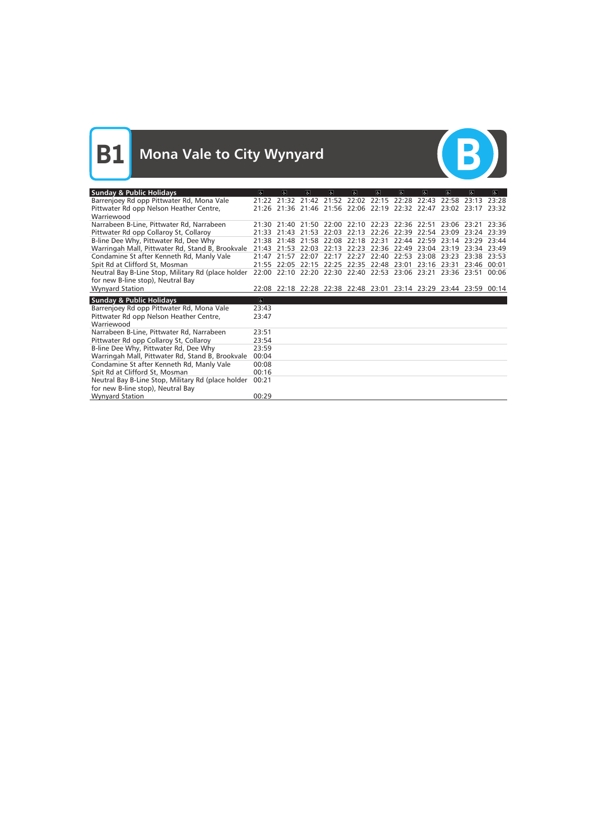

| <b>Sunday &amp; Public Holidays</b>                    | $\sigma$       | $ \mathbf{e} $                | $ \mathbf{f} \$ | $\sigma$ | $\mathbf{d}$                              | $\sigma$          | $\sigma$    | $\sigma$    | $\sigma$                                                          | $\sigma$    | $  \mathbf{P}  $ |
|--------------------------------------------------------|----------------|-------------------------------|-----------------|----------|-------------------------------------------|-------------------|-------------|-------------|-------------------------------------------------------------------|-------------|------------------|
| Barrenjoey Rd opp Pittwater Rd, Mona Vale              |                | 21:22 21:32                   | 21:42           |          | 21:52 22:02 22:15                         |                   | 22:28       | 22:43       | 22.58                                                             | 23.13       | 73.78            |
| Pittwater Rd opp Nelson Heather Centre,                | 21:26          | 21:36 21:46 21:56 22:06 22:19 |                 |          |                                           |                   | 22:32 22:47 |             | 23:02 23:17                                                       |             | 23:32            |
| Warriewood                                             |                |                               |                 |          |                                           |                   |             |             |                                                                   |             |                  |
| Narrabeen B-Line, Pittwater Rd, Narrabeen              |                |                               |                 |          |                                           |                   |             |             | 21:30 21:40 21:50 22:00 22:10 22:23 22:36 22:51 23:06 23:21 23:36 |             |                  |
| Pittwater Rd opp Collaroy St, Collaroy                 | 21:33          | 21:43                         | 21:53           | 22:03    | 22:13                                     | 22:26             | 22:39       | 22:54 23:09 |                                                                   | 23:24 23:39 |                  |
| B-line Dee Why, Pittwater Rd, Dee Why                  | 21:38          | 21:48                         | 21:58           | 22:08    | 22:18                                     | 22:31             | 22:44       | 22:59       | 23:14                                                             | 23:29       | 23:44            |
| Warringah Mall, Pittwater Rd, Stand B, Brookvale 21:43 |                | 21:53                         | 22:03           | 22:13    |                                           | 22:23 22:36 22:49 |             | 23:04       | 23:19                                                             | 23:34 23:49 |                  |
| Condamine St after Kenneth Rd, Manly Vale              | 21:47          | 21:57                         | 22:07           | 22:17    | 22:27                                     | 22:40             | 22:53       | 23:08       | 23:23                                                             | 23:38 23:53 |                  |
| Spit Rd at Clifford St, Mosman                         | 21:55          | 22:05                         | 22:15           | 22:25    |                                           | 22:35 22:48       | 23:01       | 23:16       | 23:31                                                             | 23:46       | 00:01            |
| Neutral Bay B-Line Stop, Military Rd (place holder     | 22:00          |                               |                 |          | 22:10 22:20 22:30 22:40 22:53 23:06 23:21 |                   |             |             | 23:36 23:51                                                       |             | 00:06            |
| for new B-line stop), Neutral Bay                      |                |                               |                 |          |                                           |                   |             |             |                                                                   |             |                  |
| <b>Wynyard Station</b>                                 |                |                               |                 |          |                                           |                   |             |             | 22:08 22:18 22:28 22:38 22:48 23:01 23:14 23:29 23:44 23:59 00:14 |             |                  |
| <b>Sunday &amp; Public Holidays</b>                    | $\overline{a}$ |                               |                 |          |                                           |                   |             |             |                                                                   |             |                  |
| Barrenjoey Rd opp Pittwater Rd, Mona Vale              | 23:43          |                               |                 |          |                                           |                   |             |             |                                                                   |             |                  |
| Pittwater Rd opp Nelson Heather Centre,                | 23:47          |                               |                 |          |                                           |                   |             |             |                                                                   |             |                  |
| Warriewood                                             |                |                               |                 |          |                                           |                   |             |             |                                                                   |             |                  |
| Narrabeen B-Line, Pittwater Rd, Narrabeen              | 23:51          |                               |                 |          |                                           |                   |             |             |                                                                   |             |                  |
| Pittwater Rd opp Collaroy St, Collaroy                 | 23:54          |                               |                 |          |                                           |                   |             |             |                                                                   |             |                  |
| B-line Dee Why, Pittwater Rd, Dee Why                  | 23:59          |                               |                 |          |                                           |                   |             |             |                                                                   |             |                  |
|                                                        |                |                               |                 |          |                                           |                   |             |             |                                                                   |             |                  |
| Warringah Mall, Pittwater Rd, Stand B, Brookvale       | 00:04          |                               |                 |          |                                           |                   |             |             |                                                                   |             |                  |
| Condamine St after Kenneth Rd, Manly Vale              | 00:08          |                               |                 |          |                                           |                   |             |             |                                                                   |             |                  |
| Spit Rd at Clifford St, Mosman                         | 00:16          |                               |                 |          |                                           |                   |             |             |                                                                   |             |                  |
| Neutral Bay B-Line Stop, Military Rd (place holder     | 00:21          |                               |                 |          |                                           |                   |             |             |                                                                   |             |                  |
| for new B-line stop), Neutral Bay                      |                |                               |                 |          |                                           |                   |             |             |                                                                   |             |                  |